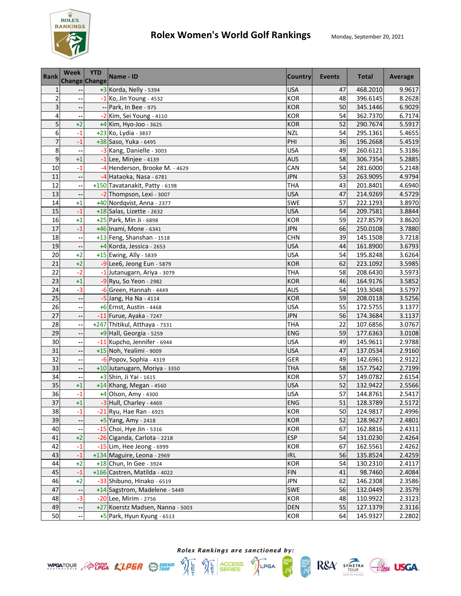

## **Rolex Women's World Golf Rankings** Monday, September 20, 2021

| <b>Rank</b>             | <b>Week</b><br><b>Change Change</b> | <b>YTD</b> | Name - ID                        | <b>Country</b> | <b>Events</b> | <b>Total</b> | Average |
|-------------------------|-------------------------------------|------------|----------------------------------|----------------|---------------|--------------|---------|
| $\mathbf{1}$            |                                     |            | +3 Korda, Nelly - 5394           | <b>USA</b>     | 47            | 468.2010     | 9.9617  |
| $\overline{\mathbf{c}}$ |                                     |            | $-1$ Ko, Jin Young - 4532        | <b>KOR</b>     | 48            | 396.6145     | 8.2628  |
| 3                       |                                     |            | -- Park, In Bee - 975            | <b>KOR</b>     | 50            | 345.1446     | 6.9029  |
| 4                       |                                     |            | -2 Kim, Sei Young - 4110         | <b>KOR</b>     | 54            | 362.7370     | 6.7174  |
| 5                       | $+2$                                |            | $+4$ Kim, Hyo-Joo - 3625         | <b>KOR</b>     | 52            | 290.7674     | 5.5917  |
| 6                       | $-1$                                |            | +23 Ko, Lydia - 3837             | <b>NZL</b>     | 54            | 295.1361     | 5.4655  |
| $\overline{7}$          | $-1$                                |            | +38 Saso, Yuka - 6495            | PHI            | 36            | 196.2668     | 5.4519  |
| 8                       |                                     |            | -3 Kang, Danielle - 3003         | <b>USA</b>     | 49            | 260.6121     | 5.3186  |
| 9                       | $+1$                                |            | $-1$ Lee, Minjee - 4139          | <b>AUS</b>     | 58            | 306.7354     | 5.2885  |
| 10                      | $-1$                                |            | -4 Henderson, Brooke M. - 4629   | CAN            | 54            | 281.6000     | 5.2148  |
| 11                      | $\overline{\phantom{a}}$            |            | -4 Hataoka, Nasa - 6781          | <b>JPN</b>     | 53            | 263.9095     | 4.9794  |
| 12                      |                                     |            | +150 Tavatanakit, Patty - 6198   | THA            | 43            | 201.8401     | 4.6940  |
| 13                      |                                     |            | -2 Thompson, Lexi - 3007         | <b>USA</b>     | 47            | 214.9269     | 4.5729  |
| 14                      | $+1$                                |            | +40 Nordqvist, Anna - 2377       | <b>SWE</b>     | 57            | 222.1293     | 3.8970  |
| 15                      | $-1$                                |            | +18 Salas, Lizette - 2632        | <b>USA</b>     | 54            | 209.7581     | 3.8844  |
| 16                      | $+1$                                |            | +25 Park, Min Ji - 6898          | <b>KOR</b>     | 59            | 227.8579     | 3.8620  |
| 17                      | $-1$                                |            | +46 Inami, Mone - 6341           | <b>JPN</b>     | 66            | 250.0108     | 3.7880  |
| 18                      |                                     |            | +13 Feng, Shanshan - 1518        | <b>CHN</b>     | 39            | 145.1508     | 3.7218  |
| 19                      |                                     |            | +4 Korda, Jessica - 2653         | <b>USA</b>     | 44            | 161.8900     | 3.6793  |
| 20                      | $+2$                                |            | +15 Ewing, Ally - 5839           | <b>USA</b>     | 54            | 195.8248     | 3.6264  |
| 21                      | $+2$                                |            | -9 Lee6, Jeong Eun - 5879        | <b>KOR</b>     | 62            | 223.1092     | 3.5985  |
| 22                      | $-2$                                |            | -1 Jutanugarn, Ariya - 3079      | <b>THA</b>     | 58            | 208.6430     | 3.5973  |
| 23                      | $+1$                                |            | -9 Ryu, So Yeon - 2982           | <b>KOR</b>     | 46            | 164.9176     | 3.5852  |
| 24                      | $-3$                                |            | $-6$ Green, Hannah - 4449        | AUS            | 54            | 193.3048     | 3.5797  |
| 25                      | $\overline{\phantom{a}}$            |            | -5 Jang, Ha Na - 4114            | <b>KOR</b>     | 59            | 208.0118     | 3.5256  |
| 26                      |                                     |            | +6 Ernst, Austin - 4468          | <b>USA</b>     | 55            | 172.5755     | 3.1377  |
| 27                      |                                     |            | -11 Furue, Ayaka - 7247          | <b>JPN</b>     | 56            | 174.3684     | 3.1137  |
| 28                      |                                     |            | +247 Thitikul, Atthaya - 7331    | <b>THA</b>     | 22            | 107.6856     | 3.0767  |
| 29                      |                                     |            | +9 Hall, Georgia - 5259          | ENG            | 59            | 177.6363     | 3.0108  |
| 30                      |                                     |            | -11 Kupcho, Jennifer - 6944      | <b>USA</b>     | 49            | 145.9611     | 2.9788  |
| 31                      |                                     |            | +15 Noh, Yealimi - 9009          | <b>USA</b>     | 47            | 137.0534     | 2.9160  |
| 32                      |                                     |            | $-6$ Popov, Sophia - 4319        | GER            | 49            | 142.6961     | 2.9122  |
| 33                      |                                     |            | +10 Jutanugarn, Moriya - 3350    | <b>THA</b>     | 58            | 157.7542     | 2.7199  |
| 34                      |                                     |            | +3 Shin, Ji Yai - 1615           | <b>KOR</b>     | 57            | 149.0782     | 2.6154  |
| 35                      | $+1$                                |            | +14 Khang, Megan - 4560          | <b>USA</b>     | 52            | 132.9422     | 2.5566  |
| 36                      | $-1$                                |            | +4 Olson, Amy - 4300             | <b>USA</b>     | 57            | 144.8761     | 2.5417  |
| 37                      | $+1$                                |            | $-3$ Hull, Charley - 4469        | <b>ENG</b>     | 51            | 128.3789     | 2.5172  |
| 38                      | $-1$                                |            | -21 Ryu, Hae Ran - 6925          | KOR            | 50            | 124.9817     | 2.4996  |
| 39                      |                                     |            | +5 Yang, Amy - 2418              | <b>KOR</b>     | 52            | 128.9627     | 2.4801  |
| 40                      |                                     |            | -15 Choi, Hye Jin - 5316         | <b>KOR</b>     | 67            | 162.8816     | 2.4311  |
| 41                      | $+2$                                |            | -26 Ciganda, Carlota - 2218      | <b>ESP</b>     | 54            | 131.0230     | 2.4264  |
| 42                      | $-1$                                |            | -15 Lim, Hee Jeong - 6999        | KOR            | 67            | 162.5561     | 2.4262  |
| 43                      | $-1$                                |            | +134 Maguire, Leona - 2969       | <b>IRL</b>     | 56            | 135.8524     | 2.4259  |
| 44                      | $+2$                                |            | +18 Chun, In Gee - 3924          | <b>KOR</b>     | 54            | 130.2310     | 2.4117  |
| 45                      | $-1$                                |            | +166 Castren, Matilda - 4022     | <b>FIN</b>     | 41            | 98.7460      | 2.4084  |
| 46                      | $+2$                                |            | -33 Shibuno, Hinako - 6519       | <b>JPN</b>     | 62            | 146.2308     | 2.3586  |
| 47                      |                                     |            | +14 Sagstrom, Madelene - 5449    | SWE            | 56            | 132.0449     | 2.3579  |
| 48                      | $-3$                                |            | -20 Lee, Mirim - 2756            | <b>KOR</b>     | 48            | 110.9922     | 2.3123  |
| 49                      |                                     |            | +27 Koerstz Madsen, Nanna - 5003 | <b>DEN</b>     | 55            | 127.1379     | 2.3116  |
| 50                      |                                     |            | $+5$ Park, Hyun Kyung - 6513     | <b>KOR</b>     | 64            | 145.9327     | 2.2802  |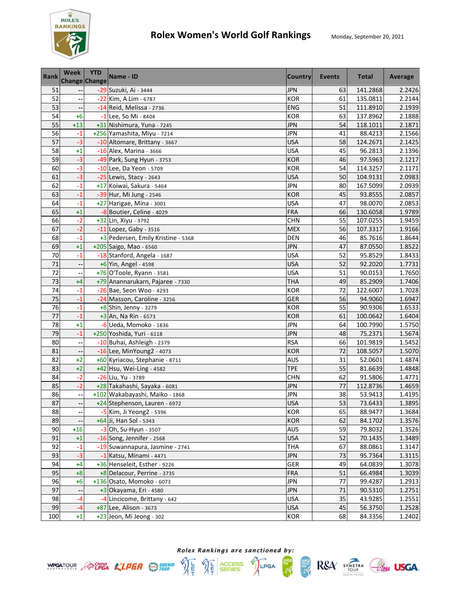

| <b>Rank</b>     | Week<br><b>Change Change</b> | <b>YTD</b> | Name - ID                          | <b>Country</b> | Events | <b>Total</b> | Average |
|-----------------|------------------------------|------------|------------------------------------|----------------|--------|--------------|---------|
| 51              |                              |            | -29 Suzuki, Ai - 3444              | <b>JPN</b>     | 63     | 141.2868     | 2.2426  |
| 52              |                              |            | -22 Kim, A Lim - 6787              | <b>KOR</b>     | 61     | 135.0811     | 2.2144  |
| 53              |                              |            | -14 Reid, Melissa - 2736           | ENG            | 51     | 111.8910     | 2.1939  |
| 54              | $+6$                         |            | -1 Lee, So Mi - 8404               | <b>KOR</b>     | 63     | 137.8962     | 2.1888  |
| 55              | $+13$                        |            | +31 Nishimura, Yuna - 7245         | <b>JPN</b>     | 54     | 118.1011     | 2.1871  |
| 56              | $-1$                         |            | +256 Yamashita, Miyu - 7214        | <b>JPN</b>     | 41     | 88.4213      | 2.1566  |
| 57              | $-3$                         |            | -10 Altomare, Brittany - 3667      | <b>USA</b>     | 58     | 124.2671     | 2.1425  |
| 58              | $+1$                         |            | -16 Alex, Marina - 3666            | <b>USA</b>     | 45     | 96.2813      | 2.1396  |
| 59              | $-3$                         |            | -49 Park, Sung Hyun - 3753         | <b>KOR</b>     | 46     | 97.5963      | 2.1217  |
| 60              | $-3$                         |            | -10 Lee, Da Yeon - 5709            | <b>KOR</b>     | 54     | 114.3257     | 2.1171  |
| 61              | $-3$                         |            | $-25$ Lewis, Stacy - 2643          | <b>USA</b>     | 50     | 104.9131     | 2.0983  |
| 62              | $-1$                         |            | +17 Koiwai, Sakura - 5464          | <b>JPN</b>     | 80     | 167.5099     | 2.0939  |
| 63              | $-1$                         |            | -39 Hur, Mi Jung - 2546            | <b>KOR</b>     | 45     | 93.8555      | 2.0857  |
| 64              | $-1$                         |            | +27 Harigae, Mina - 3001           | <b>USA</b>     | 47     | 98.0070      | 2.0853  |
| 65              | $+1$                         |            | -8 Boutier, Celine - 4029          | <b>FRA</b>     | 66     | 130.6058     | 1.9789  |
| 66              | $-2$                         |            | +32 Lin, Xiyu - 3792               | <b>CHN</b>     | 55     | 107.0255     | 1.9459  |
| 67              | $-2$                         |            | $-11$ Lopez, Gaby - 3516           | <b>MEX</b>     | 56     | 107.3317     | 1.9166  |
| 68              | $-1$                         |            | +3 Pedersen, Emily Kristine - 5368 | <b>DEN</b>     | 46     | 85.7616      | 1.8644  |
| 69              | $^{+1}$                      |            | +205 Saigo, Mao - 6560             | <b>JPN</b>     | 47     | 87.0550      | 1.8522  |
| 70              | $-1$                         |            | -18 Stanford, Angela - 1687        | <b>USA</b>     | 52     | 95.8529      | 1.8433  |
| 71              |                              |            | +6 Yin, Angel - 4598               | <b>USA</b>     | 52     | 92.2020      | 1.7731  |
| 72              |                              |            | +76 O'Toole, Ryann - 3581          | <b>USA</b>     | 51     | 90.0153      | 1.7650  |
| 73              | $+4$                         |            | +79 Anannarukarn, Pajaree - 7330   | <b>THA</b>     | 49     | 85.2909      | 1.7406  |
| 74              | $-1$                         |            | -26 Bae, Seon Woo - 4293           | KOR            | 72     | 122.6007     | 1.7028  |
| 75              | $-1$                         |            | -24 Masson, Caroline - 3256        | <b>GER</b>     | 56     | 94.9060      | 1.6947  |
| $\overline{76}$ | $-1$                         |            | $+8$ Shin, Jenny - 3279            | <b>KOR</b>     | 55     | 90.9306      | 1.6533  |
| 77              | $-1$                         |            | +3 An, Na Rin - 6573               | <b>KOR</b>     | 61     | 100.0642     | 1.6404  |
| 78              | $+1$                         |            | -6 Ueda, Momoko - 1836             | <b>JPN</b>     | 64     | 100.7990     | 1.5750  |
| 79              | $-1$                         |            | +250 Yoshida, Yuri - 6118          | <b>JPN</b>     | 48     | 75.2371      | 1.5674  |
| 80              |                              |            | -10 Buhai, Ashleigh - 2379         | <b>RSA</b>     | 66     | 101.9819     | 1.5452  |
| 81              |                              |            | -16 Lee, MinYoung2 - 4073          | <b>KOR</b>     | 72     | 108.5057     | 1.5070  |
| 82              | $+2$                         |            | +60 Kyriacou, Stephanie - 8711     | <b>AUS</b>     | 31     | 52.0601      | 1.4874  |
| 83              | $+2$                         |            | +42 Hsu, Wei-Ling - 4582           | <b>TPE</b>     | 55     | 81.6639      | 1.4848  |
| 84              | $-2$                         |            | -26 Liu, Yu - 3789                 | <b>CHN</b>     | 62     | 91.5806      | 1.4771  |
| 85              | $-2$                         |            | +28 Takahashi, Sayaka - 6081       | <b>JPN</b>     | 77     | 112.8736     | 1.4659  |
| 86              | $\overline{\phantom{a}}$     |            | +102 Wakabayashi, Maiko - 1868     | <b>JPN</b>     | 38     | 53.9413      | 1.4195  |
| 87              | ٠.                           |            | +24 Stephenson, Lauren - 6972      | <b>USA</b>     | 53     | 73.6433      | 1.3895  |
| 88              | --                           |            | -5 Kim, Ji Yeong2 - 5396           | KOR            | 65     | 88.9477      | 1.3684  |
| 89              |                              |            | +64 Ji, Han Sol - 5343             | <b>KOR</b>     | 62     | 84.1702      | 1.3576  |
| 90              | $+16$                        |            | $-3$ Oh, Su-Hyun - 3507            | AUS            | 59     | 79.8032      | 1.3526  |
| 91              | $+1$                         |            | -16 Song, Jennifer - 2568          | <b>USA</b>     | 52     | 70.1435      | 1.3489  |
| 92              | $-1$                         |            | -19 Suwannapura, Jasmine - 2741    | <b>THA</b>     | 67     | 88.0861      | 1.3147  |
| 93              | $-3$                         |            | -1 Katsu, Minami - 4471            | <b>JPN</b>     | 73     | 95.7364      | 1.3115  |
| 94              | $+4$                         |            | +36 Henseleit, Esther - 9226       | GER            | 49     | 64.0839      | 1.3078  |
| 95              | $+8$                         |            | +8 Delacour, Perrine - 3735        | <b>FRA</b>     | 51     | 66.4984      | 1.3039  |
| 96              | $+6$                         |            | +136 Osato, Momoko - 6073          | <b>JPN</b>     | 77     | 99.4287      | 1.2913  |
| 97              |                              |            | +3 Okayama, Eri - 4580             | <b>JPN</b>     | 71     | 90.5310      | 1.2751  |
| 98              | -4                           |            | -4 Lincicome, Brittany - 642       | <b>USA</b>     | 35     | 43.9285      | 1.2551  |
| 99              | $-4$                         |            | +87 Lee, Alison - 3673             | <b>USA</b>     | 45     | 56.3750      | 1.2528  |
| 100             | $+1$                         |            | +23 Jeon, Mi Jeong - 302           | KOR            | 68     | 84.3356      | 1.2402  |



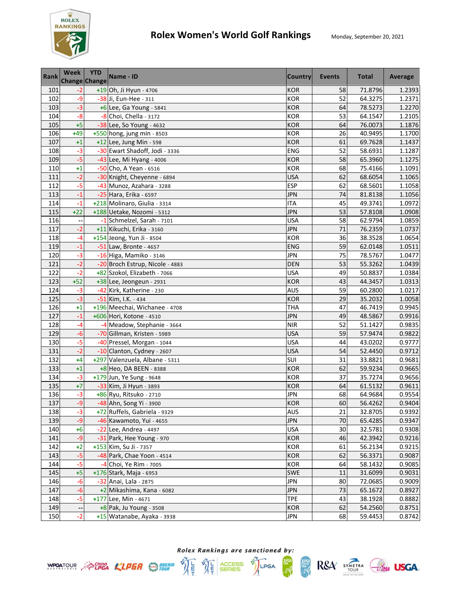

| <b>Rank</b> | Week<br>Change Change | <b>YTD</b> | Name - ID                       | <b>Country</b> | <b>Events</b> | <b>Total</b> | Average |
|-------------|-----------------------|------------|---------------------------------|----------------|---------------|--------------|---------|
| 101         | $-2$                  |            | +19 Oh, Ji Hyun - 4706          | <b>KOR</b>     | 58            | 71.8796      | 1.2393  |
| 102         | $-9$                  |            | -38 Ji, Eun-Hee - 311           | <b>KOR</b>     | 52            | 64.3275      | 1.2371  |
| 103         | $-3$                  |            | $+6$ Lee, Ga Young - 5841       | <b>KOR</b>     | 64            | 78.5273      | 1.2270  |
| 104         | $-8$                  |            | -8 Choi, Chella - 3172          | <b>KOR</b>     | 53            | 64.1547      | 1.2105  |
| 105         | $+5$                  |            | -38 Lee, So Young - 4632        | <b>KOR</b>     | 64            | 76.0073      | 1.1876  |
| 106         | $+49$                 |            | +550 hong, jung min - 8503      | <b>KOR</b>     | 26            | 40.9495      | 1.1700  |
| 107         | $+1$                  |            | $+12$ Lee, Jung Min - 598       | <b>KOR</b>     | 61            | 69.7628      | 1.1437  |
| 108         | $-3$                  |            | -30 Ewart Shadoff, Jodi - 3336  | ENG            | 52            | 58.6931      | 1.1287  |
| 109         | $-5$                  |            | -43 Lee, Mi Hyang - 4006        | <b>KOR</b>     | 58            | 65.3960      | 1.1275  |
| 110         | $+1$                  |            | -50 Cho, A Yean - 6516          | <b>KOR</b>     | 68            | 75.4166      | 1.1091  |
| 111         | $-2$                  |            | -30 Knight, Cheyenne - 6894     | <b>USA</b>     | 62            | 68.6054      | 1.1065  |
| 112         | $-5$                  |            | -43 Munoz, Azahara - 3288       | <b>ESP</b>     | 62            | 68.5601      | 1.1058  |
| 113         | $-1$                  |            | -25 Hara, Erika - 6597          | <b>JPN</b>     | 74            | 81.8138      | 1.1056  |
| 114         | $-1$                  |            | +218 Molinaro, Giulia - 3314    | <b>ITA</b>     | 45            | 49.3741      | 1.0972  |
| 115         | $+22$                 |            | +188 Uetake, Nozomi - 5312      | <b>JPN</b>     | 53            | 57.8108      | 1.0908  |
| 116         |                       |            | -1 Schmelzel, Sarah - 7101      | <b>USA</b>     | 58            | 62.9794      | 1.0859  |
| 117         | $-2$                  |            | +11 Kikuchi, Erika - 3160       | <b>JPN</b>     | 71            | 76.2359      | 1.0737  |
| 118         | -4                    |            | +154 Jeong, Yun Ji - 8504       | <b>KOR</b>     | 36            | 38.3528      | 1.0654  |
| 119         | $-1$                  |            | $-51$ Law, Bronte - 4657        | <b>ENG</b>     | 59            | 62.0148      | 1.0511  |
| 120         | $-3$                  |            | -16 Higa, Mamiko - 3146         | <b>JPN</b>     | 75            | 78.5767      | 1.0477  |
| 121         | $-2$                  |            | -20 Broch Estrup, Nicole - 4883 | <b>DEN</b>     | 53            | 55.3262      | 1.0439  |
| 122         | $-2$                  |            | +82 Szokol, Elizabeth - 7066    | <b>USA</b>     | 49            | 50.8837      | 1.0384  |
| 123         | $+52$                 |            | +38 Lee, Jeongeun - 2931        | <b>KOR</b>     | 43            | 44.3457      | 1.0313  |
| 124         | $-3$                  |            | -42 Kirk, Katherine - 230       | <b>AUS</b>     | 59            | 60.2800      | 1.0217  |
| 125         | $-3$                  |            | -51 Kim, I.K. - 434             | <b>KOR</b>     | 29            | 35.2032      | 1.0058  |
| 126         | $+1$                  |            | +196 Meechai, Wichanee - 4708   | <b>THA</b>     | 47            | 46.7419      | 0.9945  |
| 127         | $-1$                  |            | +606 Hori, Kotone - 4510        | JPN            | 49            | 48.5867      | 0.9916  |
| 128         | $-4$                  |            | -4 Meadow, Stephanie - 3664     | <b>NIR</b>     | 52            | 51.1427      | 0.9835  |
| 129         | $-6$                  |            | -70 Gillman, Kristen - 5989     | <b>USA</b>     | 59            | 57.9474      | 0.9822  |
| 130         | $-5$                  |            | -40 Pressel, Morgan - 1044      | <b>USA</b>     | 44            | 43.0202      | 0.9777  |
| 131         | $-2$                  |            | -10 Clanton, Cydney - 2607      | <b>USA</b>     | 54            | 52.4450      | 0.9712  |
| 132         | $+4$                  |            | +297 Valenzuela, Albane - 5311  | SUI            | 31            | 33.8821      | 0.9681  |
| 133         | $+1$                  |            | $+8$ Heo, DA BEEN - 8388        | <b>KOR</b>     | 62            | 59.9234      | 0.9665  |
| 134         | $-3$                  |            | +179 Jun, Ye Sung - 9648        | <b>KOR</b>     | 37            | 35.7274      | 0.9656  |
| 135         | $+7$                  |            | -33 Kim, Ji Hyun - 3893         | <b>KOR</b>     | 64            | 61.5132      | 0.9611  |
| 136         | $-3$                  |            | +86 Ryu, Ritsuko - 2710         | <b>JPN</b>     | 68            | 64.9684      | 0.9554  |
| 137         | $-9$                  |            | -48 Ahn, Song Yi - 3900         | <b>KOR</b>     | 60            | 56.4262      | 0.9404  |
| 138         | $-3$                  |            | +72 Ruffels, Gabriela - 9329    | <b>AUS</b>     | 21            | 32.8705      | 0.9392  |
| 139         | $-9$                  |            | -46 Kawamoto, Yui - 4655        | <b>JPN</b>     | 70            | 65.4285      | 0.9347  |
| 140         | $+6$                  |            | $-22$ Lee, Andrea - 4497        | <b>USA</b>     | 30            | 32.5781      | 0.9308  |
| 141         | -9                    |            | -31 Park, Hee Young - 970       | <b>KOR</b>     | 46            | 42.3942      | 0.9216  |
| 142         | $+2$                  |            | +153 Kim, Su Ji - 7357          | <b>KOR</b>     | 61            | 56.2134      | 0.9215  |
| 143         | $-5$                  |            | -48 Park, Chae Yoon - 4514      | <b>KOR</b>     | 62            | 56.3371      | 0.9087  |
| 144         | $-5$                  |            | -4 Choi, Ye Rim - 7005          | KOR            | 64            | 58.1432      | 0.9085  |
| 145         | $+5$                  |            | +176 Stark, Maja - 6953         | <b>SWE</b>     | 11            | 31.6099      | 0.9031  |
| 146         | $-6$                  |            | -32 Anai, Lala - 2875           | <b>JPN</b>     | 80            | 72.0685      | 0.9009  |
| 147         | $-6$                  |            | +2 Mikashima, Kana - 6082       | <b>JPN</b>     | 73            | 65.1672      | 0.8927  |
| 148         | $-5$                  |            | +177 Lee, Min - 4671            | <b>TPE</b>     | 43            | 38.1928      | 0.8882  |
| 149         |                       |            | $+8$ Pak, Ju Young - 3508       | <b>KOR</b>     | 62            | 54.2560      | 0.8751  |
| 150         | $-2$                  |            | +15 Watanabe, Ayaka - 3938      | <b>JPN</b>     | 68            | 59.4453      | 0.8742  |



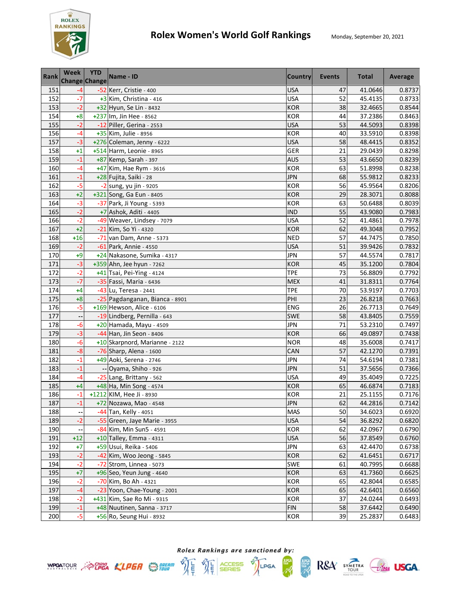

| <b>Rank</b> | <b>Week</b><br><b>Change Change</b> | <b>YTD</b> | Name - ID                      | <b>Country</b> | <b>Events</b> | <b>Total</b> | Average |
|-------------|-------------------------------------|------------|--------------------------------|----------------|---------------|--------------|---------|
| 151         | $-4$                                |            | -52 Kerr, Cristie - 400        | <b>USA</b>     | 47            | 41.0646      | 0.8737  |
| 152         | $-7$                                |            | +3 Kim, Christina - 416        | <b>USA</b>     | 52            | 45.4135      | 0.8733  |
| 153         | $-2$                                |            | +32 Hyun, Se Lin - 8432        | <b>KOR</b>     | 38            | 32.4665      | 0.8544  |
| 154         | $+8$                                |            | +237 Im, Jin Hee - 8562        | <b>KOR</b>     | 44            | 37.2386      | 0.8463  |
| 155         | $-2$                                |            | -12 Piller, Gerina - 2553      | <b>USA</b>     | 53            | 44.5093      | 0.8398  |
| 156         | $-4$                                |            | +35 Kim, Julie - 8956          | <b>KOR</b>     | 40            | 33.5910      | 0.8398  |
| 157         | $-3$                                |            | +276 Coleman, Jenny - 6222     | <b>USA</b>     | 58            | 48.4415      | 0.8352  |
| 158         | $+1$                                |            | +514 Harm, Leonie - 8965       | GER            | 21            | 29.0439      | 0.8298  |
| 159         | $-1$                                |            | +87 Kemp, Sarah - 397          | <b>AUS</b>     | 53            | 43.6650      | 0.8239  |
| 160         | -4                                  |            | +47 Kim, Hae Rym - 3616        | <b>KOR</b>     | 63            | 51.8998      | 0.8238  |
| 161         | $-1$                                |            | +28 Fujita, Saiki - 28         | <b>JPN</b>     | 68            | 55.9812      | 0.8233  |
| 162         | $-5$                                |            | -2 sung, yu jin - 9205         | <b>KOR</b>     | 56            | 45.9564      | 0.8206  |
| 163         | $+2$                                |            | +321 Song, Ga Eun - 8405       | <b>KOR</b>     | 29            | 28.3071      | 0.8088  |
| 164         | $-3$                                |            | -37 Park, Ji Young - 5393      | <b>KOR</b>     | 63            | 50.6488      | 0.8039  |
| 165         | $-2$                                |            | +7 Ashok, Aditi - 4405         | <b>IND</b>     | 55            | 43.9080      | 0.7983  |
| 166         | $-2$                                |            | -49 Weaver, Lindsey - 7079     | <b>USA</b>     | 52            | 41.4861      | 0.7978  |
| 167         | $+2$                                |            | -21 Kim, So Yi - 4320          | <b>KOR</b>     | 62            | 49.3048      | 0.7952  |
| 168         | $+16$                               |            | -71 van Dam, Anne - 5373       | <b>NED</b>     | 57            | 44.7475      | 0.7850  |
| 169         | $-2$                                |            | -61 Park, Annie - 4550         | <b>USA</b>     | 51            | 39.9426      | 0.7832  |
| 170         | $+9$                                |            | +24 Nakasone, Sumika - 4317    | <b>JPN</b>     | 57            | 44.5574      | 0.7817  |
| 171         | $-3$                                |            | +359 Ahn, Jee hyun - 7262      | <b>KOR</b>     | 45            | 35.1200      | 0.7804  |
| 172         | $-2$                                |            | +41 Tsai, Pei-Ying - 4124      | <b>TPE</b>     | 73            | 56.8809      | 0.7792  |
| 173         | $-7$                                |            | -35 Fassi, Maria - 6436        | <b>MEX</b>     | 41            | 31.8311      | 0.7764  |
| 174         | $+4$                                |            | -43 Lu, Teresa - 2441          | TPE            | 70            | 53.9197      | 0.7703  |
| 175         | $+8$                                |            | -25 Pagdanganan, Bianca - 8901 | PHI            | 23            | 26.8218      | 0.7663  |
| 176         | $-5$                                |            | +169 Hewson, Alice - 6106      | ENG            | 26            | 26.7713      | 0.7649  |
| 177         |                                     |            | -19 Lindberg, Pernilla - 643   | <b>SWE</b>     | 58            | 43.8405      | 0.7559  |
| 178         | -6                                  |            | +20 Hamada, Mayu - 4509        | <b>JPN</b>     | 71            | 53.2310      | 0.7497  |
| 179         | $-3$                                |            | -44 Han, Jin Seon - 8406       | <b>KOR</b>     | 66            | 49.0897      | 0.7438  |
| 180         | $-6$                                |            | +10 Skarpnord, Marianne - 2122 | <b>NOR</b>     | 48            | 35.6008      | 0.7417  |
| 181         | $-8$                                |            | -76 Sharp, Alena - 1600        | CAN            | 57            | 42.1270      | 0.7391  |
| 182         | $-1$                                |            | +49 Aoki, Serena - 2746        | <b>JPN</b>     | 74            | 54.6194      | 0.7381  |
| 183         | $-1$                                |            | -- Oyama, Shiho - 926          | <b>JPN</b>     | 51            | 37.5656      | 0.7366  |
| 184         | $-4$                                |            | -25 Lang, Brittany - 562       | <b>USA</b>     | 49            | 35.4049      | 0.7225  |
| 185         | $+4$                                |            | +48 Ha, Min Song - 4574        | <b>KOR</b>     | 65            | 46.6874      | 0.7183  |
| 186         | $-1$                                |            | +1212 KIM, Hee Ji - 8930       | <b>KOR</b>     | 21            | 25.1155      | 0.7176  |
| 187         | $-1$                                |            | +72 Nozawa, Mao - 4548         | <b>JPN</b>     | 62            | 44.2816      | 0.7142  |
| 188         |                                     |            | -44 Tan, Kelly - 4051          | <b>MAS</b>     | 50            | 34.6023      | 0.6920  |
| 189         | $-2$                                |            | -55 Green, Jaye Marie - 3955   | USA            | 54            | 36.8292      | 0.6820  |
| 190         |                                     |            | -84 Kim, Min Sun5 - 4591       | <b>KOR</b>     | 62            | 42.0967      | 0.6790  |
| 191         | $+12$                               |            | +10 Talley, Emma - 4311        | <b>USA</b>     | 56            | 37.8549      | 0.6760  |
| 192         | $+7$                                |            | +59 Usui, Reika - 5406         | <b>JPN</b>     | 63            | 42.4470      | 0.6738  |
| 193         | $-2$                                |            | -42 Kim, Woo Jeong - 5845      | <b>KOR</b>     | 62            | 41.6451      | 0.6717  |
| 194         | $-2$                                |            | -72 Strom, Linnea - 5073       | <b>SWE</b>     | 61            | 40.7995      | 0.6688  |
| 195         | $+7$                                |            | +96 Seo, Yeun Jung - 4640      | <b>KOR</b>     | 63            | 41.7360      | 0.6625  |
| 196         | $-2$                                |            | -70 Kim, Bo Ah - 4321          | <b>KOR</b>     | 65            | 42.8044      | 0.6585  |
| 197         | $-4$                                |            | -23 Yoon, Chae-Young - 2001    | <b>KOR</b>     | 65            | 42.6401      | 0.6560  |
| 198         | $-2$                                |            | +431 Kim, Sae Ro Mi - 9315     | <b>KOR</b>     | 37            | 24.0244      | 0.6493  |
| 199         | $-1$                                |            | +48 Nuutinen, Sanna - 3717     | <b>FIN</b>     | 58            | 37.6442      | 0.6490  |
| 200         | $-5$                                |            | +56 Ro, Seung Hui - 8932       | <b>KOR</b>     | 39            | 25.2837      | 0.6483  |



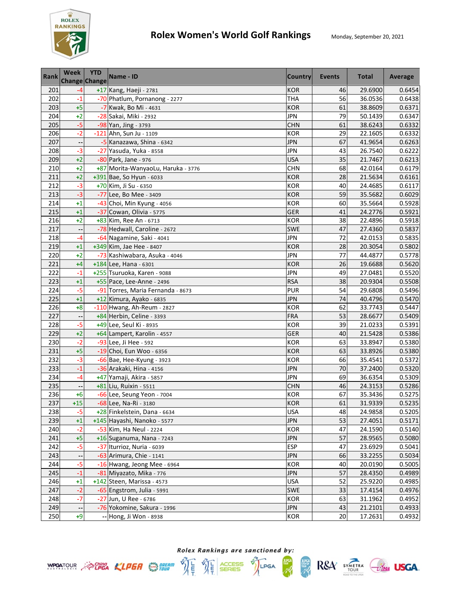

| <b>Rank</b> | <b>Week</b><br><b>Change Change</b> | <b>YTD</b> | Name - ID                          | <b>Country</b> | Events | <b>Total</b> | Average |
|-------------|-------------------------------------|------------|------------------------------------|----------------|--------|--------------|---------|
| 201         | $-4$                                |            | +17 Kang, Haeji - 2781             | <b>KOR</b>     | 46     | 29.6900      | 0.6454  |
| 202         | $-1$                                |            | -70 Phatlum, Pornanong - 2277      | <b>THA</b>     | 56     | 36.0536      | 0.6438  |
| 203         | $+5$                                |            | -7 Kwak, Bo Mi - 4631              | <b>KOR</b>     | 61     | 38.8609      | 0.6371  |
| 204         | $+2$                                |            | -28 Sakai, Miki - 2932             | <b>JPN</b>     | 79     | 50.1439      | 0.6347  |
| 205         | $-5$                                |            | -98 Yan, Jing - 3793               | <b>CHN</b>     | 61     | 38.6243      | 0.6332  |
| 206         | $-2$                                |            | -121 Ahn, Sun Ju - 1109            | <b>KOR</b>     | 29     | 22.1605      | 0.6332  |
| 207         |                                     |            | -5 Kanazawa, Shina - 6342          | <b>JPN</b>     | 67     | 41.9654      | 0.6263  |
| 208         | $-3$                                |            | -27 Yasuda, Yuka - 8558            | <b>JPN</b>     | 43     | 26.7540      | 0.6222  |
| 209         | $+2$                                |            | -80 Park, Jane - 976               | <b>USA</b>     | 35     | 21.7467      | 0.6213  |
| 210         | $+2$                                |            | +87 Morita-WanyaoLu, Haruka - 3776 | <b>CHN</b>     | 68     | 42.0164      | 0.6179  |
| 211         | $+2$                                |            | +391 Bae, So Hyun - 6033           | <b>KOR</b>     | 28     | 21.5634      | 0.6161  |
| 212         | $-3$                                |            | +70 Kim, Ji Su - 6350              | <b>KOR</b>     | 40     | 24.4685      | 0.6117  |
| 213         | $-3$                                |            | -77 Lee, Bo Mee - 3409             | <b>KOR</b>     | 59     | 35.5682      | 0.6029  |
| 214         | $+1$                                |            | -43 Choi, Min Kyung - 4056         | <b>KOR</b>     | 60     | 35.5664      | 0.5928  |
| 215         | $+1$                                |            | -37 Cowan, Olivia - 5775           | GER            | 41     | 24.2776      | 0.5921  |
| 216         | $+2$                                |            | +83 Kim, Ree An - 6713             | <b>KOR</b>     | 38     | 22.4896      | 0.5918  |
| 217         |                                     |            | -78 Hedwall, Caroline - 2672       | <b>SWE</b>     | 47     | 27.4360      | 0.5837  |
| 218         | $-4$                                |            | -64 Nagamine, Saki - 4041          | <b>JPN</b>     | 72     | 42.0153      | 0.5835  |
| 219         | $+1$                                |            | +349 Kim, Jae Hee - 8407           | <b>KOR</b>     | 28     | 20.3054      | 0.5802  |
| 220         | $+2$                                |            | -73 Kashiwabara, Asuka - 4046      | <b>JPN</b>     | 77     | 44.4877      | 0.5778  |
| 221         | $+4$                                |            | +184 Lee, Hana - 6301              | <b>KOR</b>     | 26     | 19.6688      | 0.5620  |
| 222         | $-1$                                |            | +255 Tsuruoka, Karen - 9088        | <b>JPN</b>     | 49     | 27.0481      | 0.5520  |
| 223         | $+1$                                |            | +55 Pace, Lee-Anne - 2496          | <b>RSA</b>     | 38     | 20.9304      | 0.5508  |
| 224         | $-5$                                |            | -91 Torres, Maria Fernanda - 8673  | <b>PUR</b>     | 54     | 29.6808      | 0.5496  |
| 225         | $+1$                                |            | +12 Kimura, Ayako - 6835           | <b>JPN</b>     | 74     | 40.4796      | 0.5470  |
| 226         | $+8$                                |            | -110 Hwang, Ah-Reum - 2827         | <b>KOR</b>     | 62     | 33.7743      | 0.5447  |
| 227         |                                     |            | +84 Herbin, Celine - 3393          | <b>FRA</b>     | 53     | 28.6677      | 0.5409  |
| 228         | $-5$                                |            | +49 Lee, Seul Ki - 8935            | <b>KOR</b>     | 39     | 21.0233      | 0.5391  |
| 229         | $+2$                                |            | +64 Lampert, Karolin - 4557        | <b>GER</b>     | 40     | 21.5428      | 0.5386  |
| 230         | $-2$                                |            | -93 Lee, Ji Hee - 592              | <b>KOR</b>     | 63     | 33.8947      | 0.5380  |
| 231         | $+5$                                |            | -19 Choi, Eun Woo - 6356           | <b>KOR</b>     | 63     | 33.8926      | 0.5380  |
| 232         | $-3$                                |            | -66 Bae, Hee-Kyung - 3923          | <b>KOR</b>     | 66     | 35.4541      | 0.5372  |
| 233         | $-1$                                |            | -36 Arakaki, Hina - 4156           | <b>JPN</b>     | 70     | 37.2400      | 0.5320  |
| 234         | $-4$                                |            | +47 Yamaji, Akira - 5857           | <b>JPN</b>     | 69     | 36.6354      | 0.5309  |
| 235         |                                     |            | +81 Liu, Ruixin - 5511             | <b>CHN</b>     | 46     | 24.3153      | 0.5286  |
| 236         | $+6$                                |            | -66 Lee, Seung Yeon - 7004         | <b>KOR</b>     | 67     | 35.3436      | 0.5275  |
| 237         | $+15$                               |            | -68 Lee, Na-Ri - 3180              | <b>KOR</b>     | 61     | 31.9339      | 0.5235  |
| 238         | $-5$                                |            | +28 Finkelstein, Dana - 6634       | USA            | 48     | 24.9858      | 0.5205  |
| 239         | $+1$                                |            | +145 Hayashi, Nanoko - 5577        | <b>JPN</b>     | 53     | 27.4051      | 0.5171  |
| 240         | $-2$                                |            | -53 Kim, Ha Neul - 2224            | <b>KOR</b>     | 47     | 24.1590      | 0.5140  |
| 241         | $+5$                                |            | +16 Suganuma, Nana - 7243          | <b>JPN</b>     | 57     | 28.9565      | 0.5080  |
| 242         | $-5$                                |            | -37 Iturrioz, Nuria - 6039         | <b>ESP</b>     | 47     | 23.6929      | 0.5041  |
| 243         |                                     |            | -63 Arimura, Chie - 1141           | <b>JPN</b>     | 66     | 33.2255      | 0.5034  |
| 244         | $-5$                                |            | -16 Hwang, Jeong Mee - 6964        | <b>KOR</b>     | 40     | 20.0190      | 0.5005  |
| 245         | $-1$                                |            | -81 Miyazato, Mika - 776           | <b>JPN</b>     | 57     | 28.4350      | 0.4989  |
| 246         | $+1$                                |            | +142 Steen, Marissa - 4573         | <b>USA</b>     | 52     | 25.9220      | 0.4985  |
| 247         | $-2$                                |            | -65 Engstrom, Julia - 5991         | SWE            | 33     | 17.4154      | 0.4976  |
| 248         | $-7$                                |            | -27 Jun, U Ree - 6786              | <b>KOR</b>     | 63     | 31.1962      | 0.4952  |
| 249         | $\overline{\phantom{a}}$            |            | -76 Yokomine, Sakura - 1996        | <b>JPN</b>     | 43     | 21.2101      | 0.4933  |
| 250         | $+9$                                |            | -- Hong, Ji Won - 8938             | <b>KOR</b>     | 20     | 17.2631      | 0.4932  |

Rolex Rankings are sanctioned by: **WPOATOUR** ACPEA KLPER SERIES TO LPGA

體

 $RSA$  SYMETRA  $G$ lega USGA.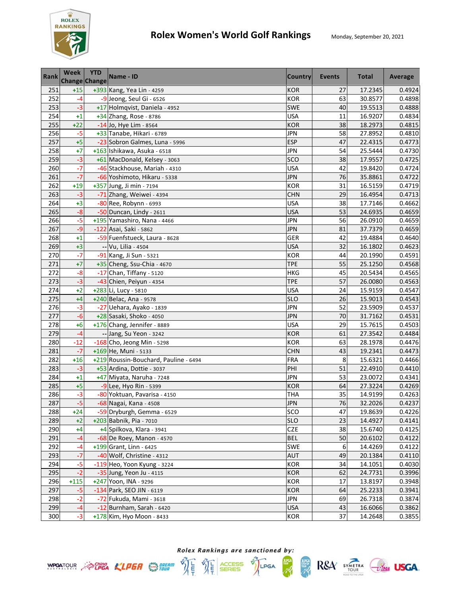

| <b>Rank</b> | <b>Week</b><br>Change Change | <b>YTD</b> | Name - ID                             | <b>Country</b> | <b>Events</b> | <b>Total</b> | Average |
|-------------|------------------------------|------------|---------------------------------------|----------------|---------------|--------------|---------|
| 251         | $+15$                        |            | +393 Kang, Yea Lin - 4259             | <b>KOR</b>     | 27            | 17.2345      | 0.4924  |
| 252         | $-4$                         |            | -9 Jeong, Seul Gi - 6526              | <b>KOR</b>     | 63            | 30.8577      | 0.4898  |
| 253         | $-3$                         |            | +17 Holmqvist, Daniela - 4952         | <b>SWE</b>     | 40            | 19.5513      | 0.4888  |
| 254         | $+1$                         |            | +34 Zhang, Rose - 8786                | <b>USA</b>     | 11            | 16.9207      | 0.4834  |
| 255         | $+22$                        |            | -14 Jo, Hye Lim - 8564                | <b>KOR</b>     | 38            | 18.2973      | 0.4815  |
| 256         | $-5$                         |            | +33 Tanabe, Hikari - 6789             | <b>JPN</b>     | 58            | 27.8952      | 0.4810  |
| 257         | $+5$                         |            | -23 Sobron Galmes, Luna - 5996        | <b>ESP</b>     | 47            | 22.4315      | 0.4773  |
| 258         | $+7$                         |            | +163 Ishikawa, Asuka - 6518           | <b>JPN</b>     | 54            | 25.5444      | 0.4730  |
| 259         | $-3$                         |            | +61 MacDonald, Kelsey - 3063          | SCO            | 38            | 17.9557      | 0.4725  |
| 260         | $-7$                         |            | -46 Stackhouse, Mariah - 4310         | <b>USA</b>     | 42            | 19.8420      | 0.4724  |
| 261         | $-7$                         |            | -66 Yoshimoto, Hikaru - 5338          | <b>JPN</b>     | 76            | 35.8861      | 0.4722  |
| 262         | $+19$                        |            | +357 Jung, Ji min - 7194              | <b>KOR</b>     | 31            | 16.5159      | 0.4719  |
| 263         | $-3$                         |            | -71 Zhang, Weiwei - 4394              | <b>CHN</b>     | 29            | 16.4954      | 0.4713  |
| 264         | $+3$                         |            | -80 Ree, Robynn - 6993                | <b>USA</b>     | 38            | 17.7146      | 0.4662  |
| 265         | $-8$                         |            | -50 Duncan, Lindy - 2611              | <b>USA</b>     | 53            | 24.6935      | 0.4659  |
| 266         | $-5$                         |            | +195 Yamashiro, Nana - 4466           | <b>JPN</b>     | 56            | 26.0910      | 0.4659  |
| 267         | $-9$                         |            | -122 Asai, Saki - 5862                | <b>JPN</b>     | 81            | 37.7379      | 0.4659  |
| 268         | $+1$                         |            | -59 Fuenfstueck, Laura - 8628         | GER            | 42            | 19.4884      | 0.4640  |
| 269         | $+3$                         |            | -- Vu, Lilia - 4504                   | <b>USA</b>     | 32            | 16.1802      | 0.4623  |
| 270         | $-7$                         |            | -91 Kang, Ji Sun - 5321               | <b>KOR</b>     | 44            | 20.1990      | 0.4591  |
| 271         | $+7$                         |            | +35 Cheng, Ssu-Chia - 4670            | <b>TPE</b>     | 55            | 25.1250      | 0.4568  |
| 272         | $-8$                         |            | $-17$ Chan, Tiffany - 5120            | <b>HKG</b>     | 45            | 20.5434      | 0.4565  |
| 273         | $-3$                         |            | -43 Chien, Peiyun - 4354              | <b>TPE</b>     | 57            | 26.0080      | 0.4563  |
| 274         | $+2$                         |            | +283 Li, Lucy - 5810                  | <b>USA</b>     | 24            | 15.9159      | 0.4547  |
| 275         | $+4$                         |            | +240 Belac, Ana - 9578                | <b>SLO</b>     | 26            | 15.9013      | 0.4543  |
| 276         | $-3$                         |            | -27 Uehara, Ayako - 1839              | <b>JPN</b>     | 52            | 23.5909      | 0.4537  |
| 277         | $-6$                         |            | +28 Sasaki, Shoko - 4050              | <b>JPN</b>     | 70            | 31.7162      | 0.4531  |
| 278         | $+6$                         |            | +176 Chang, Jennifer - 8889           | <b>USA</b>     | 29            | 15.7615      | 0.4503  |
| 279         | $-4$                         |            | -- Jang, Su Yeon - 3242               | <b>KOR</b>     | 61            | 27.3542      | 0.4484  |
| 280         | $-12$                        |            | -168 Cho, Jeong Min - 5298            | <b>KOR</b>     | 63            | 28.1978      | 0.4476  |
| 281         | $-7$                         |            | +169 He, Muni - 5133                  | <b>CHN</b>     | 43            | 19.2341      | 0.4473  |
| 282         | $+16$                        |            | +219 Roussin-Bouchard, Pauline - 6494 | <b>FRA</b>     | 8             | 15.6321      | 0.4466  |
| 283         | $-3$                         |            | +53 Ardina, Dottie - 3037             | PHI            | 51            | 22.4910      | 0.4410  |
| 284         | $+1$                         |            | +47 Miyata, Naruha - 7248             | <b>JPN</b>     | 53            | 23.0072      | 0.4341  |
| 285         | $+5$                         |            | -9 Lee, Hyo Rin - 5399                | <b>KOR</b>     | 64            | 27.3224      | 0.4269  |
| 286         | $-3$                         |            | -80 Yoktuan, Pavarisa - 4150          | <b>THA</b>     | 35            | 14.9199      | 0.4263  |
| 287         | $-5$                         |            | -68 Nagai, Kana - 4508                | JPN            | 76            | 32.2026      | 0.4237  |
| 288         | $+24$                        |            | -59 Dryburgh, Gemma - 6529            | <b>SCO</b>     | 47            | 19.8639      | 0.4226  |
| 289         | $+2$                         |            | +203 Babnik, Pia - 7010               | <b>SLO</b>     | 23            | 14.4927      | 0.4141  |
| 290         | +4                           |            | +4 Spilkova, Klara - 3941             | CZE            | 38            | 15.6740      | 0.4125  |
| 291         | $-4$                         |            | -68 De Roey, Manon - 4570             | <b>BEL</b>     | 50            | 20.6102      | 0.4122  |
| 292         | -4                           |            | $+199$ Grant, Linn - 6425             | SWE            | 6             | 14.4269      | 0.4122  |
| 293         | $-7$                         |            | -40 Wolf, Christine - 4312            | AUT            | 49            | 20.1384      | 0.4110  |
| 294         | -5                           |            | -119 Heo, Yoon Kyung - 3224           | KOR            | 34            | 14.1051      | 0.4030  |
| 295         | $-2$                         |            | -35 Jung, Yeon Ju - 4115              | <b>KOR</b>     | 62            | 24.7731      | 0.3996  |
| 296         | $+115$                       |            | +247 Yoon, INA - 9296                 | <b>KOR</b>     | 17            | 13.8197      | 0.3948  |
| 297         | $-5$                         |            | -134 Park, SEO JIN - 6119             | <b>KOR</b>     | 64            | 25.2233      | 0.3941  |
| 298         | $-2$                         |            | -72 Fukuda, Mami - 3618               | <b>JPN</b>     | 69            | 26.7318      | 0.3874  |
| 299         | $-4$                         |            | -12 Burnham, Sarah - 6420             | <b>USA</b>     | 43            | 16.6066      | 0.3862  |
| 300         | $-3$                         |            | +178 Kim, Hyo Moon - 8433             | <b>KOR</b>     | 37            | 14.2648      | 0.3855  |

Rolex Rankings are sanctioned by: **WPOATOUR** ACPEA KLPER SERIES TO LPGA

體

 $RSA$  SYMETRA  $G$ lega USGA.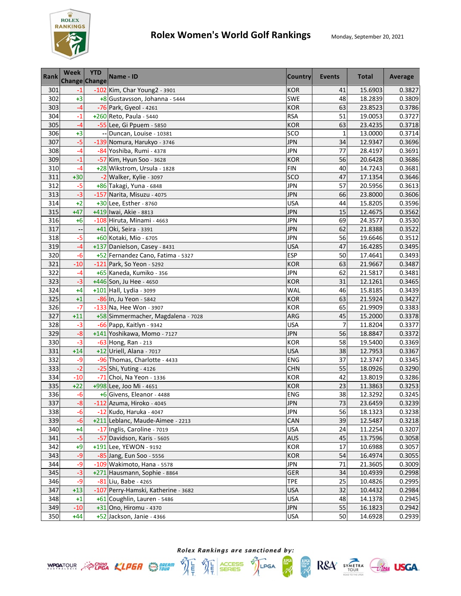

| <b>Rank</b> | Week<br><b>Change Change</b> | <b>YTD</b> | Name - ID                           | Country    | Events         | <b>Total</b> | Average |
|-------------|------------------------------|------------|-------------------------------------|------------|----------------|--------------|---------|
| 301         | $-1$                         |            | -102 Kim, Char Young2 - 3901        | <b>KOR</b> | 41             | 15.6903      | 0.3827  |
| 302         | $+3$                         |            | +8 Gustavsson, Johanna - 5444       | SWE        | 48             | 18.2839      | 0.3809  |
| 303         | -4                           |            | -76 Park, Gyeol - 4261              | <b>KOR</b> | 63             | 23.8523      | 0.3786  |
| 304         | $-1$                         |            | +260 Reto, Paula - 5440             | <b>RSA</b> | 51             | 19.0053      | 0.3727  |
| 305         | $-4$                         |            | -55 Lee, Gi Ppuem - 5850            | <b>KOR</b> | 63             | 23.4235      | 0.3718  |
| 306         | $+3$                         |            | -- Duncan, Louise - 10381           | SCO        | $\mathbf{1}$   | 13.0000      | 0.3714  |
| 307         | $-5$                         |            | -139 Nomura, Harukyo - 3746         | <b>JPN</b> | 34             | 12.9347      | 0.3696  |
| 308         | $-4$                         |            | -84 Yoshiba, Rumi - 4378            | <b>JPN</b> | 77             | 28.4197      | 0.3691  |
| 309         | $-1$                         |            | -57 Kim, Hyun Soo - 3628            | <b>KOR</b> | 56             | 20.6428      | 0.3686  |
| 310         | -4                           |            | +28 Wikstrom, Ursula - 1828         | <b>FIN</b> | 40             | 14.7243      | 0.3681  |
| 311         | $+30$                        |            | -2 Walker, Kylie - 3097             | SCO        | 47             | 17.1354      | 0.3646  |
| 312         | $-5$                         |            | +86 Takagi, Yuna - 6848             | <b>JPN</b> | 57             | 20.5956      | 0.3613  |
| 313         | $-3$                         |            | -157 Narita, Misuzu - 4075          | JPN        | 66             | 23.8000      | 0.3606  |
| 314         | $+2$                         |            | +30 Lee, Esther - 8760              | <b>USA</b> | 44             | 15.8205      | 0.3596  |
| 315         | $+47$                        |            | +419 Iwai, Akie - 8813              | <b>JPN</b> | 15             | 12.4675      | 0.3562  |
| 316         | $+6$                         |            | -108 Hiruta, Minami - 4663          | <b>JPN</b> | 69             | 24.3577      | 0.3530  |
| 317         |                              |            | +41 Oki, Seira - 3391               | <b>JPN</b> | 62             | 21.8388      | 0.3522  |
| 318         | $-5$                         |            | +60 Kotaki, Mio - 6705              | <b>JPN</b> | 56             | 19.6646      | 0.3512  |
| 319         | $-4$                         |            | +137 Danielson, Casey - 8431        | <b>USA</b> | 47             | 16.4285      | 0.3495  |
| 320         | $-6$                         |            | +52 Fernandez Cano, Fatima - 5327   | <b>ESP</b> | 50             | 17.4641      | 0.3493  |
| 321         | $-10$                        |            | -121 Park, So Yeon - 5292           | <b>KOR</b> | 63             | 21.9667      | 0.3487  |
| 322         | $-4$                         |            | +65 Kaneda, Kumiko - 356            | <b>JPN</b> | 62             | 21.5817      | 0.3481  |
| 323         | $-3$                         |            | +446 Son, Ju Hee - 4650             | <b>KOR</b> | 31             | 12.1261      | 0.3465  |
| 324         | +4                           |            | +101 Hall, Lydia - 3099             | WAL        | 46             | 15.8185      | 0.3439  |
| 325         | $+1$                         |            | -86 In, Ju Yeon - 5842              | <b>KOR</b> | 63             | 21.5924      | 0.3427  |
| 326         | $-7$                         |            | -133 Na, Hee Won - 3907             | <b>KOR</b> | 65             | 21.9909      | 0.3383  |
| 327         | $+11$                        |            | +58 Simmermacher, Magdalena - 7028  | ARG        | 45             | 15.2000      | 0.3378  |
| 328         | $-3$                         |            | $-66$ Papp, Kaitlyn - 9342          | <b>USA</b> | $\overline{7}$ | 11.8204      | 0.3377  |
| 329         | $-8$                         |            | +141 Yoshikawa, Momo - 7127         | <b>JPN</b> | 56             | 18.8847      | 0.3372  |
| 330         | $-3$                         |            | -63 Hong, Ran - 213                 | <b>KOR</b> | 58             | 19.5400      | 0.3369  |
| 331         | $+14$                        |            | +12 Uriell, Alana - 7017            | <b>USA</b> | 38             | 12.7953      | 0.3367  |
| 332         | -9                           |            | -96 Thomas, Charlotte - 4433        | ENG        | 37             | 12.3747      | 0.3345  |
| 333         | $-2$                         |            | -25 Shi, Yuting - 4126              | <b>CHN</b> | 55             | 18.0926      | 0.3290  |
| 334         | $-10$                        |            | -71 Choi, Na Yeon - 1336            | <b>KOR</b> | 42             | 13.8019      | 0.3286  |
| 335         | $+22$                        |            | +998 Lee, Joo Mi - 4651             | <b>KOR</b> | 23             | 11.3863      | 0.3253  |
| 336         | $-6$                         |            | +6 Givens, Eleanor - 4488           | ENG        | 38             | 12.3292      | 0.3245  |
| 337         | $-8$                         |            | $-112$ Azuma, Hiroko - 4045         | <b>JPN</b> | 73             | 23.6459      | 0.3239  |
| 338         | $-6$                         |            | -12 Kudo, Haruka - 4047             | <b>JPN</b> | 56             | 18.1323      | 0.3238  |
| 339         | $-6$                         |            | +211 Leblanc, Maude-Aimee - 2213    | CAN        | 39             | 12.5487      | 0.3218  |
| 340         | $+4$                         |            | -17 Inglis, Caroline - 7019         | USA        | 24             | 11.2254      | 0.3207  |
| 341         | $-5$                         |            | -57 Davidson, Karis - 5605          | <b>AUS</b> | 45             | 13.7596      | 0.3058  |
| 342         | $+9$                         |            | +191 Lee, YEWON - 9192              | KOR        | 17             | 10.6988      | 0.3057  |
| 343         | $-9$                         |            | -85 Jang, Eun Soo - 5556            | <b>KOR</b> | 54             | 16.4974      | 0.3055  |
| 344         | -9                           |            | -109 Wakimoto, Hana - 5578          | <b>JPN</b> | 71             | 21.3605      | 0.3009  |
| 345         | $-3$                         |            | +271 Hausmann, Sophie - 8864        | GER        | 34             | 10.4939      | 0.2998  |
| 346         | -9                           |            | -81 Liu, Babe - 4265                | <b>TPE</b> | 25             | 10.4826      | 0.2995  |
| 347         | $+13$                        |            | -107 Perry-Hamski, Katherine - 3682 | <b>USA</b> | 32             | 10.4432      | 0.2984  |
| 348         | $+1$                         |            | +61 Coughlin, Lauren - 5486         | <b>USA</b> | 48             | 14.1378      | 0.2945  |
| 349         | $-10$                        |            | +31 Ono, Hiromu - 4370              | <b>JPN</b> | 55             | 16.1823      | 0.2942  |
| 350         | +44                          |            | +52 Jackson, Janie - 4366           | <b>USA</b> | 50             | 14.6928      | 0.2939  |



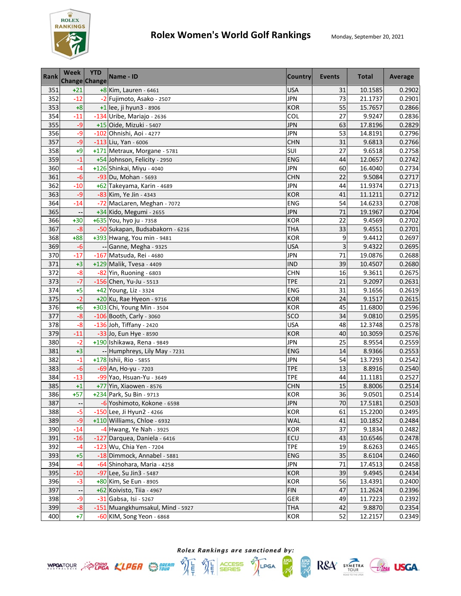

| <b>Rank</b> | <b>Week</b><br><b>Change Change</b> | <b>YTD</b> | Name - ID                        | <b>Country</b> | Events | <b>Total</b> | Average |
|-------------|-------------------------------------|------------|----------------------------------|----------------|--------|--------------|---------|
| 351         | $+21$                               |            | $+8$ Kim, Lauren - 6461          | <b>USA</b>     | 31     | 10.1585      | 0.2902  |
| 352         | $-12$                               |            | -2 Fujimoto, Asako - 2507        | <b>JPN</b>     | 73     | 21.1737      | 0.2901  |
| 353         | $+8$                                |            | $+1$ lee, ji hyun3 - 8906        | <b>KOR</b>     | 55     | 15.7657      | 0.2866  |
| 354         | $-11$                               |            | -134 Uribe, Mariajo - 2636       | COL            | 27     | 9.9247       | 0.2836  |
| 355         | $-9$                                |            | +15 Oide, Mizuki - 5407          | <b>JPN</b>     | 63     | 17.8196      | 0.2829  |
| 356         | $-9$                                |            | -102 Ohnishi, Aoi - 4277         | <b>JPN</b>     | 53     | 14.8191      | 0.2796  |
| 357         | $-9$                                |            | -113 Liu, Yan - 6006             | <b>CHN</b>     | 31     | 9.6813       | 0.2766  |
| 358         | $+9$                                |            | +171 Metraux, Morgane - 5781     | SUI            | 27     | 9.6518       | 0.2758  |
| 359         | $-1$                                |            | +54 Johnson, Felicity - 2950     | <b>ENG</b>     | 44     | 12.0657      | 0.2742  |
| 360         | -4                                  |            | +126 Shinkai, Miyu - 4040        | <b>JPN</b>     | 60     | 16.4040      | 0.2734  |
| 361         | $-6$                                |            | -93 Du, Mohan - 5693             | <b>CHN</b>     | 22     | 9.5084       | 0.2717  |
| 362         | $-10$                               |            | +62 Takeyama, Karin - 4689       | JPN            | 44     | 11.9374      | 0.2713  |
| 363         | $-9$                                |            | -83 Kim, Ye Jin - 4343           | <b>KOR</b>     | 41     | 11.1211      | 0.2712  |
| 364         | $-14$                               |            | -72 MacLaren, Meghan - 7072      | ENG            | 54     | 14.6233      | 0.2708  |
| 365         |                                     |            | +34 Kido, Megumi - 2655          | <b>JPN</b>     | 71     | 19.1967      | 0.2704  |
| 366         | $+30$                               |            | +635 You, hyo ju - 7358          | <b>KOR</b>     | 22     | 9.4569       | 0.2702  |
| 367         | $-8$                                |            | -50 Sukapan, Budsabakorn - 6216  | <b>THA</b>     | 33     | 9.4551       | 0.2701  |
| 368         | $+88$                               |            | +393 Hwang, You min - 9481       | <b>KOR</b>     | 9      | 9.4412       | 0.2697  |
| 369         | $-6$                                |            | -- Ganne, Megha - 9325           | <b>USA</b>     | 3      | 9.4322       | 0.2695  |
| 370         | $-17$                               |            | -167 Matsuda, Rei - 4680         | <b>JPN</b>     | 71     | 19.0876      | 0.2688  |
| 371         | $+3$                                |            | +129 Malik, Tvesa - 4409         | <b>IND</b>     | 39     | 10.4507      | 0.2680  |
| 372         | $-8$                                |            | -82 Yin, Ruoning - 6803          | <b>CHN</b>     | 16     | 9.3611       | 0.2675  |
| 373         | $-7$                                |            | $-156$ Chen, Yu-Ju - 5513        | <b>TPE</b>     | 21     | 9.2097       | 0.2631  |
| 374         | $+5$                                |            | +42 Young, Liz - 3324            | ENG            | 31     | 9.1656       | 0.2619  |
| 375         | $-2$                                |            | +20 Ku, Rae Hyeon - 9716         | <b>KOR</b>     | 24     | 9.1517       | 0.2615  |
| 376         | $+6$                                |            | +303 Chi, Young Min - 3504       | <b>KOR</b>     | 45     | 11.6800      | 0.2596  |
| 377         | $-8$                                |            | -106 Booth, Carly - 3060         | SCO            | 34     | 9.0810       | 0.2595  |
| 378         | $-8$                                |            | -136 Joh, Tiffany - 2420         | <b>USA</b>     | 48     | 12.3748      | 0.2578  |
| 379         | $-11$                               |            | -33 Jo, Eun Hye - 8590           | <b>KOR</b>     | 40     | 10.3059      | 0.2576  |
| 380         | $-2$                                |            | +190 Ishikawa, Rena - 9849       | <b>JPN</b>     | 25     | 8.9554       | 0.2559  |
| 381         | $+3$                                |            | -- Humphreys, Lily May - 7231    | <b>ENG</b>     | 14     | 8.9366       | 0.2553  |
| 382         | $-1$                                |            | +178 Ishii, Rio - 5855           | <b>JPN</b>     | 54     | 13.7293      | 0.2542  |
| 383         | $-6$                                |            | -69 An, Ho-yu - 7203             | <b>TPE</b>     | 13     | 8.8916       | 0.2540  |
| 384         | $-13$                               |            | -99 Yao, Hsuan-Yu - 3649         | <b>TPE</b>     | 44     | 11.1181      | 0.2527  |
| 385         | $+1$                                |            | +77 Yin, Xiaowen - 8576          | <b>CHN</b>     | 15     | 8.8006       | 0.2514  |
| 386         | $+57$                               |            | +234 Park, Su Bin - 9713         | <b>KOR</b>     | 36     | 9.0501       | 0.2514  |
| 387         | $\overline{\phantom{a}}$            |            | -6 Yoshimoto, Kokone - 6598      | <b>JPN</b>     | 70     | 17.5181      | 0.2503  |
| 388         | $-5$                                |            | -150 Lee, Ji Hyun2 - 4266        | KOR            | 61     | 15.2200      | 0.2495  |
| 389         | -9                                  |            | +110 Williams, Chloe - 6932      | WAL            | 41     | 10.1852      | 0.2484  |
| 390         | $-14$                               |            | $-4$ Hwang, Ye Nah - 3925        | <b>KOR</b>     | 37     | 9.1834       | 0.2482  |
| 391         | $-16$                               |            | -127 Darquea, Daniela - 6416     | ECU            | 43     | 10.6546      | 0.2478  |
| 392         | -4                                  |            | -123 Wu, Chia Yen - 7204         | <b>TPE</b>     | 19     | 8.6263       | 0.2465  |
| 393         | $+5$                                |            | -18 Dimmock, Annabel - 5881      | ENG            | 35     | 8.6104       | 0.2460  |
| 394         | $-4$                                |            | -64 Shinohara, Maria - 4258      | <b>JPN</b>     | 71     | 17.4513      | 0.2458  |
| 395         | $-10$                               |            | -97 Lee, Su Jin3 - 5487          | <b>KOR</b>     | 39     | 9.4945       | 0.2434  |
| 396         | $-3$                                |            | +80 Kim, Se Eun - 8905           | KOR            | 56     | 13.4391      | 0.2400  |
| 397         |                                     |            | +62 Koivisto, Tiia - 4967        | <b>FIN</b>     | 47     | 11.2624      | 0.2396  |
| 398         | -9                                  |            | -31 Gabsa, Isi - 5267            | <b>GER</b>     | 49     | 11.7223      | 0.2392  |
| 399         | $-8$                                |            | -151 Muangkhumsakul, Mind - 5927 | <b>THA</b>     | 42     | 9.8870       | 0.2354  |
| 400         | $+7$                                |            | -60 KIM, Song Yeon - 6868        | <b>KOR</b>     | 52     | 12.2157      | 0.2349  |



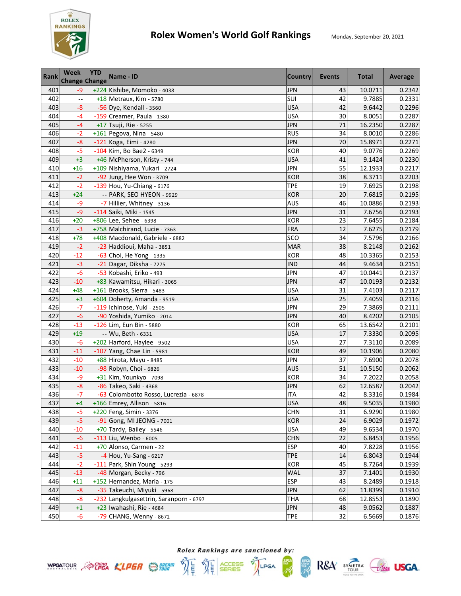

| <b>Rank</b> | <b>Week</b><br><b>Change Change</b> | <b>YTD</b> | Name - ID                               | <b>Country</b> | Events | <b>Total</b> | Average |
|-------------|-------------------------------------|------------|-----------------------------------------|----------------|--------|--------------|---------|
| 401         | -9                                  |            | +224 Kishibe, Momoko - 4038             | <b>JPN</b>     | 43     | 10.0711      | 0.2342  |
| 402         |                                     |            | +18 Metraux, Kim - 5780                 | SUI            | 42     | 9.7885       | 0.2331  |
| 403         | $-8$                                |            | -56 Dye, Kendall - 3560                 | <b>USA</b>     | 42     | 9.6442       | 0.2296  |
| 404         | -4                                  |            | -159 Creamer, Paula - 1380              | <b>USA</b>     | 30     | 8.0051       | 0.2287  |
| 405         | $-4$                                |            | +17 Tsuji, Rie - 5255                   | <b>JPN</b>     | 71     | 16.2350      | 0.2287  |
| 406         | $-2$                                |            | +161 Pegova, Nina - 5480                | <b>RUS</b>     | 34     | 8.0010       | 0.2286  |
| 407         | $-8$                                |            | -121 Koga, Eimi - 4280                  | <b>JPN</b>     | 70     | 15.8971      | 0.2271  |
| 408         | $-5$                                |            | -104 Kim, Bo Bae2 - 6349                | <b>KOR</b>     | 40     | 9.0776       | 0.2269  |
| 409         | $+3$                                |            | +46 McPherson, Kristy - 744             | <b>USA</b>     | 41     | 9.1424       | 0.2230  |
| 410         | $+16$                               |            | +109 Nishiyama, Yukari - 2724           | <b>JPN</b>     | 55     | 12.1933      | 0.2217  |
| 411         | $-2$                                |            | -92 Jung, Hee Won - 3709                | <b>KOR</b>     | 38     | 8.3711       | 0.2203  |
| 412         | $-2$                                |            | -139 Hou, Yu-Chiang - 6176              | <b>TPE</b>     | 19     | 7.6925       | 0.2198  |
| 413         | $+24$                               |            | -- PARK, SEO HYEON - 9929               | <b>KOR</b>     | 20     | 7.6815       | 0.2195  |
| 414         | -9                                  |            | -7 Hillier, Whitney - 3136              | <b>AUS</b>     | 46     | 10.0886      | 0.2193  |
| 415         | $-9$                                |            | -114 Saiki, Miki - 1545                 | <b>JPN</b>     | 31     | 7.6756       | 0.2193  |
| 416         | $+20$                               |            | +806 Lee, Sehee - 6398                  | <b>KOR</b>     | 23     | 7.6455       | 0.2184  |
| 417         | $-3$                                |            | +758 Malchirand, Lucie - 7363           | <b>FRA</b>     | 12     | 7.6275       | 0.2179  |
| 418         | $+78$                               |            | +408 Macdonald, Gabriele - 6882         | SCO            | 34     | 7.5796       | 0.2166  |
| 419         | $-2$                                |            | -23 Haddioui, Maha - 3851               | <b>MAR</b>     | 38     | 8.2148       | 0.2162  |
| 420         | $-12$                               |            | -63 Choi, He Yong - 1335                | <b>KOR</b>     | 48     | 10.3365      | 0.2153  |
| 421         | $-3$                                |            | -21 Dagar, Diksha - 7275                | <b>IND</b>     | 44     | 9.4634       | 0.2151  |
| 422         | $-6$                                |            | -53 Kobashi, Eriko - 493                | <b>JPN</b>     | 47     | 10.0441      | 0.2137  |
| 423         | $-10$                               |            | +83 Kawamitsu, Hikari - 3065            | <b>JPN</b>     | 47     | 10.0193      | 0.2132  |
| 424         | $+48$                               |            | +161 Brooks, Sierra - 5483              | <b>USA</b>     | 31     | 7.4103       | 0.2117  |
| 425         | $+3$                                |            | +604 Doherty, Amanda - 9519             | <b>USA</b>     | 25     | 7.4059       | 0.2116  |
| 426         | $-7$                                |            | -119 Ichinose, Yuki - 2505              | <b>JPN</b>     | 29     | 7.3869       | 0.2111  |
| 427         | $-6$                                |            | -90 Yoshida, Yumiko - 2014              | <b>JPN</b>     | 40     | 8.4202       | 0.2105  |
| 428         | $-13$                               |            | -126 Lim, Eun Bin - 5880                | <b>KOR</b>     | 65     | 13.6542      | 0.2101  |
| 429         | $+19$                               |            | -- Wu, Beth - 6331                      | <b>USA</b>     | 17     | 7.3330       | 0.2095  |
| 430         | $-6$                                |            | +202 Harford, Haylee - 9502             | <b>USA</b>     | 27     | 7.3110       | 0.2089  |
| 431         | $-11$                               |            | -107 Yang, Chae Lin - 5981              | <b>KOR</b>     | 49     | 10.1906      | 0.2080  |
| 432         | $-10$                               |            | +88 Hirota, Mayu - 8485                 | <b>JPN</b>     | 37     | 7.6900       | 0.2078  |
| 433         | $-10$                               |            | -98 Robyn, Choi - 6826                  | <b>AUS</b>     | 51     | 10.5150      | 0.2062  |
| 434         | -9                                  |            | +31 Kim, Younkyo - 7098                 | <b>KOR</b>     | 34     | 7.2022       | 0.2058  |
| 435         | $-8$                                |            | -86 Takeo, Saki - 4368                  | <b>JPN</b>     | 62     | 12.6587      | 0.2042  |
| 436         | $-7$                                |            | -63 Colombotto Rosso, Lucrezia - 6878   | <b>ITA</b>     | 42     | 8.3316       | 0.1984  |
| 437         | $+4$                                |            | +166 Emrey, Allison - 5816              | <b>USA</b>     | 48     | 9.5035       | 0.1980  |
| 438         | $-5$                                |            | $+220$ Feng, Simin - 3376               | <b>CHN</b>     | 31     | 6.9290       | 0.1980  |
| 439         | $-5$                                |            | -91 Gong, MI JEONG - 7001               | KOR            | 24     | 6.9029       | 0.1972  |
| 440         | $-10$                               |            | +70 Tardy, Bailey - 5546                | <b>USA</b>     | 49     | 9.6534       | 0.1970  |
| 441         | $-6$                                |            | -113 Liu, Wenbo - 6005                  | <b>CHN</b>     | 22     | 6.8453       | 0.1956  |
| 442         | $-11$                               |            | +70 Alonso, Carmen - 22                 | <b>ESP</b>     | 40     | 7.8228       | 0.1956  |
| 443         | $-5$                                |            | -4 Hou, Yu-Sang - 6217                  | <b>TPE</b>     | 14     | 6.8043       | 0.1944  |
| 444         | $-2$                                |            | -111 Park, Shin Young - 5293            | <b>KOR</b>     | 45     | 8.7264       | 0.1939  |
| 445         | $-13$                               |            | -48 Morgan, Becky - 796                 | <b>WAL</b>     | 37     | 7.1401       | 0.1930  |
| 446         | $+11$                               |            | +152 Hernandez, Maria - 175             | <b>ESP</b>     | 43     | 8.2489       | 0.1918  |
| 447         | $-8$                                |            | -35 Takeuchi, Miyuki - 5968             | <b>JPN</b>     | 62     | 11.8399      | 0.1910  |
| 448         | $-8$                                |            | -232 Langkulgasettrin, Saranporn - 6797 | <b>THA</b>     | 68     | 12.8553      | 0.1890  |
| 449         | $+1$                                |            | +23 Iwahashi, Rie - 4684                | <b>JPN</b>     | 48     | 9.0562       | 0.1887  |
| 450         | $-6$                                |            | -79 CHANG, Wenny - 8672                 | <b>TPE</b>     | 32     | 6.5669       | 0.1876  |



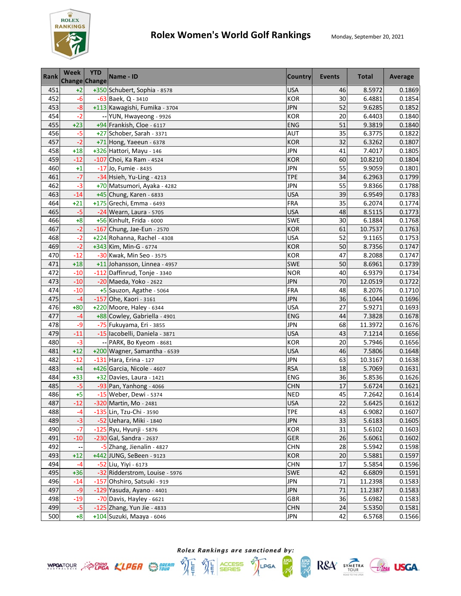

| <b>Rank</b> | <b>Week</b><br><b>Change Change</b> | <b>YTD</b> | Name - ID                      | <b>Country</b> | Events | <b>Total</b> | Average |
|-------------|-------------------------------------|------------|--------------------------------|----------------|--------|--------------|---------|
| 451         | $+2$                                |            | +350 Schubert, Sophia - 8578   | <b>USA</b>     | 46     | 8.5972       | 0.1869  |
| 452         | $-6$                                |            | -63 Baek, Q - 3410             | <b>KOR</b>     | 30     | 6.4881       | 0.1854  |
| 453         | $-8$                                |            | +113 Kawagishi, Fumika - 3704  | <b>JPN</b>     | 52     | 9.6285       | 0.1852  |
| 454         | $-2$                                |            | -- YUN, Hwayeong - 9926        | <b>KOR</b>     | 20     | 6.4403       | 0.1840  |
| 455         | $+23$                               |            | +94 Frankish, Cloe - 6117      | ENG            | 51     | 9.3819       | 0.1840  |
| 456         | $-5$                                |            | +27 Schober, Sarah - 3371      | <b>AUT</b>     | 35     | 6.3775       | 0.1822  |
| 457         | $-2$                                |            | +71 Hong, Yaeeun - 6378        | <b>KOR</b>     | 32     | 6.3262       | 0.1807  |
| 458         | $+18$                               |            | +326 Hattori, Mayu - 146       | <b>JPN</b>     | 41     | 7.4017       | 0.1805  |
| 459         | $-12$                               |            | -107 Choi, Ka Ram - 4524       | <b>KOR</b>     | 60     | 10.8210      | 0.1804  |
| 460         | $+1$                                |            | -17 Jo, Fumie - 8435           | <b>JPN</b>     | 55     | 9.9059       | 0.1801  |
| 461         | $-7$                                |            | -34 Hsieh, Yu-Ling - 4213      | <b>TPE</b>     | 34     | 6.2963       | 0.1799  |
| 462         | $-3$                                |            | +70 Matsumori, Ayaka - 4282    | <b>JPN</b>     | 55     | 9.8366       | 0.1788  |
| 463         | $-14$                               |            | +45 Chung, Karen - 6833        | <b>USA</b>     | 39     | 6.9549       | 0.1783  |
| 464         | $+21$                               |            | +175 Grechi, Emma - 6493       | <b>FRA</b>     | 35     | 6.2074       | 0.1774  |
| 465         | $-5$                                |            | -24 Wearn, Laura - 5705        | <b>USA</b>     | 48     | 8.5115       | 0.1773  |
| 466         | $+8$                                |            | +56 Kinhult, Frida - 6000      | <b>SWE</b>     | 30     | 6.1884       | 0.1768  |
| 467         | $-2$                                |            | -167 Chung, Jae-Eun - 2570     | <b>KOR</b>     | 61     | 10.7537      | 0.1763  |
| 468         | $-2$                                |            | +224 Rohanna, Rachel - 4308    | <b>USA</b>     | 52     | 9.1165       | 0.1753  |
| 469         | $-2$                                |            | +343 Kim, Min-G - 6774         | <b>KOR</b>     | 50     | 8.7356       | 0.1747  |
| 470         | $-12$                               |            | -30 Kwak, Min Seo - 3575       | <b>KOR</b>     | 47     | 8.2088       | 0.1747  |
| 471         | $+18$                               |            | +11 Johansson, Linnea - 4957   | SWE            | 50     | 8.6961       | 0.1739  |
| 472         | $-10$                               |            | -112 Daffinrud, Tonje - 3340   | <b>NOR</b>     | 40     | 6.9379       | 0.1734  |
| 473         | $-10$                               |            | -20 Maeda, Yoko - 2622         | <b>JPN</b>     | 70     | 12.0519      | 0.1722  |
| 474         | $-10$                               |            | +5 Sauzon, Agathe - 5064       | <b>FRA</b>     | 48     | 8.2076       | 0.1710  |
| 475         | $-4$                                |            | -157 Ohe, Kaori - 3161         | <b>JPN</b>     | 36     | 6.1044       | 0.1696  |
| 476         | $+80$                               |            | +220 Moore, Haley - 6344       | <b>USA</b>     | 27     | 5.9271       | 0.1693  |
| 477         | $-4$                                |            | +88 Cowley, Gabriella - 4901   | <b>ENG</b>     | 44     | 7.3828       | 0.1678  |
| 478         | $-9$                                |            | -75 Fukuyama, Eri - 3855       | <b>JPN</b>     | 68     | 11.3972      | 0.1676  |
| 479         | $-11$                               |            | -15 lacobelli, Daniela - 3871  | <b>USA</b>     | 43     | 7.1214       | 0.1656  |
| 480         | $-3$                                |            | -- PARK, Bo Kyeom - 8681       | <b>KOR</b>     | 20     | 5.7946       | 0.1656  |
| 481         | $+12$                               |            | +200 Wagner, Samantha - 6539   | <b>USA</b>     | 46     | 7.5806       | 0.1648  |
| 482         | $-12$                               |            | -131 Hara, Erina - 127         | <b>JPN</b>     | 63     | 10.3167      | 0.1638  |
| 483         | $+4$                                |            | $+426$ Garcia, Nicole - 4607   | <b>RSA</b>     | 18     | 5.7069       | 0.1631  |
| 484         | $+33$                               |            | +32 Davies, Laura - 1421       | ENG            | 36     | 5.8536       | 0.1626  |
| 485         | $-5$                                |            | -93 Pan, Yanhong - 4066        | <b>CHN</b>     | 17     | 5.6724       | 0.1621  |
| 486         | $+5$                                |            | -15 Weber, Dewi - 5374         | <b>NED</b>     | 45     | 7.2642       | 0.1614  |
| 487         | $-12$                               |            | -320 Martin, Mo - 2481         | <b>USA</b>     | 22     | 5.6425       | 0.1612  |
| 488         | -4                                  |            | -135 Lin, Tzu-Chi - 3590       | <b>TPE</b>     | 43     | 6.9082       | 0.1607  |
| 489         | $-3$                                |            | -52 Uehara, Miki - 1840        | JPN            | 33     | 5.6183       | 0.1605  |
| 490         | $-7$                                |            | -125 Ryu, Hyunji - 5876        | KOR            | 31     | 5.6102       | 0.1603  |
| 491         | $-10$                               |            | $-230$ Gal, Sandra - 2637      | GER            | 26     | 5.6061       | 0.1602  |
| 492         |                                     |            | -5 Zhang, Jienalin - 4827      | <b>CHN</b>     | 28     | 5.5942       | 0.1598  |
| 493         | $+12$                               |            | +442 JUNG, SeBeen - 9123       | KOR            | 20     | 5.5881       | 0.1597  |
| 494         | $-4$                                |            | -52 Liu, Yiyi - 6173           | <b>CHN</b>     | 17     | 5.5854       | 0.1596  |
| 495         | $+36$                               |            | -32 Ridderstrom, Louise - 5976 | <b>SWE</b>     | 42     | 6.6809       | 0.1591  |
| 496         | $-14$                               |            | -157 Ohshiro, Satsuki - 919    | <b>JPN</b>     | 71     | 11.2398      | 0.1583  |
| 497         | $-9$                                |            | -129 Yasuda, Ayano - 4401      | <b>JPN</b>     | 71     | 11.2387      | 0.1583  |
| 498         | $-19$                               |            | -70 Davis, Hayley - 6621       | GBR            | 36     | 5.6982       | 0.1583  |
| 499         | $-5$                                |            | -125 Zhang, Yun Jie - 4833     | <b>CHN</b>     | 24     | 5.5350       | 0.1581  |
| 500         | $+8$                                |            | +104 Suzuki, Maaya - 6046      | <b>JPN</b>     | 42     | 6.5768       | 0.1566  |

Rolex Rankings are sanctioned by: **WPOATOUR** ACPEA KLPER SERIES TO LPGA

體

 $RSA$  SYMETRA  $G$ lega USGA.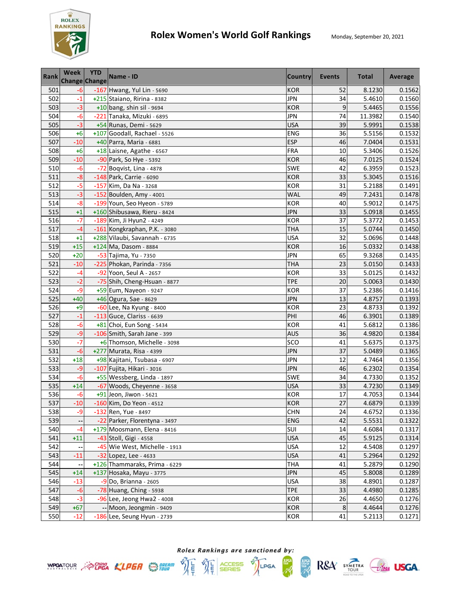

## **Rolex Women's World Golf Rankings** Monday, September 20, 2021

| <b>Rank</b> | Week<br><b>Change Change</b> | <b>YTD</b> | Name - ID                     | <b>Country</b> | <b>Events</b>   | <b>Total</b> | Average |
|-------------|------------------------------|------------|-------------------------------|----------------|-----------------|--------------|---------|
| 501         | $-6$                         |            | -167 Hwang, Yul Lin - 5690    | <b>KOR</b>     | 52              | 8.1230       | 0.1562  |
| 502         | $-1$                         |            | +215 Staiano, Ririna - 8382   | <b>JPN</b>     | 34              | 5.4610       | 0.1560  |
| 503         | $-3$                         |            | $+10$ bang, shin sil - 9694   | <b>KOR</b>     | 9               | 5.4465       | 0.1556  |
| 504         | $-6$                         |            | -221 Tanaka, Mizuki - 6895    | <b>JPN</b>     | 74              | 11.3982      | 0.1540  |
| 505         | $-3$                         |            | +54 Runas, Demi - 5629        | <b>USA</b>     | 39              | 5.9991       | 0.1538  |
| 506         | $+6$                         |            | +107 Goodall, Rachael - 5526  | <b>ENG</b>     | 36              | 5.5156       | 0.1532  |
| 507         | $-10$                        |            | +40 Parra, Maria - 6881       | <b>ESP</b>     | 46              | 7.0404       | 0.1531  |
| 508         | $+6$                         |            | +18 Laisne, Agathe - 6567     | FRA            | 10              | 5.3406       | 0.1526  |
| 509         | $-10$                        |            | -90 Park, So Hye - 5392       | <b>KOR</b>     | 46              | 7.0125       | 0.1524  |
| 510         | $-6$                         |            | -72 Boqvist, Lina - 4878      | SWE            | 42              | 6.3959       | 0.1523  |
| 511         | $-8$                         |            | -148 Park, Carrie - 6090      | <b>KOR</b>     | 33              | 5.3045       | 0.1516  |
| 512         | $-5$                         |            | $-157$ Kim, Da Na - 3268      | <b>KOR</b>     | 31              | 5.2188       | 0.1491  |
| 513         | $-3$                         |            | -152 Boulden, Amy - 4001      | <b>WAL</b>     | 49              | 7.2431       | 0.1478  |
| 514         | $-8$                         |            | -199 Youn, Seo Hyeon - 5789   | <b>KOR</b>     | 40              | 5.9012       | 0.1475  |
| 515         | $+1$                         |            | +160 Shibusawa, Rieru - 8424  | <b>JPN</b>     | 33              | 5.0918       | 0.1455  |
| 516         | $-7$                         |            | -189 Kim, Ji Hyun2 - 4249     | <b>KOR</b>     | 37              | 5.3772       | 0.1453  |
| 517         | -4                           |            | -161 Kongkraphan, P.K. - 3080 | <b>THA</b>     | 15              | 5.0744       | 0.1450  |
| 518         | $+1$                         |            | +288 Vilaubi, Savannah - 6735 | <b>USA</b>     | 32              | 5.0696       | 0.1448  |
| 519         | $+15$                        |            | +124 Ma, Dasom - 8884         | <b>KOR</b>     | 16              | 5.0332       | 0.1438  |
| 520         | $+20$                        |            | -53 Tajima, Yu - 7350         | <b>JPN</b>     | 65              | 9.3268       | 0.1435  |
| 521         | $-10$                        |            | -225 Phokan, Parinda - 7356   | <b>THA</b>     | 23              | 5.0150       | 0.1433  |
| 522         | $-4$                         |            | -92 Yoon, Seul A - 2657       | <b>KOR</b>     | 33              | 5.0125       | 0.1432  |
| 523         | $-2$                         |            | -75 Shih, Cheng-Hsuan - 8877  | <b>TPE</b>     | 20              | 5.0063       | 0.1430  |
| 524         | $-9$                         |            | +59 Eum, Nayeon - 9247        | <b>KOR</b>     | $\overline{37}$ | 5.2386       | 0.1416  |
| 525         | $+40$                        |            | +46 Ogura, Sae - 8629         | <b>JPN</b>     | 13              | 4.8757       | 0.1393  |
| 526         | $+9$                         |            | -60 Lee, Na Kyung - 8400      | <b>KOR</b>     | 23              | 4.8733       | 0.1392  |
| 527         | $-1$                         |            | $-113$ Guce, Clariss - 6639   | PHI            | 46              | 6.3901       | 0.1389  |
| 528         | $-6$                         |            | +81 Choi, Eun Song - 5434     | <b>KOR</b>     | 41              | 5.6812       | 0.1386  |
| 529         | $-9$                         |            | -106 Smith, Sarah Jane - 399  | <b>AUS</b>     | 36              | 4.9820       | 0.1384  |
| 530         | $-7$                         |            | +6 Thomson, Michelle - 3098   | SCO            | 41              | 5.6375       | 0.1375  |
| 531         | $-6$                         |            | +277 Murata, Risa - 4399      | <b>JPN</b>     | 37              | 5.0489       | 0.1365  |
| 532         | $+18$                        |            | +98 Kajitani, Tsubasa - 6907  | <b>JPN</b>     | 12              | 4.7464       | 0.1356  |
| 533         | $-9$                         |            | -107 Fujita, Hikari - 3016    | <b>JPN</b>     | 46              | 6.2302       | 0.1354  |
| 534         | $-6$                         |            | +55 Wessberg, Linda - 1897    | SWE            | 34              | 4.7330       | 0.1352  |
| 535         | $+14$                        |            | -67 Woods, Cheyenne - 3658    | <b>USA</b>     | 33              | 4.7230       | 0.1349  |
| 536         | $-6$                         |            | $+91$ Jeon, Jiwon - 5621      | <b>KOR</b>     | 17              | 4.7053       | 0.1344  |
| 537         | $-10$                        |            | $-160$ Kim. Do Yeon - 4512    | <b>KOR</b>     | 27              | 4.6879       | 0.1339  |
| 538         | -9                           |            | $-132$ Ren, Yue - 8497        | <b>CHN</b>     | 24              | 4.6752       | 0.1336  |
| 539         |                              |            | -22 Parker, Florentyna - 3497 | ENG            | 42              | 5.5531       | 0.1322  |
| 540         | -4                           |            | +179 Moosmann, Elena - 8416   | SUI            | 14              | 4.6084       | 0.1317  |
| 541         | $+11$                        |            | -43 Stoll, Gigi - 4558        | <b>USA</b>     | 45              | 5.9125       | 0.1314  |
| 542         |                              |            | -45 Wie West, Michelle - 1913 | <b>USA</b>     | 12              | 4.5408       | 0.1297  |
| 543         | $-11$                        |            | -32 Lopez, Lee - 4633         | <b>USA</b>     | 41              | 5.2964       | 0.1292  |
| 544         |                              |            | +126 Thammaraks, Prima - 6229 | THA            | 41              | 5.2879       | 0.1290  |
| 545         | $+14$                        |            | +137 Hosaka, Mayu - 3775      | <b>JPN</b>     | 45              | 5.8008       | 0.1289  |
| 546         | $-13$                        |            | -9 Do, Brianna - 2605         | <b>USA</b>     | 38              | 4.8901       | 0.1287  |
| 547         | $-6$                         |            | -78 Huang, Ching - 5938       | <b>TPE</b>     | 33              | 4.4980       | 0.1285  |
| 548         | $-3$                         |            | -96 Lee, Jeong Hwa2 - 4008    | <b>KOR</b>     | 26              | 4.4650       | 0.1276  |
| 549         | $+67$                        |            | -- Moon, Jeongmin - 9409      | <b>KOR</b>     | $\bf 8$         | 4.4644       | 0.1276  |
| 550         | $-12$                        |            | -186 Lee, Seung Hyun - 2739   | <b>KOR</b>     | 41              | 5.2113       | 0.1271  |





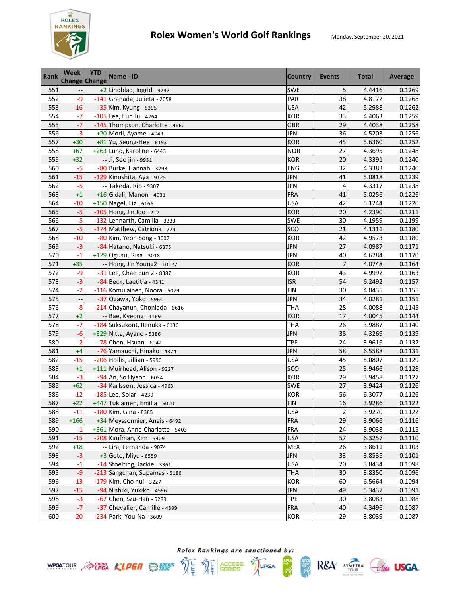

| <b>Rank</b> | Week<br><b>Change Change</b> | <b>YTD</b> | Name - ID                        | <b>Country</b> | Events         | <b>Total</b> | Average |
|-------------|------------------------------|------------|----------------------------------|----------------|----------------|--------------|---------|
| 551         |                              |            | +2 Lindblad, Ingrid - 9242       | <b>SWE</b>     | 5              | 4.4416       | 0.1269  |
| 552         | $-9$                         |            | -141 Granada, Julieta - 2058     | PAR            | 38             | 4.8172       | 0.1268  |
| 553         | $-16$                        |            | -35 Kim, Kyung - 5395            | <b>USA</b>     | 42             | 5.2988       | 0.1262  |
| 554         | $-7$                         |            | -105 Lee, Eun Ju - 4264          | <b>KOR</b>     | 33             | 4.4063       | 0.1259  |
| 555         | $-7$                         |            | -145 Thompson, Charlotte - 4660  | <b>GBR</b>     | 29             | 4.4038       | 0.1258  |
| 556         | $-3$                         |            | +20 Morii, Ayame - 4043          | <b>JPN</b>     | 36             | 4.5203       | 0.1256  |
| 557         | $+30$                        |            | +81 Yu, Seung-Hee - 6193         | <b>KOR</b>     | 45             | 5.6360       | 0.1252  |
| 558         | $+67$                        |            | +263 Lund, Karoline - 6443       | <b>NOR</b>     | 27             | 4.3695       | 0.1248  |
| 559         | $+32$                        |            | -- Ji, Soo jin - 9931            | <b>KOR</b>     | 20             | 4.3391       | 0.1240  |
| 560         | $-5$                         |            | -80 Burke, Hannah - 3293         | <b>ENG</b>     | 32             | 4.3383       | 0.1240  |
| 561         | $-15$                        |            | -129 Kinoshita, Aya - 9125       | <b>JPN</b>     | 41             | 5.0818       | 0.1239  |
| 562         | $-5$                         |            | -- Takeda, Rio - 9307            | <b>JPN</b>     | 4              | 4.3317       | 0.1238  |
| 563         | $+1$                         |            | +16 Gidali, Manon - 4031         | FRA            | 41             | 5.0256       | 0.1226  |
| 564         | $-10$                        |            | +150 Nagel, Liz - 6166           | <b>USA</b>     | 42             | 5.1244       | 0.1220  |
| 565         | $-5$                         |            | $-105$ Hong, Jin Joo - 212       | <b>KOR</b>     | 20             | 4.2390       | 0.1211  |
| 566         | $-5$                         |            | -132 Lennarth, Camilla - 3333    | SWE            | 30             | 4.1959       | 0.1199  |
| 567         | $-5$                         |            | -174 Matthew, Catriona - 724     | SCO            | 21             | 4.1311       | 0.1180  |
| 568         | $-10$                        |            | -80 Kim, Yeon-Song - 3607        | <b>KOR</b>     | 42             | 4.9573       | 0.1180  |
| 569         | $-3$                         |            | -84 Hatano, Natsuki - 6375       | <b>JPN</b>     | 27             | 4.0987       | 0.1171  |
| 570         | $-1$                         |            | +129 Ogusu, Risa - 3018          | <b>JPN</b>     | 40             | 4.6784       | 0.1170  |
| 571         | $+35$                        |            | -- Hong, Jin Young2 - 10127      | <b>KOR</b>     | 7              | 4.0748       | 0.1164  |
| 572         | $-9$                         |            | -31 Lee, Chae Eun 2 - 8387       | <b>KOR</b>     | 43             | 4.9992       | 0.1163  |
| 573         | $-3$                         |            | -84 Beck, Laetitia - 4341        | <b>ISR</b>     | 54             | 6.2492       | 0.1157  |
| 574         | $-2$                         |            | -116 Komulainen, Noora - 5079    | <b>FIN</b>     | 30             | 4.0435       | 0.1155  |
| 575         | --                           |            | -37 Ogawa, Yoko - 5964           | <b>JPN</b>     | 34             | 4.0281       | 0.1151  |
| 576         | $-8$                         |            | -214 Chayanun, Chonlada - 6616   | THA            | 28             | 4.0088       | 0.1145  |
| 577         | $+2$                         |            | -- Bae, Kyeong - 1169            | <b>KOR</b>     | 17             | 4.0045       | 0.1144  |
| 578         | $-7$                         |            | -184 Suksukont, Renuka - 6136    | <b>THA</b>     | 26             | 3.9887       | 0.1140  |
| 579         | $-6$                         |            | +329 Nitta, Ayano - 5386         | <b>JPN</b>     | 38             | 4.3269       | 0.1139  |
| 580         | $-2$                         |            | -78 Chen, Hsuan - 6042           | TPE            | 24             | 3.9616       | 0.1132  |
| 581         | $+4$                         |            | -76 Yamauchi, Hinako - 4374      | <b>JPN</b>     | 58             | 6.5588       | 0.1131  |
| 582         | $-15$                        |            | -206 Hollis, Jillian - 5990      | <b>USA</b>     | 45             | 5.0807       | 0.1129  |
| 583         | $+1$                         |            | +111 Muirhead, Alison - 9227     | SCO            | 25             | 3.9466       | 0.1128  |
| 584         | $-3$                         |            | -94 An, So Hyeon - 6034          | <b>KOR</b>     | 29             | 3.9458       | 0.1127  |
| 585         | $+62$                        |            | -34 Karlsson, Jessica - 4963     | SWE            | 27             | 3.9424       | 0.1126  |
| 586         | $-12$                        |            | -185 Lee, Solar - 4239           | <b>KOR</b>     | 56             | 6.3077       | 0.1126  |
| 587         | $+22$                        |            | +447 Tukiainen, Emilia - 6020    | <b>FIN</b>     | 16             | 3.9286       | 0.1122  |
| 588         | $-11$                        |            | -180 Kim, Gina - 8385            | <b>USA</b>     | $\overline{2}$ | 3.9270       | 0.1122  |
| 589         | $+166$                       |            | +34 Meyssonnier, Anais - 6492    | <b>FRA</b>     | 29             | 3.9066       | 0.1116  |
| 590         | $-1$                         |            | +361 Mora, Anne-Charlotte - 5403 | FRA            | 24             | 3.9038       | 0.1115  |
| 591         | $-15$                        |            | -208 Kaufman, Kim - 5409         | <b>USA</b>     | 57             | 6.3257       | 0.1110  |
| 592         | $+18$                        |            | -- Lira, Fernanda - 9074         | <b>MEX</b>     | 26             | 3.8611       | 0.1103  |
| 593         | $-3$                         |            | +3 Goto, Miyu - 6559             | <b>JPN</b>     | 33             | 3.8535       | 0.1101  |
| 594         | $-1$                         |            | -14 Stoelting, Jackie - 3361     | <b>USA</b>     | 20             | 3.8434       | 0.1098  |
| 595         | $-9$                         |            | -213 Sangchan, Supamas - 5186    | <b>THA</b>     | 30             | 3.8350       | 0.1096  |
| 596         | $-13$                        |            | -179 Kim, Cho hui - 3227         | KOR            | 60             | 6.5664       | 0.1094  |
| 597         | $-15$                        |            | -94 Nishiki, Yukiko - 4596       | <b>JPN</b>     | 49             | 5.3437       | 0.1091  |
| 598         | $-3$                         |            | -67 Chen, Szu-Han - 5289         | <b>TPE</b>     | 30             | 3.8083       | 0.1088  |
| 599         | $-7$                         |            | -37 Chevalier, Camille - 4899    | <b>FRA</b>     | 40             | 4.3496       | 0.1087  |
| 600         | $-20$                        |            | -234 Park, You-Na - 3609         | <b>KOR</b>     | 29             | 3.8039       | 0.1087  |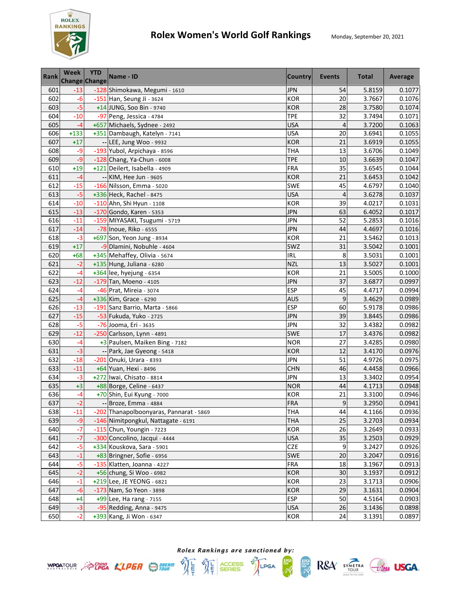

| <b>Rank</b> | <b>Week</b><br><b>Change Change</b> | <b>YTD</b> | Name - ID                               | <b>Country</b> | Events         | <b>Total</b> | Average |
|-------------|-------------------------------------|------------|-----------------------------------------|----------------|----------------|--------------|---------|
| 601         | $-13$                               |            | -128 Shimokawa, Megumi - 1610           | <b>JPN</b>     | 54             | 5.8159       | 0.1077  |
| 602         | $-6$                                |            | -151 Han, Seung Ji - 3624               | <b>KOR</b>     | 20             | 3.7667       | 0.1076  |
| 603         | $-5$                                |            | +14 JUNG, Soo Bin - 9740                | <b>KOR</b>     | 28             | 3.7580       | 0.1074  |
| 604         | $-10$                               |            | -97 Peng, Jessica - 4784                | <b>TPE</b>     | 32             | 3.7494       | 0.1071  |
| 605         | $-4$                                |            | +657 Michaels, Sydnee - 2492            | <b>USA</b>     | 4              | 3.7200       | 0.1063  |
| 606         | $+133$                              |            | +351 Dambaugh, Katelyn - 7141           | <b>USA</b>     | 20             | 3.6941       | 0.1055  |
| 607         | $+17$                               |            | -- LEE, Jung Woo - 9932                 | <b>KOR</b>     | 21             | 3.6919       | 0.1055  |
| 608         | $-9$                                |            | -193 Yubol, Arpichaya - 8596            | <b>THA</b>     | 13             | 3.6706       | 0.1049  |
| 609         | $-9$                                |            | -128 Chang, Ya-Chun - 6008              | <b>TPE</b>     | 10             | 3.6639       | 0.1047  |
| 610         | $+19$                               |            | +121 Deilert, Isabella - 4909           | <b>FRA</b>     | 35             | 3.6545       | 0.1044  |
| 611         | $-4$                                |            | -- KIM, Hee Jun - 9605                  | <b>KOR</b>     | 21             | 3.6453       | 0.1042  |
| 612         | $-15$                               |            | -166 Nilsson, Emma - 5020               | <b>SWE</b>     | 45             | 4.6797       | 0.1040  |
| 613         | $-5$                                |            | +336 Heck, Rachel - 8475                | <b>USA</b>     | $\overline{4}$ | 3.6278       | 0.1037  |
| 614         | $-10$                               |            | -110 Ahn, Shi Hyun - 1108               | <b>KOR</b>     | 39             | 4.0217       | 0.1031  |
| 615         | $-13$                               |            | -170 Gondo, Karen - 5353                | <b>JPN</b>     | 63             | 6.4052       | 0.1017  |
| 616         | $-11$                               |            | -159 MIYASAKI, Tsugumi - 5719           | <b>JPN</b>     | 52             | 5.2853       | 0.1016  |
| 617         | $-14$                               |            | -78 Inoue, Riko - 6555                  | <b>JPN</b>     | 44             | 4.4697       | 0.1016  |
| 618         | $-3$                                |            | +697 Son, Yeon Jung - 8934              | <b>KOR</b>     | 21             | 3.5462       | 0.1013  |
| 619         | $+17$                               |            | -9 Dlamini, Nobuhle - 4604              | SWZ            | 31             | 3.5042       | 0.1001  |
| 620         | $+68$                               |            | +345 Mehaffey, Olivia - 5674            | <b>IRL</b>     | 8              | 3.5031       | 0.1001  |
| 621         | $-2$                                |            | +135 Hung, Juliana - 6280               | <b>NZL</b>     | 13             | 3.5027       | 0.1001  |
| 622         | -4                                  |            | +364 lee, hyejung - 6354                | <b>KOR</b>     | 21             | 3.5005       | 0.1000  |
| 623         | $-12$                               |            | $-179$ Tan, Moeno - 4105                | <b>JPN</b>     | 37             | 3.6877       | 0.0997  |
| 624         | $-4$                                |            | -46 Prat, Mireia - 3074                 | <b>ESP</b>     | 45             | 4.4717       | 0.0994  |
| 625         | $-4$                                |            | +336 Kim, Grace - 6290                  | <b>AUS</b>     | 9              | 3.4629       | 0.0989  |
| 626         | $-13$                               |            | -191 Sanz Barrio, Marta - 5866          | <b>ESP</b>     | 60             | 5.9178       | 0.0986  |
| 627         | $-15$                               |            | -53 Fukuda, Yuko - 2725                 | <b>JPN</b>     | 39             | 3.8445       | 0.0986  |
| 628         | $-5$                                |            | -76 Jooma, Eri - 3635                   | <b>JPN</b>     | 32             | 3.4382       | 0.0982  |
| 629         | $-12$                               |            | -250 Carlsson, Lynn - 4891              | SWE            | 17             | 3.4376       | 0.0982  |
| 630         | $-4$                                |            | +3 Paulsen, Maiken Bing - 7182          | <b>NOR</b>     | 27             | 3.4285       | 0.0980  |
| 631         | $-3$                                |            | -- Park, Jae Gyeong - 5418              | <b>KOR</b>     | 12             | 3.4170       | 0.0976  |
| 632         | $-18$                               |            | -201 Onuki, Urara - 8393                | <b>JPN</b>     | 51             | 4.9726       | 0.0975  |
| 633         | $-11$                               |            | +64 Yuan, Hexi - 8496                   | <b>CHN</b>     | 46             | 4.4458       | 0.0966  |
| 634         | $-3$                                |            | +272 Iwai, Chisato - 8814               | <b>JPN</b>     | 13             | 3.3402       | 0.0954  |
| 635         | $+3$                                |            | +88 Borge, Celine - 6437                | <b>NOR</b>     | 44             | 4.1713       | 0.0948  |
| 636         | -4                                  |            | +70 Shin, Eui Kyung - 7000              | <b>KOR</b>     | 21             | 3.3100       | 0.0946  |
| 637         | $-2$                                |            | -- Broze, Emma - 4884                   | <b>FRA</b>     | $\mathsf g$    | 3.2950       | 0.0941  |
| 638         | $-11$                               |            | -202 Thanapolboonyaras, Pannarat - 5869 | THA            | 44             | 4.1166       | 0.0936  |
| 639         | $-9$                                |            | -146 Nimitpongkul, Nattagate - 6191     | THA            | 25             | 3.2703       | 0.0934  |
| 640         | $-7$                                |            | -115 Chun, Youngin - 7223               | KOR            | 26             | 3.2649       | 0.0933  |
| 641         | $-7$                                |            | -300 Concolino, Jacqui - 4444           | <b>USA</b>     | 35             | 3.2503       | 0.0929  |
| 642         | $-5$                                |            | +334 Kouskova, Sara - 5901              | <b>CZE</b>     | 9              | 3.2427       | 0.0926  |
| 643         | $-1$                                |            | +83 Bringner, Sofie - 6956              | SWE            | 20             | 3.2047       | 0.0916  |
| 644         | $-5$                                |            | -135 Klatten, Joanna - 4227             | <b>FRA</b>     | 18             | 3.1967       | 0.0913  |
| 645         | $-2$                                |            | +56 chung, Si Woo - 6982                | <b>KOR</b>     | 30             | 3.1937       | 0.0912  |
| 646         | $-1$                                |            | +219 Lee, JE YEONG - 6821               | <b>KOR</b>     | 23             | 3.1713       | 0.0906  |
| 647         | $-6$                                |            | -173 Nam, So Yeon - 3898                | <b>KOR</b>     | 29             | 3.1631       | 0.0904  |
| 648         | $+4$                                |            | $+99$ Lee, Ha rang - 7155               | <b>ESP</b>     | 50             | 4.5164       | 0.0903  |
| 649         | $-3$                                |            | -95 Redding, Anna - 9475                | <b>USA</b>     | 26             | 3.1436       | 0.0898  |
| 650         | $-2$                                |            | +393 Kang, Ji Won - 6347                | <b>KOR</b>     | 24             | 3.1391       | 0.0897  |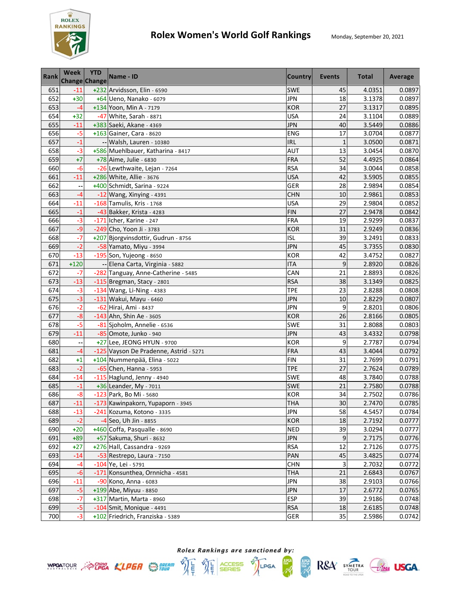

| <b>Rank</b> | Week<br>Change Change | <b>YTD</b> | Name - ID                              | <b>Country</b> | <b>Events</b>   | <b>Total</b> | Average |
|-------------|-----------------------|------------|----------------------------------------|----------------|-----------------|--------------|---------|
| 651         | $-11$                 |            | +232 Arvidsson, Elin - 6590            | <b>SWE</b>     | 45              | 4.0351       | 0.0897  |
| 652         | $+30$                 |            | +64 Ueno, Nanako - 6079                | <b>JPN</b>     | 18              | 3.1378       | 0.0897  |
| 653         | $-4$                  |            | +134 Yoon, Min A - 7179                | <b>KOR</b>     | 27              | 3.1317       | 0.0895  |
| 654         | $+32$                 |            | -47 White, Sarah - 8871                | <b>USA</b>     | 24              | 3.1104       | 0.0889  |
| 655         | $-11$                 |            | +383 Saeki, Akane - 4369               | <b>JPN</b>     | 40              | 3.5449       | 0.0886  |
| 656         | $-5$                  |            | +163 Gainer, Cara - 8620               | <b>ENG</b>     | 17              | 3.0704       | 0.0877  |
| 657         | $-1$                  |            | -- Walsh, Lauren - 10380               | <b>IRL</b>     | $\mathbf{1}$    | 3.0500       | 0.0871  |
| 658         | $-3$                  |            | +586 Muehlbauer, Katharina - 8417      | <b>AUT</b>     | 13              | 3.0454       | 0.0870  |
| 659         | $+7$                  |            | +78 Aime, Julie - 6830                 | <b>FRA</b>     | 52              | 4.4925       | 0.0864  |
| 660         | $-6$                  |            | -26 Lewthwaite, Lejan - 7264           | <b>RSA</b>     | 34              | 3.0044       | 0.0858  |
| 661         | $-11$                 |            | +286 White, Allie - 3676               | <b>USA</b>     | 42              | 3.5905       | 0.0855  |
| 662         | н,                    |            | +400 Schmidt, Sarina - 9224            | GER            | 28              | 2.9894       | 0.0854  |
| 663         | $-4$                  |            | $-12$ Wang, Xinying - 4391             | <b>CHN</b>     | 10              | 2.9861       | 0.0853  |
| 664         | $-11$                 |            | -168 Tamulis, Kris - 1768              | <b>USA</b>     | 29              | 2.9804       | 0.0852  |
| 665         | $-1$                  |            | -43 Bakker, Krista - 4283              | <b>FIN</b>     | 27              | 2.9478       | 0.0842  |
| 666         | -3                    |            | -171 Icher, Karine - 247               | <b>FRA</b>     | 19              | 2.9299       | 0.0837  |
| 667         | -9                    |            | -249 Cho, Yoon Ji - 3783               | <b>KOR</b>     | 31              | 2.9249       | 0.0836  |
| 668         | $-7$                  |            | +207 Bjorgvinsdottir, Gudrun - 8756    | <b>ISL</b>     | 39              | 3.2491       | 0.0833  |
| 669         | $-2$                  |            | -58 Yamato, Miyu - 3994                | <b>JPN</b>     | 45              | 3.7355       | 0.0830  |
| 670         | $-13$                 |            | $-195$ Son, Yujeong - 8650             | <b>KOR</b>     | 42              | 3.4752       | 0.0827  |
| 671         | $+120$                |            | -- Elena Carta, Virginia - 5882        | <b>ITA</b>     | 9               | 2.8920       | 0.0826  |
| 672         | $-7$                  |            | -282 Tanguay, Anne-Catherine - 5485    | CAN            | 21              | 2.8893       | 0.0826  |
| 673         | $-13$                 |            | -115 Bregman, Stacy - 2801             | <b>RSA</b>     | 38              | 3.1349       | 0.0825  |
| 674         | $-3$                  |            | -134 Wang, Li-Ning - 4383              | <b>TPE</b>     | 23              | 2.8288       | 0.0808  |
| 675         | $-3$                  |            | -131 Wakui, Mayu - 6460                | <b>JPN</b>     | 10              | 2.8229       | 0.0807  |
| 676         | $-2$                  |            | -62 Hirai, Ami - 8437                  | <b>JPN</b>     | 9               | 2.8201       | 0.0806  |
| 677         | $-8$                  |            | -143 Ahn, Shin Ae - 3605               | <b>KOR</b>     | 26              | 2.8166       | 0.0805  |
| 678         | $-5$                  |            | -81 Sjoholm, Annelie - 6536            | SWE            | 31              | 2.8088       | 0.0803  |
| 679         | $-11$                 |            | -85 Omote, Junko - 940                 | <b>JPN</b>     | 43              | 3.4332       | 0.0798  |
| 680         |                       |            | +27 Lee, JEONG HYUN - 9700             | <b>KOR</b>     | 9               | 2.7787       | 0.0794  |
| 681         | $-4$                  |            | -125 Vayson De Pradenne, Astrid - 5271 | <b>FRA</b>     | 43              | 3.4044       | 0.0792  |
| 682         | $+1$                  |            | +104 Nummenpää, Elina - 5022           | <b>FIN</b>     | 31              | 2.7699       | 0.0791  |
| 683         | $-2$                  |            | -65 Chen, Hanna - 5953                 | <b>TPE</b>     | 27              | 2.7624       | 0.0789  |
| 684         | $-14$                 |            | -115 Haglund, Jenny - 4940             | <b>SWE</b>     | 48              | 3.7840       | 0.0788  |
| 685         | $-1$                  |            | +36 Leander, My - 7011                 | <b>SWE</b>     | 21              | 2.7580       | 0.0788  |
| 686         | $-8$                  |            | -123 Park, Bo Mi - 5680                | <b>KOR</b>     | 34              | 2.7502       | 0.0786  |
| 687         | $-11$                 |            | -173 Kawinpakorn, Yupaporn - 3945      | <b>THA</b>     | 30 <sub>o</sub> | 2.7470       | 0.0785  |
| 688         | $-13$                 |            | -241 Kozuma, Kotono - 3335             | <b>JPN</b>     | 58              | 4.5457       | 0.0784  |
| 689         | $-2$                  |            | -4 Seo, Uh Jin - 8855                  | <b>KOR</b>     | 18              | 2.7192       | 0.0777  |
| 690         | $+20$                 |            | +460 Coffa, Pasqualle - 8690           | <b>NED</b>     | 39              | 3.0294       | 0.0777  |
| 691         | $+89$                 |            | +57 Sakuma, Shuri - 8632               | <b>JPN</b>     | 9               | 2.7175       | 0.0776  |
| 692         | $+27$                 |            | +276 Hall, Cassandra - 9269            | <b>RSA</b>     | 12              | 2.7126       | 0.0775  |
| 693         | $-14$                 |            | -53 Restrepo, Laura - 7150             | PAN            | 45              | 3.4825       | 0.0774  |
| 694         | $-4$                  |            | -104 Ye, Lei - 5791                    | <b>CHN</b>     | 3               | 2.7032       | 0.0772  |
| 695         | $-6$                  |            | -171 Konsunthea, Ornnicha - 4581       | <b>THA</b>     | 21              | 2.6843       | 0.0767  |
| 696         | $-11$                 |            | -90 Kono, Anna - 6083                  | <b>JPN</b>     | 38              | 2.9103       | 0.0766  |
| 697         | $-5$                  |            | +199 Abe, Miyuu - 8850                 | <b>JPN</b>     | 17              | 2.6772       | 0.0765  |
| 698         | $-7$                  |            | +317 Martin, Marta - 8960              | <b>ESP</b>     | 39              | 2.9186       | 0.0748  |
| 699         | $-5$                  |            | -104 Smit, Monique - 4491              | <b>RSA</b>     | 18              | 2.6185       | 0.0748  |
| 700         | $-3$                  |            | +102 Friedrich, Franziska - 5389       | GER            | 35              | 2.5986       | 0.0742  |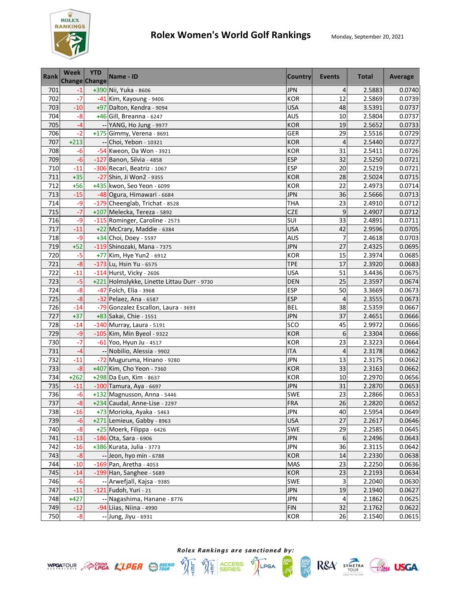

| <b>Rank</b> | <b>Week</b> | <b>YTD</b><br><b>Change Change</b> | Name - ID                                   | <b>Country</b> | Events         | <b>Total</b> | Average |
|-------------|-------------|------------------------------------|---------------------------------------------|----------------|----------------|--------------|---------|
| 701         | $-1$        |                                    | +390 Nii, Yuka - 8606                       | <b>JPN</b>     | 4              | 2.5883       | 0.0740  |
| 702         | $-7$        |                                    | -41 Kim, Kayoung - 9406                     | <b>KOR</b>     | 12             | 2.5869       | 0.0739  |
| 703         | $-10$       |                                    | +97 Dalton, Kendra - 9094                   | <b>USA</b>     | 48             | 3.5391       | 0.0737  |
| 704         | $-8$        |                                    | +46 Gill, Breanna - 6247                    | <b>AUS</b>     | 10             | 2.5804       | 0.0737  |
| 705         | $-4$        |                                    | -- YANG, Ho Jung - 9977                     | <b>KOR</b>     | 19             | 2.5652       | 0.0733  |
| 706         | $-2$        |                                    | +175 Gimmy, Verena - 8691                   | GER            | 29             | 2.5516       | 0.0729  |
| 707         | $+213$      |                                    | -- Choi, Yebon - 10321                      | <b>KOR</b>     | 4              | 2.5440       | 0.0727  |
| 708         | $-6$        |                                    | -54 Kweon, Da Won - 3921                    | <b>KOR</b>     | 31             | 2.5411       | 0.0726  |
| 709         | $-6$        |                                    | -127 Banon, Silvia - 4858                   | <b>ESP</b>     | 32             | 2.5250       | 0.0721  |
| 710         | $-11$       |                                    | -306 Recari, Beatriz - 1067                 | <b>ESP</b>     | 20             | 2.5219       | 0.0721  |
| 711         | $+35$       |                                    | -27 Shin, Ji Won2 - 9355                    | <b>KOR</b>     | 28             | 2.5024       | 0.0715  |
| 712         | $+56$       |                                    | +435 kwon, Seo Yeon - 6099                  | <b>KOR</b>     | 22             | 2.4973       | 0.0714  |
| 713         | $-15$       |                                    | -48 Ogura, Himawari - 6684                  | <b>JPN</b>     | 36             | 2.5666       | 0.0713  |
| 714         | -9          |                                    | -179 Cheenglab, Trichat - 8528              | THA            | 23             | 2.4910       | 0.0712  |
| 715         | $-7$        |                                    | +107 Melecka, Tereza - 5892                 | CZE            | 9              | 2.4907       | 0.0712  |
| 716         | $-9$        |                                    | -115 Rominger, Caroline - 2573              | SUI            | 33             | 2.4891       | 0.0711  |
| 717         | $-11$       |                                    | +22 McCrary, Maddie - 6384                  | <b>USA</b>     | 42             | 2.9596       | 0.0705  |
| 718         | $-9$        |                                    | +34 Choi, Doey - 5597                       | <b>AUS</b>     | $\overline{7}$ | 2.4618       | 0.0703  |
| 719         | $+52$       |                                    | -119 Shinozaki, Mana - 7375                 | <b>JPN</b>     | 27             | 2.4325       | 0.0695  |
| 720         | $-5$        |                                    | +77 Kim, Hye Yun2 - 6912                    | <b>KOR</b>     | 15             | 2.3974       | 0.0685  |
| 721         | $-8$        |                                    | -173 Lu, Hsin Yu - 6575                     | <b>TPE</b>     | 17             | 2.3920       | 0.0683  |
| 722         | $-11$       |                                    | -114 Hurst, Vicky - 2606                    | <b>USA</b>     | 51             | 3.4436       | 0.0675  |
| 723         | $-5$        |                                    | +221 Holmslykke, Linette Littau Durr - 9730 | <b>DEN</b>     | 25             | 2.3597       | 0.0674  |
| 724         | $-8$        |                                    | -47 Folch, Elia - 3968                      | <b>ESP</b>     | 50             | 3.3669       | 0.0673  |
| 725         | $-8$        |                                    | -32 Pelaez, Ana - 6587                      | <b>ESP</b>     | 4              | 2.3555       | 0.0673  |
| 726         | $-14$       |                                    | -79 Gonzalez Escallon, Laura - 3693         | <b>BEL</b>     | 38             | 2.5359       | 0.0667  |
| 727         | $+37$       |                                    | +83 Sakai, Chie - 1551                      | <b>JPN</b>     | 37             | 2.4651       | 0.0666  |
| 728         | $-14$       |                                    | -140 Murray, Laura - 5191                   | SCO            | 45             | 2.9972       | 0.0666  |
| 729         | $-9$        |                                    | -105 Kim, Min Byeol - 9322                  | <b>KOR</b>     | 6              | 2.3304       | 0.0666  |
| 730         | $-7$        |                                    | -61 Yoo, Hyun Ju - 4517                     | <b>KOR</b>     | 23             | 2.3223       | 0.0664  |
| 731         | $-4$        |                                    | -- Nobilio, Alessia - 9902                  | <b>ITA</b>     | 4              | 2.3178       | 0.0662  |
| 732         | $-11$       |                                    | -72 Muguruma, Hinano - 9280                 | <b>JPN</b>     | 13             | 2.3175       | 0.0662  |
| 733         | $-8$        |                                    | +407 Kim, Cho Yeon - 7360                   | <b>KOR</b>     | 33             | 2.3163       | 0.0662  |
| 734         | $+262$      |                                    | +298 Da Eun, Kim - 8637                     | <b>KOR</b>     | 10             | 2.2970       | 0.0656  |
| 735         | $-11$       |                                    | -100 Tamura, Aya - 6697                     | <b>JPN</b>     | 31             | 2.2870       | 0.0653  |
| 736         | $-6$        |                                    | +132 Magnusson, Anna - 5446                 | SWE            | 23             | 2.2866       | 0.0653  |
| 737         | $-8$        |                                    | +234 Caudal, Anne-Lise - 2297               | <b>FRA</b>     | 26             | 2.2820       | 0.0652  |
| 738         | $-16$       |                                    | +73 Morioka, Ayaka - 5463                   | <b>JPN</b>     | 40             | 2.5954       | 0.0649  |
| 739         | $-6$        |                                    | $+271$ Lemieux, Gabby - 8963                | <b>USA</b>     | 27             | 2.2617       | 0.0646  |
| 740         | $-8$        |                                    | +25 Moerk, Filippa - 6426                   | SWE            | 29             | 2.2585       | 0.0645  |
| 741         | $-13$       |                                    | -186 Ota, Sara - 6906                       | <b>JPN</b>     | 6              | 2.2496       | 0.0643  |
| 742         | $-16$       |                                    | +386 Kurata, Julia - 3773                   | <b>JPN</b>     | 36             | 2.3115       | 0.0642  |
| 743         | $-8$        |                                    | -- Jeon, hyo min - 6788                     | <b>KOR</b>     | 14             | 2.2330       | 0.0638  |
| 744         | $-10$       |                                    | $-169$ Pan, Aretha - 4053                   | <b>MAS</b>     | 23             | 2.2250       | 0.0636  |
| 745         | $-14$       |                                    | $-199$ Han, Sanghee - 5689                  | <b>KOR</b>     | 23             | 2.2193       | 0.0634  |
| 746         | $-6$        |                                    | -- Arwefjall, Kajsa - 9385                  | SWE            | 3              | 2.2040       | 0.0630  |
| 747         | $-11$       |                                    | $-121$ Fudoh, Yuri - 21                     | <b>JPN</b>     | 19             | 2.1940       | 0.0627  |
| 748         | $+427$      |                                    | -- Nagashima, Hanane - 8776                 | <b>JPN</b>     | 4              | 2.1862       | 0.0625  |
| 749         | $-12$       |                                    | -94 Liias, Niina - 4990                     | <b>FIN</b>     | 32             | 2.1762       | 0.0622  |
| 750         | $-8$        |                                    | -- Jung, Jiyu - 6931                        | <b>KOR</b>     | 26             | 2.1540       | 0.0615  |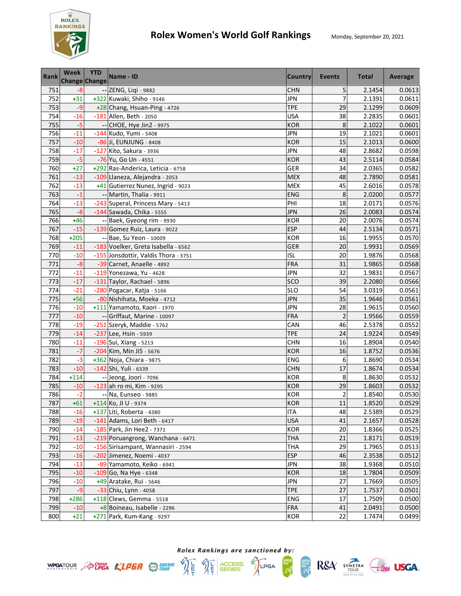

| <b>Rank</b> | <b>Week</b><br><b>Change Change</b> | <b>YTD</b> | Name - ID                            | <b>Country</b> | Events                  | <b>Total</b> | Average |
|-------------|-------------------------------------|------------|--------------------------------------|----------------|-------------------------|--------------|---------|
| 751         | $-8$                                |            | -- ZENG, Liqi - 9882                 | <b>CHN</b>     | 5                       | 2.1454       | 0.0613  |
| 752         | $+31$                               |            | +322 Kuwaki, Shiho - 9146            | <b>JPN</b>     | $\overline{7}$          | 2.1391       | 0.0611  |
| 753         | $-9$                                |            | +28 Chang, Hsuan-Ping - 4726         | <b>TPE</b>     | 29                      | 2.1299       | 0.0609  |
| 754         | $-16$                               |            | -181 Allen, Beth - 2050              | <b>USA</b>     | 38                      | 2.2835       | 0.0601  |
| 755         | $-5$                                |            | -- CHOE, Hye Jin2 - 9975             | <b>KOR</b>     | 8                       | 2.1022       | 0.0601  |
| 756         | $-11$                               |            | -144 Kudo, Yumi - 5408               | <b>JPN</b>     | 19                      | 2.1021       | 0.0601  |
| 757         | $-10$                               |            | -86 Ji, EUNJUNG - 8408               | <b>KOR</b>     | 15                      | 2.1013       | 0.0600  |
| 758         | $-17$                               |            | -127 Kito, Sakura - 3936             | <b>JPN</b>     | 48                      | 2.8682       | 0.0598  |
| 759         | $-5$                                |            | -76 Yu, Go Un - 4551                 | <b>KOR</b>     | 43                      | 2.5114       | 0.0584  |
| 760         | $+27$                               |            | +292 Ras-Anderica, Leticia - 6758    | GER            | 34                      | 2.0365       | 0.0582  |
| 761         | $-13$                               |            | -109 Llaneza, Alejandra - 2053       | <b>MEX</b>     | 48                      | 2.7890       | 0.0581  |
| 762         | $-13$                               |            | +41 Gutierrez Nunez, Ingrid - 9023   | <b>MEX</b>     | 45                      | 2.6016       | 0.0578  |
| 763         | $-1$                                |            | -- Martin, Thalia - 9911             | <b>ENG</b>     | 8                       | 2.0200       | 0.0577  |
| 764         | $-13$                               |            | -243 Superal, Princess Mary - 5413   | PHI            | 18                      | 2.0171       | 0.0576  |
| 765         | $-8$                                |            | -144 Sawada, Chika - 5555            | <b>JPN</b>     | 26                      | 2.0083       | 0.0574  |
| 766         | $+46$                               |            | -- Baek, Gyeong rim - 9930           | <b>KOR</b>     | 20                      | 2.0076       | 0.0574  |
| 767         | $-15$                               |            | -139 Gomez Ruiz, Laura - 9022        | <b>ESP</b>     | 44                      | 2.5134       | 0.0571  |
| 768         | $+205$                              |            | -- Bae, Su Yeon - 10009              | <b>KOR</b>     | 16                      | 1.9955       | 0.0570  |
| 769         | $-11$                               |            | -183 Voelker, Greta Isabella - 6562  | <b>GER</b>     | 20                      | 1.9931       | 0.0569  |
| 770         | $-10$                               |            | -155 Jonsdottir, Valdis Thora - 3751 | ISL            | 20                      | 1.9876       | 0.0568  |
| 771         | $-8$                                |            | -39 Carnet, Anaelle - 4892           | <b>FRA</b>     | 31                      | 1.9865       | 0.0568  |
| 772         | $-11$                               |            | -119 Yonezawa, Yu - 4628             | <b>JPN</b>     | 32                      | 1.9831       | 0.0567  |
| 773         | $-17$                               |            | -131 Taylor, Rachael - 5896          | SCO            | 39                      | 2.2080       | 0.0566  |
| 774         | $-21$                               |            | -280 Pogacar, Katja - 5166           | <b>SLO</b>     | 54                      | 3.0319       | 0.0561  |
| 775         | $+56$                               |            | -80 Nishihata, Moeka - 4712          | <b>JPN</b>     | 35                      | 1.9646       | 0.0561  |
| 776         | $-10$                               |            | +111 Yamamoto, Kaori - 1970          | <b>JPN</b>     | 28                      | 1.9615       | 0.0560  |
| 777         | $-10$                               |            | -- Griffaut, Marine - 10097          | <b>FRA</b>     | $\overline{c}$          | 1.9566       | 0.0559  |
| 778         | $-19$                               |            | -251 Szeryk, Maddie - 5762           | CAN            | 46                      | 2.5378       | 0.0552  |
| 779         | $-14$                               |            | -237 Lee, Hsin - 5939                | <b>TPE</b>     | 24                      | 1.9224       | 0.0549  |
| 780         | $-11$                               |            | -196 Sui, Xiang - 5213               | <b>CHN</b>     | 16                      | 1.8904       | 0.0540  |
| 781         | $-7$                                |            | -204 Kim, Min Ji5 - 5676             | <b>KOR</b>     | 16                      | 1.8752       | 0.0536  |
| 782         | $-3$                                |            | +362 Noja, Chiara - 9875             | <b>ENG</b>     | 6                       | 1.8690       | 0.0534  |
| 783         | $-10$                               |            | -142 Shi, Yuli - 6339                | <b>CHN</b>     | 17                      | 1.8674       | 0.0534  |
| 784         | $+114$                              |            | -- Jeong, Joori - 7096               | <b>KOR</b>     | 8                       | 1.8630       | 0.0532  |
| 785         | $-10$                               |            | -123 ah ro mi, Kim - 9295            | <b>KOR</b>     | 29                      | 1.8603       | 0.0532  |
| 786         | $-2$                                |            | -- Na, Eunseo - 9885                 | <b>KOR</b>     | $\overline{\mathbf{c}}$ | 1.8540       | 0.0530  |
| 787         | $+61$                               |            | +114 Ko, JI U - 9374                 | <b>KOR</b>     | 11                      | 1.8520       | 0.0529  |
| 788         | $-16$                               |            | +137 Liti, Roberta - 4380            | <b>ITA</b>     | 48                      | 2.5389       | 0.0529  |
| 789         | $-19$                               |            | -141 Adams, Lori Beth - 6417         | <b>USA</b>     | 41                      | 2.1657       | 0.0528  |
| 790         | $-14$                               |            | -185 Park, Jin Hee2 - 7371           | KOR            | 20                      | 1.8366       | 0.0525  |
| 791         | $-13$                               |            | -219 Poruangrong, Wanchana - 6471    | THA            | 21                      | 1.8171       | 0.0519  |
| 792         | $-10$                               |            | -156 Sirisampant, Wannasiri - 2594   | <b>THA</b>     | 29                      | 1.7965       | 0.0513  |
| 793         | $-16$                               |            | -202 Jimenez, Noemi - 4037           | <b>ESP</b>     | 46                      | 2.3538       | 0.0512  |
| 794         | $-13$                               |            | -89 Yamamoto, Keiko - 6941           | JPN            | 38                      | 1.9368       | 0.0510  |
| 795         | $-10$                               |            | $-109$ Go, Na Hye - 6348             | KOR            | 18                      | 1.7804       | 0.0509  |
| 796         | $-10$                               |            | +49 Aratake, Rui - 5646              | JPN            | 27                      | 1.7669       | 0.0505  |
| 797         | $-9$                                |            | -33 Chiu, Lynn - 4058                | <b>TPE</b>     | 27                      | 1.7537       | 0.0501  |
| 798         | $+286$                              |            | $+118$ Clews, Gemma - 5518           | <b>ENG</b>     | 17                      | 1.7509       | 0.0500  |
| 799         | $-10$                               |            | +8 Boineau, Isabelle - 2296          | <b>FRA</b>     | 41                      | 2.0491       | 0.0500  |
| 800         | $+21$                               |            | +271 Park, Kum-Kang - 9297           | KOR            | 22                      | 1.7474       | 0.0499  |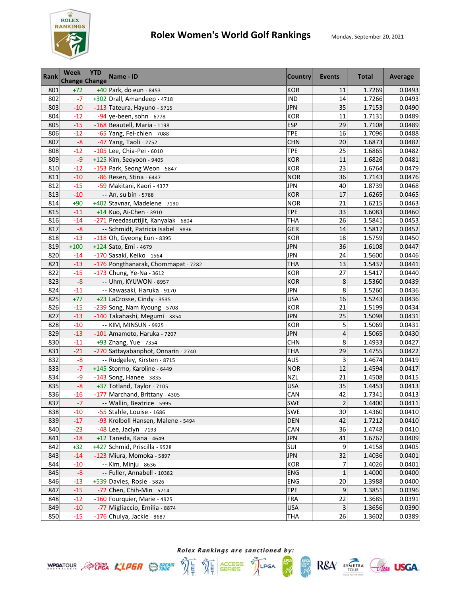

| <b>Rank</b> | <b>Week</b><br><b>Change Change</b> | <b>YTD</b> | Name - ID                            | <b>Country</b> | Events         | <b>Total</b> | Average |
|-------------|-------------------------------------|------------|--------------------------------------|----------------|----------------|--------------|---------|
| 801         | $+72$                               |            | +40 Park, do eun - 8453              | <b>KOR</b>     | 11             | 1.7269       | 0.0493  |
| 802         | $-7$                                |            | +302 Drall, Amandeep - 4718          | <b>IND</b>     | 14             | 1.7266       | 0.0493  |
| 803         | $-10$                               |            | -113 Tateura, Hayuno - 5715          | <b>JPN</b>     | 35             | 1.7153       | 0.0490  |
| 804         | $-12$                               |            | -94 ye-been, sohn - 6778             | <b>KOR</b>     | 11             | 1.7131       | 0.0489  |
| 805         | $-15$                               |            | -168 Beautell, Maria - 1198          | <b>ESP</b>     | 29             | 1.7108       | 0.0489  |
| 806         | $-12$                               |            | -65 Yang, Fei-chien - 7088           | <b>TPE</b>     | 16             | 1.7096       | 0.0488  |
| 807         | $-8$                                |            | -47 Yang, Taoli - 2752               | <b>CHN</b>     | 20             | 1.6873       | 0.0482  |
| 808         | $-12$                               |            | -105 Lee, Chia-Pei - 6010            | <b>TPE</b>     | 25             | 1.6865       | 0.0482  |
| 809         | $-9$                                |            | +125 Kim, Seoyoon - 9405             | <b>KOR</b>     | 11             | 1.6826       | 0.0481  |
| 810         | $-12$                               |            | -153 Park, Seong Weon - 5847         | <b>KOR</b>     | 23             | 1.6764       | 0.0479  |
| 811         | $-10$                               |            | -86 Resen, Stina - 6447              | <b>NOR</b>     | 36             | 1.7143       | 0.0476  |
| 812         | $-15$                               |            | -59 Makitani, Kaori - 4377           | <b>JPN</b>     | 40             | 1.8739       | 0.0468  |
| 813         | $-10$                               |            | -- An, su bin - 5788                 | <b>KOR</b>     | 17             | 1.6265       | 0.0465  |
| 814         | $+90$                               |            | +402 Stavnar, Madelene - 7190        | <b>NOR</b>     | 21             | 1.6215       | 0.0463  |
| 815         | $-11$                               |            | +14 Kuo, Ai-Chen - 3910              | <b>TPE</b>     | 33             | 1.6083       | 0.0460  |
| 816         | $-14$                               |            | -271 Preedasuttijit, Kanyalak - 6804 | <b>THA</b>     | 26             | 1.5841       | 0.0453  |
| 817         | $-8$                                |            | -- Schmidt, Patricia Isabel - 9836   | GER            | 14             | 1.5817       | 0.0452  |
| 818         | $-13$                               |            | -118 Oh, Gyeong Eun - 8395           | <b>KOR</b>     | 18             | 1.5759       | 0.0450  |
| 819         | $+100$                              |            | +124 Sato, Emi - 4679                | <b>JPN</b>     | 36             | 1.6108       | 0.0447  |
| 820         | $-14$                               |            | -170 Sasaki, Keiko - 1564            | <b>JPN</b>     | 24             | 1.5600       | 0.0446  |
| 821         | $-13$                               |            | -176 Pongthanarak, Chommapat - 7282  | <b>THA</b>     | 13             | 1.5437       | 0.0441  |
| 822         | $-15$                               |            | -173 Chung, Ye-Na - 3612             | <b>KOR</b>     | 27             | 1.5417       | 0.0440  |
| 823         | $-8$                                |            | -- Uhm, KYUWON - 8957                | <b>KOR</b>     | 8              | 1.5360       | 0.0439  |
| 824         | $-11$                               |            | -- Kawasaki, Haruka - 9170           | JPN            | 8              | 1.5260       | 0.0436  |
| 825         | $+77$                               |            | +23 LaCrosse, Cindy - 3535           | <b>USA</b>     | 16             | 1.5243       | 0.0436  |
| 826         | $-15$                               |            | -239 Song, Nam Kyoung - 5708         | <b>KOR</b>     | 21             | 1.5199       | 0.0434  |
| 827         | $-13$                               |            | -140 Takahashi, Megumi - 3854        | <b>JPN</b>     | 25             | 1.5098       | 0.0431  |
| 828         | $-10$                               |            | -- KIM, MINSUN - 9925                | <b>KOR</b>     | 5              | 1.5069       | 0.0431  |
| 829         | $-13$                               |            | -101 Amamoto, Haruka - 7207          | <b>JPN</b>     | 4              | 1.5065       | 0.0430  |
| 830         | $-11$                               |            | +93 Zhang, Yue - 7354                | <b>CHN</b>     | 8              | 1.4933       | 0.0427  |
| 831         | $-21$                               |            | -270 Sattayabanphot, Onnarin - 2740  | <b>THA</b>     | 29             | 1.4755       | 0.0422  |
| 832         | $-8$                                |            | -- Rudgeley, Kirsten - 8715          | <b>AUS</b>     | 3              | 1.4674       | 0.0419  |
| 833         | $-7$                                |            | +145 Stormo, Karoline - 6449         | <b>NOR</b>     | 12             | 1.4594       | 0.0417  |
| 834         | $-9$                                |            | -143 Song, Hanee - 3835              | <b>NZL</b>     | 21             | 1.4508       | 0.0415  |
| 835         | $-8$                                |            | +37 Totland, Taylor - 7105           | <b>USA</b>     | 35             | 1.4453       | 0.0413  |
| 836         | $-16$                               |            | -177 Marchand, Brittany - 4305       | CAN            | 42             | 1.7341       | 0.0413  |
| 837         | $-7$                                |            | -- Wallin, Beatrice - 5995           | <b>SWE</b>     | $\overline{2}$ | 1.4400       | 0.0411  |
| 838         | $-10$                               |            | -55 Stahle, Louise - 1686            | SWE            | 30             | 1.4360       | 0.0410  |
| 839         | $-17$                               |            | -93 Krolboll Hansen, Malene - 5494   | DEN            | 42             | 1.7212       | 0.0410  |
| 840         | $-23$                               |            | -48 Lee, Jaclyn - 7193               | CAN            | 36             | 1.4748       | 0.0410  |
| 841         | $-18$                               |            | +12 Taneda, Kana - 4649              | <b>JPN</b>     | 41             | 1.6767       | 0.0409  |
| 842         | $+32$                               |            | +427 Schmid, Priscilla - 9528        | SUI            | 9              | 1.4158       | 0.0405  |
| 843         | $-14$                               |            | -123 Miura, Momoka - 5897            | <b>JPN</b>     | 32             | 1.4036       | 0.0401  |
| 844         | $-10$                               |            | -- Kim, Minju - 8636                 | <b>KOR</b>     | 7              | 1.4026       | 0.0401  |
| 845         | $-8$                                |            | -- Fuller, Annabell - 10382          | <b>ENG</b>     | $\mathbf{1}$   | 1.4000       | 0.0400  |
| 846         | $-13$                               |            | +539 Davies, Rosie - 5826            | <b>ENG</b>     | 20             | 1.3988       | 0.0400  |
| 847         | $-15$                               |            | -72 Chen, Chih-Min - 5714            | <b>TPE</b>     | 9              | 1.3851       | 0.0396  |
| 848         | $-12$                               |            | -160 Fourquier, Marie - 4925         | <b>FRA</b>     | 22             | 1.3685       | 0.0391  |
| 849         | $-10$                               |            | -77 Migliaccio, Emilia - 8874        | <b>USA</b>     | 3              | 1.3656       | 0.0390  |
| 850         | $-15$                               |            | $-176$ Chulya, Jackie - 8687         | THA            | 26             | 1.3602       | 0.0389  |



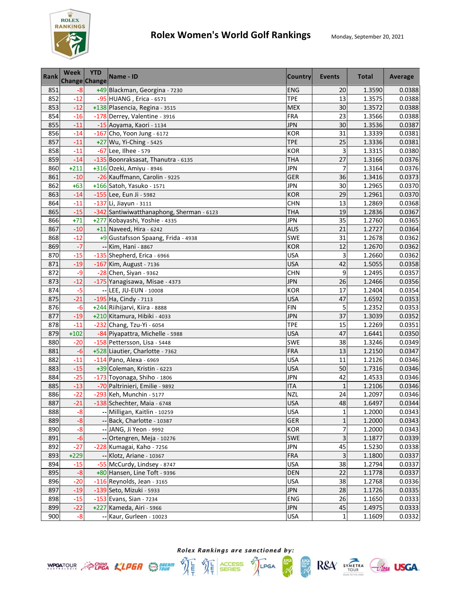

| <b>Rank</b> | <b>Week</b> | <b>YTD</b><br><b>Change Change</b> | Name - ID                                 | <b>Country</b> | Events         | <b>Total</b> | Average |
|-------------|-------------|------------------------------------|-------------------------------------------|----------------|----------------|--------------|---------|
| 851         | $-8$        |                                    | +49 Blackman, Georgina - 7230             | <b>ENG</b>     | 20             | 1.3590       | 0.0388  |
| 852         | $-12$       |                                    | -95 HUANG, Erica - 6571                   | <b>TPE</b>     | 13             | 1.3575       | 0.0388  |
| 853         | $-12$       |                                    | +138 Plasencia, Regina - 3515             | <b>MEX</b>     | 30             | 1.3572       | 0.0388  |
| 854         | $-16$       |                                    | -178 Derrey, Valentine - 3916             | <b>FRA</b>     | 23             | 1.3566       | 0.0388  |
| 855         | $-11$       |                                    | -15 Aoyama, Kaori - 1134                  | <b>JPN</b>     | 30             | 1.3536       | 0.0387  |
| 856         | $-14$       |                                    | -167 Cho, Yoon Jung - 6172                | <b>KOR</b>     | 31             | 1.3339       | 0.0381  |
| 857         | $-11$       |                                    | +27 Wu, Yi-Ching - 5425                   | <b>TPE</b>     | 25             | 1.3336       | 0.0381  |
| 858         | $-11$       |                                    | -67 Lee, Ilhee - 579                      | <b>KOR</b>     | 3              | 1.3315       | 0.0380  |
| 859         | $-14$       |                                    | -135 Boonraksasat, Thanutra - 6135        | <b>THA</b>     | 27             | 1.3166       | 0.0376  |
| 860         | $+211$      |                                    | +316 Ozeki, Amiyu - 8946                  | <b>JPN</b>     | $\overline{7}$ | 1.3164       | 0.0376  |
| 861         | $-10$       |                                    | -26 Kauffmann, Carolin - 9225             | <b>GER</b>     | 36             | 1.3416       | 0.0373  |
| 862         | $+63$       |                                    | +166 Satoh, Yasuko - 1571                 | JPN            | 30             | 1.2965       | 0.0370  |
| 863         | $-14$       |                                    | -155 Lee, Eun Ji - 5982                   | <b>KOR</b>     | 29             | 1.2961       | 0.0370  |
| 864         | $-11$       |                                    | $-137$ Li, Jiayun - 3111                  | <b>CHN</b>     | 13             | 1.2869       | 0.0368  |
| 865         | $-15$       |                                    | -342 Santiwiwatthanaphong, Sherman - 6123 | <b>THA</b>     | 19             | 1.2836       | 0.0367  |
| 866         | $+71$       |                                    | +277 Kobayashi, Yoshie - 4335             | JPN            | 35             | 1.2760       | 0.0365  |
| 867         | $-10$       |                                    | $+11$ Naveed, Hira - 6242                 | <b>AUS</b>     | 21             | 1.2727       | 0.0364  |
| 868         | $-12$       |                                    | +9 Gustafsson Spaang, Frida - 4938        | <b>SWE</b>     | 31             | 1.2678       | 0.0362  |
| 869         | $-7$        |                                    | -- Kim, Hani - 8867                       | <b>KOR</b>     | 12             | 1.2670       | 0.0362  |
| 870         | $-15$       |                                    | -135 Shepherd, Erica - 6966               | <b>USA</b>     | 3              | 1.2660       | 0.0362  |
| 871         | $-19$       |                                    | -167 Kim, August - 7136                   | <b>USA</b>     | 42             | 1.5055       | 0.0358  |
| 872         | $-9$        |                                    | -28 Chen, Siyan - 9362                    | <b>CHN</b>     | 9              | 1.2495       | 0.0357  |
| 873         | $-12$       |                                    | -175 Yanagisawa, Misae - 4373             | <b>JPN</b>     | 26             | 1.2466       | 0.0356  |
| 874         | $-5$        |                                    | -- LEE, JU-EUN - 10008                    | <b>KOR</b>     | 17             | 1.2404       | 0.0354  |
| 875         | $-21$       |                                    | $-195$ Ha, Cindy - 7113                   | <b>USA</b>     | 47             | 1.6592       | 0.0353  |
| 876         | $-6$        |                                    | +244 Riihijarvi, Kiira - 8888             | <b>FIN</b>     | 5              | 1.2352       | 0.0353  |
| 877         | $-19$       |                                    | +210 Kitamura, Hibiki - 4033              | JPN            | 37             | 1.3039       | 0.0352  |
| 878         | $-11$       |                                    | -232 Chang, Tzu-Yi - 6054                 | <b>TPE</b>     | 15             | 1.2269       | 0.0351  |
| 879         | $+102$      |                                    | -84 Piyapattra, Michelle - 5988           | <b>USA</b>     | 47             | 1.6441       | 0.0350  |
| 880         | $-20$       |                                    | -158 Pettersson, Lisa - 5448              | <b>SWE</b>     | 38             | 1.3246       | 0.0349  |
| 881         | $-6$        |                                    | +528 Liautier, Charlotte - 7362           | <b>FRA</b>     | 13             | 1.2150       | 0.0347  |
| 882         | $-11$       |                                    | -114 Pano, Alexa - 6969                   | <b>USA</b>     | 11             | 1.2126       | 0.0346  |
| 883         | $-15$       |                                    | +39 Coleman, Kristin - 6223               | <b>USA</b>     | 50             | 1.7316       | 0.0346  |
| 884         | $-25$       |                                    | -173 Toyonaga, Shiho - 1806               | <b>JPN</b>     | 42             | 1.4533       | 0.0346  |
| 885         | $-13$       |                                    | -70 Paltrinieri, Emilie - 9892            | <b>ITA</b>     | $\mathbf{1}$   | 1.2106       | 0.0346  |
| 886         | $-22$       |                                    | -293 Keh, Munchin - 5177                  | <b>NZL</b>     | 24             | 1.2097       | 0.0346  |
| 887         | $-21$       |                                    | -138 Schechter, Maia - 6748               | <b>USA</b>     | 48             | 1.6497       | 0.0344  |
| 888         | $-8$        |                                    | -- Milligan, Kaitlin - 10259              | USA            | 1              | 1.2000       | 0.0343  |
| 889         | $-8$        |                                    | -- Back, Charlotte - 10387                | GER            | $\mathbf{1}$   | 1.2000       | 0.0343  |
| 890         | $-8$        |                                    | -- JANG, Ji Yeon - 9992                   | <b>KOR</b>     | 7              | 1.2000       | 0.0343  |
| 891         | $-6$        |                                    | -- Ortengren, Meja - 10276                | SWE            | 3              | 1.1877       | 0.0339  |
| 892         | $-27$       |                                    | -228 Kumagai, Kaho - 7256                 | <b>JPN</b>     | 45             | 1.5230       | 0.0338  |
| 893         | $+229$      |                                    | -- Klotz, Ariane - 10367                  | <b>FRA</b>     | 3              | 1.1800       | 0.0337  |
| 894         | $-15$       |                                    | -55 McCurdy, Lindsey - 8747               | <b>USA</b>     | 38             | 1.2794       | 0.0337  |
| 895         | $-8$        |                                    | +80 Hansen, Line Toft - 9396              | <b>DEN</b>     | 22             | 1.1778       | 0.0337  |
| 896         | $-20$       |                                    | $-116$ Reynolds, Jean - 3165              | <b>USA</b>     | 38             | 1.2768       | 0.0336  |
| 897         | $-19$       |                                    | -139 Seto, Mizuki - 5933                  | <b>JPN</b>     | 28             | 1.1726       | 0.0335  |
| 898         | $-15$       |                                    | -153 Evans, Sian - 7234                   | <b>ENG</b>     | 26             | 1.1650       | 0.0333  |
| 899         | $-22$       |                                    | +227 Kameda, Airi - 5966                  | <b>JPN</b>     | 45             | 1.4975       | 0.0333  |
| 900         | $-8$        |                                    | -- Kaur, Gurleen - 10023                  | <b>USA</b>     | $\mathbf{1}$   | 1.1609       | 0.0332  |



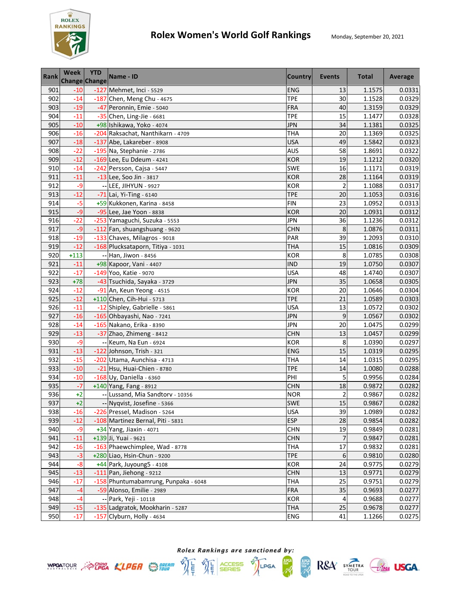

| <b>Rank</b> | <b>Week</b><br>Change Change | <b>YTD</b>               | Name - ID                            | <b>Country</b> | Events                  | <b>Total</b> | Average |
|-------------|------------------------------|--------------------------|--------------------------------------|----------------|-------------------------|--------------|---------|
| 901         | $-10$                        |                          | -127 Mehmet, Inci - 5529             | <b>ENG</b>     | 13                      | 1.1575       | 0.0331  |
| 902         | $-14$                        |                          | -187 Chen, Meng Chu - 4675           | <b>TPE</b>     | 30                      | 1.1528       | 0.0329  |
| 903         | $-19$                        |                          | -47 Peronnin, Emie - 5040            | FRA            | 40                      | 1.3159       | 0.0329  |
| 904         | $-11$                        |                          | $-35$ Chen, Ling-Jie - 6681          | <b>TPE</b>     | 15                      | 1.1477       | 0.0328  |
| 905         | $-10$                        |                          | +98 Ishikawa, Yoko - 4074            | <b>JPN</b>     | 34                      | 1.1381       | 0.0325  |
| 906         | $-16$                        |                          | -204 Raksachat, Nanthikarn - 4709    | THA            | 20                      | 1.1369       | 0.0325  |
| 907         | $-18$                        |                          | -137 Abe, Lakareber - 8908           | <b>USA</b>     | 49                      | 1.5842       | 0.0323  |
| 908         | $-22$                        |                          | -195 Na, Stephanie - 2786            | <b>AUS</b>     | 58                      | 1.8691       | 0.0322  |
| 909         | $-12$                        |                          | -169 Lee, Eu Ddeum - 4241            | <b>KOR</b>     | 19                      | 1.1212       | 0.0320  |
| 910         | $-14$                        |                          | -242 Persson, Cajsa - 5447           | SWE            | 16                      | 1.1171       | 0.0319  |
| 911         | $-11$                        |                          | -13 Lee, Soo Jin - 3817              | <b>KOR</b>     | 28                      | 1.1164       | 0.0319  |
| 912         | -9                           | $\overline{\phantom{a}}$ | LEE, JIHYUN - 9927                   | <b>KOR</b>     | $\overline{2}$          | 1.1088       | 0.0317  |
| 913         | $-12$                        |                          | $-71$ Lai, Yi-Ting - 6140            | <b>TPE</b>     | 20                      | 1.1053       | 0.0316  |
| 914         | -5                           |                          | +59 Kukkonen, Karina - 8458          | <b>FIN</b>     | 23                      | 1.0952       | 0.0313  |
| 915         | $-9$                         |                          | -95 Lee, Jae Yoon - 8838             | <b>KOR</b>     | 20                      | 1.0931       | 0.0312  |
| 916         | $-22$                        |                          | -253 Yamaguchi, Suzuka - 5553        | <b>JPN</b>     | 36                      | 1.1236       | 0.0312  |
| 917         | $-9$                         |                          | -112 Fan, shuangshuang - 9620        | <b>CHN</b>     | 8                       | 1.0876       | 0.0311  |
| 918         | $-19$                        |                          | -133 Chaves, Milagros - 9018         | PAR            | 39                      | 1.2093       | 0.0310  |
| 919         | $-12$                        |                          | -168 Plucksataporn, Titiya - 1031    | <b>THA</b>     | 15                      | 1.0816       | 0.0309  |
| 920         | $+113$                       |                          | -- Han, Jiwon - 8456                 | <b>KOR</b>     | 8                       | 1.0785       | 0.0308  |
| 921         | $-11$                        |                          | +98 Kapoor, Vani - 4407              | <b>IND</b>     | 19                      | 1.0750       | 0.0307  |
| 922         | $-17$                        |                          | -149 Yoo, Katie - 9070               | <b>USA</b>     | 48                      | 1.4740       | 0.0307  |
| 923         | $+78$                        |                          | -43 Tsuchida, Sayaka - 3729          | <b>JPN</b>     | 35                      | 1.0658       | 0.0305  |
| 924         | $-12$                        |                          | -91 An, Keun Yeong - 4515            | <b>KOR</b>     | 20                      | 1.0646       | 0.0304  |
| 925         | $-12$                        |                          | +110 Chen, Cih-Hui - 5713            | <b>TPE</b>     | 21                      | 1.0589       | 0.0303  |
| 926         | $-11$                        |                          | -12 Shipley, Gabrielle - 5861        | <b>USA</b>     | 13                      | 1.0572       | 0.0302  |
| 927         | $-16$                        |                          | -165 Ohbayashi, Nao - 7241           | JPN            | 9                       | 1.0567       | 0.0302  |
| 928         | $-14$                        |                          | -165 Nakano, Erika - 8390            | JPN            | 20                      | 1.0475       | 0.0299  |
| 929         | $-13$                        |                          | -37 Zhao, Zhimeng - 8412             | <b>CHN</b>     | 13                      | 1.0457       | 0.0299  |
| 930         | -9                           |                          | -- Keum, Na Eun - 6924               | <b>KOR</b>     | 8                       | 1.0390       | 0.0297  |
| 931         | $-13$                        |                          | -122 Johnson, Trish - 321            | ENG            | 15                      | 1.0319       | 0.0295  |
| 932         | $-15$                        |                          | -202 Utama, Aunchisa - 4713          | <b>THA</b>     | 14                      | 1.0315       | 0.0295  |
| 933         | $-10$                        |                          | -21 Hsu, Huai-Chien - 8780           | <b>TPE</b>     | 14                      | 1.0080       | 0.0288  |
| 934         | $-10$                        |                          | -168 Uy, Daniella - 6360             | PHI            | 5                       | 0.9956       | 0.0284  |
| 935         | $-7$                         |                          | +140 Yang, Fang - 8912               | <b>CHN</b>     | 18                      | 0.9872       | 0.0282  |
| 936         | $+2$                         |                          | -- Lussand, Mia Sandtorv - 10356     | <b>NOR</b>     | $\overline{\mathbf{c}}$ | 0.9867       | 0.0282  |
| 937         | $+2$                         |                          | -- Nyqvist, Josefine - 5366          | <b>SWE</b>     | 15                      | 0.9867       | 0.0282  |
| 938         | $-16$                        |                          | -226 Pressel, Madison - 5264         | <b>USA</b>     | 39                      | 1.0989       | 0.0282  |
| 939         | $-12$                        |                          | -108 Martinez Bernal, Piti - 5831    | <b>ESP</b>     | 28                      | 0.9854       | 0.0282  |
| 940         | $-9$                         |                          | +34 Yang, Jiaxin - 4071              | <b>CHN</b>     | 19                      | 0.9849       | 0.0281  |
| 941         | $-11$                        |                          | +139 Ji, Yuai - 9621                 | <b>CHN</b>     | 7                       | 0.9847       | 0.0281  |
| 942         | $-16$                        |                          | -163 Phaewchimplee, Wad - 8778       | <b>THA</b>     | 17                      | 0.9832       | 0.0281  |
| 943         | $-3$                         |                          | +280 Liao, Hsin-Chun - 9200          | <b>TPE</b>     | 6                       | 0.9810       | 0.0280  |
| 944         | $-8$                         |                          | +44 Park, Juyoung5 - 4108            | KOR            | 24                      | 0.9775       | 0.0279  |
| 945         | $-13$                        |                          | $-111$ Pan, Jiehong - 9212           | <b>CHN</b>     | 13                      | 0.9771       | 0.0279  |
| 946         | $-17$                        |                          | -158 Phuntumabamrung, Punpaka - 6048 | <b>THA</b>     | 25                      | 0.9751       | 0.0279  |
| 947         | $-4$                         |                          | -59 Alonso, Emilie - 2989            | <b>FRA</b>     | 35                      | 0.9693       | 0.0277  |
| 948         | $-4$                         |                          | -- Park, Yeji - 10118                | <b>KOR</b>     | 4                       | 0.9688       | 0.0277  |
| 949         | $-15$                        |                          | -135 Ladgratok, Mookharin - 5287     | <b>THA</b>     | 25                      | 0.9678       | 0.0277  |
| 950         | $-17$                        |                          | -157 Clyburn, Holly - 4634           | <b>ENG</b>     | 41                      | 1.1266       | 0.0275  |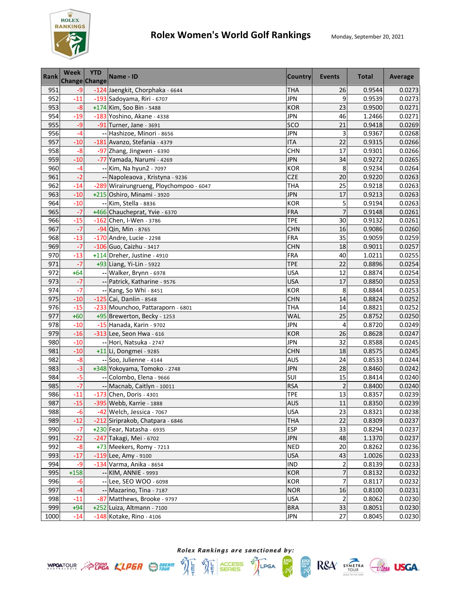

| <b>Rank</b> | <b>Week</b><br><b>Change Change</b> | <b>YTD</b> | Name - ID                                                     | <b>Country</b>           | <b>Events</b>           | <b>Total</b>     | Average          |
|-------------|-------------------------------------|------------|---------------------------------------------------------------|--------------------------|-------------------------|------------------|------------------|
| 951         | $-9$                                |            | -124 Jaengkit, Chorphaka - 6644                               | <b>THA</b>               | 26                      | 0.9544           | 0.0273           |
| 952         | $-11$                               |            | -193 Sadoyama, Riri - 6707                                    | <b>JPN</b>               | 9                       | 0.9539           | 0.0273           |
| 953         | $-8$                                |            | +174 Kim, Soo Bin - 5488                                      | <b>KOR</b>               | 23                      | 0.9500           | 0.0271           |
| 954         | $-19$                               |            | -183 Yoshino, Akane - 4338                                    | <b>JPN</b>               | 46                      | 1.2466           | 0.0271           |
| 955         | $-9$                                |            | -91 Turner, Jane - 3691                                       | sco                      | 21                      | 0.9418           | 0.0269           |
| 956         | $-4$                                |            | -- Hashizoe, Minori - 8656                                    | <b>JPN</b>               | 3                       | 0.9367           | 0.0268           |
| 957         | $-10$                               |            | -181 Avanzo, Stefania - 4379                                  | <b>ITA</b>               | 22                      | 0.9315           | 0.0266           |
| 958         | $-8$                                |            | -97 Zhang, Jingwen - 6390                                     | <b>CHN</b>               | 17                      | 0.9301           | 0.0266           |
| 959         | $-10$                               |            | -77 Yamada, Narumi - 4269                                     | <b>JPN</b>               | 34                      | 0.9272           | 0.0265           |
| 960         | $-4$                                |            | -- Kim, Na hyun2 - 7097                                       | <b>KOR</b>               | 8                       | 0.9234           | 0.0264           |
| 961         | $-2$                                |            | -- Napoleaova, Kristyna - 9236                                | <b>CZE</b>               | 20                      | 0.9220           | 0.0263           |
| 962         | $-14$                               |            | -289 Wirairungrueng, Ploychompoo - 6047                       | <b>THA</b>               | 25                      | 0.9218           | 0.0263           |
| 963         | $-10$                               |            | +215 Oshiro, Minami - 3920                                    | JPN                      | 17                      | 0.9213           | 0.0263           |
| 964         | $-10$                               |            | -- Kim, Stella - 8836                                         | <b>KOR</b>               | 5                       | 0.9194           | 0.0263           |
| 965         | $-7$                                |            | +466 Chaucheprat, Yvie - 6370                                 | FRA                      | $\overline{7}$          | 0.9148           | 0.0261           |
| 966         | $-15$                               |            | -162 Chen, I-Wen - 3786                                       | <b>TPE</b>               | 30                      | 0.9132           | 0.0261           |
| 967         | $-7$                                |            | -94 Qin, Min - 8765                                           | <b>CHN</b>               | 16                      | 0.9086           | 0.0260           |
| 968         | $-13$                               |            | $-170$ Andre, Lucie - 2298                                    | <b>FRA</b>               | 35                      | 0.9059           | 0.0259           |
| 969         | $-7$                                |            | $-106$ Guo, Caizhu - 3417                                     | <b>CHN</b>               | 18                      | 0.9011           | 0.0257           |
| 970         | $-13$                               |            | +114 Dreher, Justine - 4910                                   | FRA                      | 40                      | 1.0211           | 0.0255           |
| 971         | $-7$                                |            | +93 Liang, Yi-Lin - 5922                                      | <b>TPE</b>               | 22                      | 0.8896           | 0.0254           |
| 972         | $+64$                               |            | -- Walker, Brynn - 6978                                       | <b>USA</b>               | 12                      | 0.8874           | 0.0254           |
| 973         | $-7$                                |            | -- Patrick, Katharine - 9576                                  | <b>USA</b>               | 17                      | 0.8850           | 0.0253           |
| 974         | $-7$                                |            | -- Kang, So Whi - 8451                                        | <b>KOR</b>               | 8                       | 0.8844           | 0.0253           |
| 975         | $-10$                               |            | $-125$ Cai, Danlin - 8548                                     | <b>CHN</b>               | 14                      | 0.8824           | 0.0252           |
| 976         | $-15$                               |            | -233 Mounchoo, Pattaraporn - 6801                             | <b>THA</b>               | 14                      | 0.8821           | 0.0252           |
| 977         | $+60$                               |            | +95 Brewerton, Becky - 1253                                   | <b>WAL</b>               | 25                      | 0.8752           | 0.0250           |
| 978         | $-10$                               |            | -15 Hanada, Karin - 9702                                      | <b>JPN</b>               | 4                       | 0.8720           | 0.0249           |
| 979         | $-16$                               |            | -313 Lee, Seon Hwa - 616                                      | <b>KOR</b>               | 26                      | 0.8628           | 0.0247           |
| 980         | $-10$                               |            | -- Hori, Natsuka - 2747                                       | <b>JPN</b>               | 32                      | 0.8588           | 0.0245           |
| 981         | $-10$                               |            | +11 Li, Dongmei - 9285                                        | <b>CHN</b>               | 18                      | 0.8575           | 0.0245           |
| 982         | $-8$                                |            | -- Soo, Julienne - 4144                                       | <b>AUS</b>               | 24                      | 0.8533           | 0.0244           |
| 983         | $-3$                                |            | +348 Yokoyama, Tomoko - 2748                                  | <b>JPN</b>               | 28                      | 0.8460           | 0.0242           |
| 984         | $-5$                                |            | -- Colombo, Elena - 9666                                      | SUI                      | 15                      | 0.8414           | 0.0240           |
| 985         | $-7$                                |            | -- Macnab, Caitlyn - 10011                                    | <b>RSA</b>               | $\overline{c}$          | 0.8400<br>0.8357 | 0.0240           |
| 986<br>987  | $-11$<br>$-15$                      |            | -173 Chen, Doris - 4301<br>-395 Webb, Karrie - 1888           | <b>TPE</b><br><b>AUS</b> | 13<br>$11\,$            |                  | 0.0239           |
|             |                                     |            |                                                               |                          |                         | 0.8350<br>0.8321 | 0.0239           |
| 988<br>989  | -6<br>$-12$                         |            | -42 Welch, Jessica - 7067<br>-212 Siriprakob, Chatpara - 6846 | USA<br>THA               | 23<br>22                | 0.8309           | 0.0238<br>0.0237 |
| 990         | $-7$                                |            | +230 Fear, Natasha - 6935                                     | <b>ESP</b>               | 33                      |                  |                  |
| 991         | $-22$                               |            | -247 Takagi, Mei - 6702                                       | <b>JPN</b>               | 48                      | 0.8294<br>1.1370 | 0.0237<br>0.0237 |
| 992         | $-8$                                |            | +73 Meekers, Romy - 7213                                      | <b>NED</b>               | 20                      | 0.8262           | 0.0236           |
| 993         | $-17$                               |            | $-119$ Lee, Amy - 9100                                        | <b>USA</b>               | 43                      | 1.0026           | 0.0233           |
| 994         | -9                                  |            | -134 Varma, Anika - 8654                                      | <b>IND</b>               | 2                       | 0.8139           | 0.0233           |
| 995         | $+158$                              |            | -- KIM, ANNIE - 9993                                          | <b>KOR</b>               | 7                       | 0.8132           | 0.0232           |
| 996         | $-6$                                |            | -- Lee, SEO WOO - 6098                                        | <b>KOR</b>               | $\overline{7}$          | 0.8117           | 0.0232           |
| 997         | $-4$                                |            | -- Mazarino, Tina - 7187                                      | <b>NOR</b>               | 16                      | 0.8100           | 0.0231           |
| 998         | $-11$                               |            | -87 Matthews, Brooke - 9797                                   | <b>USA</b>               | $\overline{\mathbf{c}}$ | 0.8062           | 0.0230           |
| 999         | $+94$                               |            | +252 Luiza, Altmann - 7100                                    | <b>BRA</b>               | 33                      | 0.8051           | 0.0230           |
| 1000        | $-14$                               |            | -148 Kotake, Rino - 4106                                      | <b>JPN</b>               | 27                      | 0.8045           | 0.0230           |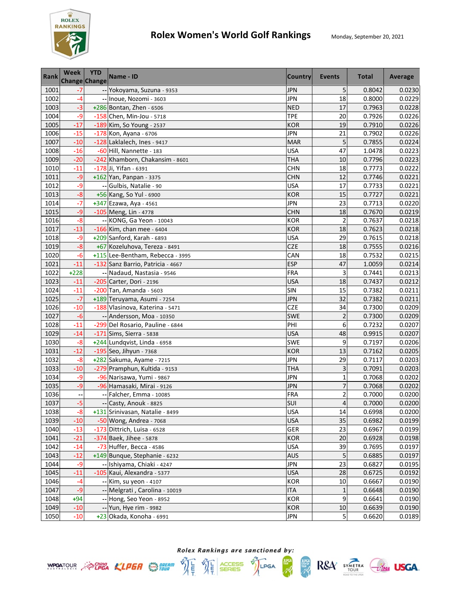

| <b>Rank</b>  | <b>Week</b><br><b>Change Change</b> | <b>YTD</b> | Name - ID                                          | Country                  | Events         | Total            | Average          |
|--------------|-------------------------------------|------------|----------------------------------------------------|--------------------------|----------------|------------------|------------------|
| 1001         | $-7$                                |            | -- Yokoyama, Suzuna - 9353                         | <b>JPN</b>               | 5              | 0.8042           | 0.0230           |
| 1002         | $-4$                                |            | -- Inoue, Nozomi - 3603                            | <b>JPN</b>               | 18             | 0.8000           | 0.0229           |
| 1003         | $-3$                                |            | +286 Bontan, Zhen - 6506                           | <b>NED</b>               | 17             | 0.7963           | 0.0228           |
| 1004         | $-9$                                |            | $-158$ Chen, Min-Jou - 5718                        | <b>TPE</b>               | 20             | 0.7926           | 0.0226           |
| 1005         | $-17$                               |            | -189 Kim, So Young - 2537                          | <b>KOR</b>               | 19             | 0.7910           | 0.0226           |
| 1006         | $-15$                               |            | -178 Kon, Ayana - 6706                             | <b>JPN</b>               | 21             | 0.7902           | 0.0226           |
| 1007         | $-10$                               |            | -128 Laklalech, Ines - 9417                        | <b>MAR</b>               | 5              | 0.7855           | 0.0224           |
| 1008         | $-16$                               |            | -60 Hill, Nannette - 183                           | <b>USA</b>               | 47             | 1.0478           | 0.0223           |
| 1009         | $-20$                               |            | -242 Khamborn, Chakansim - 8601                    | THA                      | 10             | 0.7796           | 0.0223           |
| 1010         | $-11$                               |            | -178 Ji, Yifan - 6391                              | <b>CHN</b>               | 18             | 0.7773           | 0.0222           |
| 1011         | $-9$                                |            | $+162$ Yan, Panpan - 3375                          | <b>CHN</b>               | 12             | 0.7746           | 0.0221           |
| 1012         | -9                                  |            | Gulbis, Natalie - 90                               | <b>USA</b>               | 17             | 0.7733           | 0.0221           |
| 1013         | $-8$                                |            | +56 Kang, So Yul - 6900                            | <b>KOR</b>               | 15             | 0.7727           | 0.0221           |
| 1014         | -7                                  |            | +347 Ezawa, Aya - 4561                             | <b>JPN</b>               | 23             | 0.7713           | 0.0220           |
| 1015         | $-9$                                |            | -105 Meng, Lin - 4778                              | <b>CHN</b>               | 18             | 0.7670           | 0.0219           |
| 1016         | $-8$                                |            | -- KONG, Ga Yeon - 10043                           | <b>KOR</b>               | $\overline{2}$ | 0.7637           | 0.0218           |
| 1017         | $-13$                               |            | $-166$ Kim, chan mee - 6404                        | <b>KOR</b>               | 18             | 0.7623           | 0.0218           |
| 1018         | $-9$                                |            | +209 Sanford, Karah - 6893                         | <b>USA</b>               | 29             | 0.7615           | 0.0218           |
| 1019         | $-8$                                |            | +67 Kozeluhova, Tereza - 8491                      | <b>CZE</b>               | 18             | 0.7555           | 0.0216           |
| 1020         | $-6$                                |            | +115 Lee-Bentham, Rebecca - 3995                   | CAN                      | 18             | 0.7532           | 0.0215           |
| 1021         | $-11$                               |            | -132 Sanz Barrio, Patricia - 4667                  | <b>ESP</b>               | 47             | 1.0059           | 0.0214           |
| 1022         | $+228$                              |            | -- Nadaud, Nastasia - 9546                         | <b>FRA</b>               | 3              | 0.7441           | 0.0213           |
| 1023         | $-11$                               |            | -205 Carter, Dori - 2196                           | <b>USA</b>               | 18             | 0.7437           | 0.0212           |
| 1024         | $-11$                               |            | -200 Tan, Amanda - 5603                            | SIN                      | 15             | 0.7382           | 0.0211           |
| 1025         | $-7$                                |            | +189 Teruyama, Asumi - 7254                        | <b>JPN</b>               | 32             | 0.7382           | 0.0211           |
| 1026         | $-10$                               |            | -188 Vlasinova, Katerina - 5471                    | <b>CZE</b>               | 34             | 0.7300           | 0.0209           |
| 1027         | $-6$                                |            | -- Andersson, Moa - 10350                          | <b>SWE</b>               | $\overline{c}$ | 0.7300           | 0.0209           |
| 1028         | $-11$                               |            | -299 Del Rosario, Pauline - 6844                   | PHI                      | 6              | 0.7232           | 0.0207           |
| 1029         | $-14$                               |            | $-171$ Sims, Sierra - 5838                         | <b>USA</b>               | 48             | 0.9915           | 0.0207           |
| 1030         | $-8$                                |            | +244 Lundqvist, Linda - 6958                       | <b>SWE</b>               | 9              | 0.7197           | 0.0206           |
| 1031         | $-12$                               |            | $-195$ Seo, Jihyun - 7368                          | <b>KOR</b>               | 13             | 0.7162           | 0.0205           |
| 1032         | $-8$                                |            | +282 Sakuma, Ayame - 7215                          | <b>JPN</b>               | 29             | 0.7117           | 0.0203           |
| 1033         | $-10$                               |            | -279 Pramphun, Kultida - 9153                      | <b>THA</b>               | 3              | 0.7091           | 0.0203           |
| 1034         | $-9$                                |            | -96 Narisawa, Yumi - 9867                          | <b>JPN</b>               | $\mathbf{1}$   | 0.7068           | 0.0202           |
| 1035         | $-9$                                |            | -96 Hamasaki, Mirai - 9126                         | <b>JPN</b>               | 7              | 0.7068           | 0.0202           |
| 1036         | $\overline{\phantom{a}}$            |            | -- Falcher, Emma - 10085                           | <b>FRA</b>               | $\overline{c}$ | 0.7000           | 0.0200           |
| 1037         | $-5$                                |            | -- Casty, Anouk - 8825                             | SUI                      | 4              | 0.7000           | 0.0200           |
| 1038         | $-8$                                |            | +131 Srinivasan, Natalie - 8499                    | USA                      | 14             | 0.6998           | 0.0200           |
| 1039         | $-10$                               |            | -50 Wong, Andrea - 7068                            | USA                      | 35             | 0.6982           | 0.0199           |
| 1040         | $-13$                               |            | -173 Dittrich, Luisa - 6528                        | GER                      | 23             | 0.6967           | 0.0199           |
| 1041         | $-21$                               |            | -374 Baek, Jihee - 5878                            | <b>KOR</b>               | 20             | 0.6928           | 0.0198           |
| 1042         | $-14$                               |            | -73 Huffer, Becca - 4586                           | <b>USA</b>               | 39             | 0.7695           | 0.0197           |
| 1043         | $-12$                               |            | +149 Bunque, Stephanie - 6232                      | <b>AUS</b>               | 5<br>23        | 0.6885           | 0.0197           |
| 1044         | $-9$                                |            | -- Ishiyama, Chiaki - 4247                         | <b>JPN</b>               |                | 0.6827           | 0.0195           |
| 1045         | $-11$                               |            | -105 Kaui, Alexandra - 5377                        | <b>USA</b>               | 28             | 0.6725           | 0.0192           |
| 1046         | $-4$                                |            | -- Kim, su yeon - 4107                             | <b>KOR</b>               | 10             | 0.6667           | 0.0190           |
| 1047<br>1048 | $-9$<br>$+94$                       |            | -- Melgrati, Carolina - 10019                      | <b>ITA</b><br><b>KOR</b> | 1<br>9         | 0.6648<br>0.6641 | 0.0190<br>0.0190 |
| 1049         | $-10$                               |            | -- Hong, Seo Yeon - 8952<br>-- Yun, Hye rim - 9982 | <b>KOR</b>               | $10\,$         | 0.6639           | 0.0190           |
| 1050         | $-10$                               |            | +23 Okada, Konoha - 6991                           | <b>JPN</b>               | 5              | 0.6620           | 0.0189           |





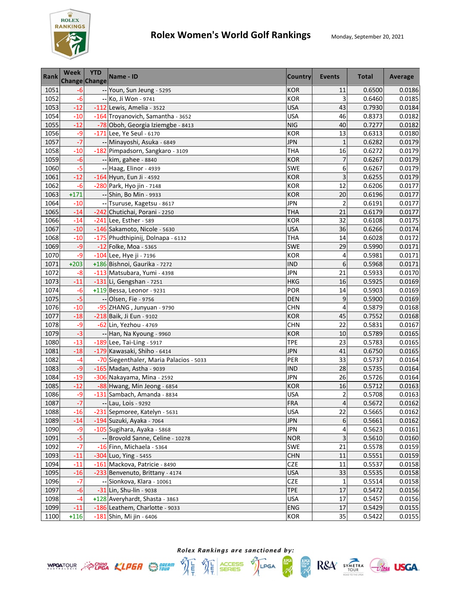

| <b>Rank</b> | <b>Week</b><br><b>Change Change</b> | <b>YTD</b> | Name - ID                               | <b>Country</b> | <b>Events</b>           | <b>Total</b> | Average |
|-------------|-------------------------------------|------------|-----------------------------------------|----------------|-------------------------|--------------|---------|
| 1051        | -6                                  |            | -- Youn, Sun Jeung - 5295               | <b>KOR</b>     | 11                      | 0.6500       | 0.0186  |
| 1052        | $-6$                                |            | -- Ko, Ji Won - 9741                    | <b>KOR</b>     | 3                       | 0.6460       | 0.0185  |
| 1053        | $-12$                               |            | $-112$ Lewis, Amelia - 3522             | <b>USA</b>     | 43                      | 0.7930       | 0.0184  |
| 1054        | $-10$                               |            | -164 Troyanovich, Samantha - 3652       | <b>USA</b>     | 46                      | 0.8373       | 0.0182  |
| 1055        | $-12$                               |            | -78 Oboh, Georgia Iziemgbe - 8413       | <b>NIG</b>     | 40                      | 0.7277       | 0.0182  |
| 1056        | $-9$                                |            | -171 Lee, Ye Seul - 6170                | <b>KOR</b>     | 13                      | 0.6313       | 0.0180  |
| 1057        | $-7$                                |            | -- Minayoshi, Asuka - 6849              | <b>JPN</b>     | $\mathbf{1}$            | 0.6282       | 0.0179  |
| 1058        | $-10$                               |            | -182 Pimpadsorn, Sangkaro - 3109        | <b>THA</b>     | 16                      | 0.6272       | 0.0179  |
| 1059        | $-6$                                |            | -- kim, gahee - 8840                    | <b>KOR</b>     | $\overline{7}$          | 0.6267       | 0.0179  |
| 1060        | $-5$                                |            | -- Haag, Elinor - 4939                  | <b>SWE</b>     | 6                       | 0.6267       | 0.0179  |
| 1061        | $-12$                               |            | -164 Hyun, Eun Ji - 4592                | <b>KOR</b>     | 3                       | 0.6255       | 0.0179  |
| 1062        | $-6$                                |            | -280 Park, Hyo jin - 7148               | <b>KOR</b>     | 12                      | 0.6206       | 0.0177  |
| 1063        | $+171$                              |            | -- Shin, Bo Min - 9933                  | <b>KOR</b>     | 20                      | 0.6196       | 0.0177  |
| 1064        | $-10$                               |            | -- Tsuruse, Kagetsu - 8617              | <b>JPN</b>     | $\overline{2}$          | 0.6191       | 0.0177  |
| 1065        | $-14$                               |            | -242 Chutichai, Porani - 2250           | <b>THA</b>     | 21                      | 0.6179       | 0.0177  |
| 1066        | $-14$                               |            | -241 Lee, Esther - 589                  | <b>KOR</b>     | 32                      | 0.6108       | 0.0175  |
| 1067        | $-10$                               |            | -146 Sakamoto, Nicole - 5630            | <b>USA</b>     | 36                      | 0.6266       | 0.0174  |
| 1068        | $-10$                               |            | -175 Phudthipinij, Dolnapa - 6132       | <b>THA</b>     | 14                      | 0.6028       | 0.0172  |
| 1069        | $-9$                                |            | -12 Folke, Moa - 5365                   | <b>SWE</b>     | 29                      | 0.5990       | 0.0171  |
| 1070        | $-9$                                |            | -104 Lee, Hye ji - 7196                 | <b>KOR</b>     | 4                       | 0.5981       | 0.0171  |
| 1071        | $+203$                              |            | +186 Bishnoi, Gaurika - 7272            | <b>IND</b>     | 6                       | 0.5968       | 0.0171  |
| 1072        | $-8$                                |            | -113 Matsubara, Yumi - 4398             | <b>JPN</b>     | 21                      | 0.5933       | 0.0170  |
| 1073        | $-11$                               |            | $-131$ Li, Gengshan - 7251              | <b>HKG</b>     | 16                      | 0.5925       | 0.0169  |
| 1074        | -6                                  |            | +119 Bessa, Leonor - 9231               | POR            | 14                      | 0.5903       | 0.0169  |
| 1075        | $-5$                                |            | -- Olsen, Fie - 9756                    | <b>DEN</b>     | 9                       | 0.5900       | 0.0169  |
| 1076        | $-10$                               |            | -95 ZHANG, Junyuan - 9790               | <b>CHN</b>     | $\overline{\mathbf{4}}$ | 0.5879       | 0.0168  |
| 1077        | $-18$                               |            | -218 Baik, Ji Eun - 9102                | <b>KOR</b>     | 45                      | 0.7552       | 0.0168  |
| 1078        | -9                                  |            | -62 Lin, Yezhou - 4769                  | <b>CHN</b>     | 22                      | 0.5831       | 0.0167  |
| 1079        | $-3$                                |            | -- Han, Na Kyoung - 9960                | <b>KOR</b>     | 10                      | 0.5789       | 0.0165  |
| 1080        | $-13$                               |            | $-189$ Lee, Tai-Ling - 5917             | <b>TPE</b>     | 23                      | 0.5783       | 0.0165  |
| 1081        | $-18$                               |            | -179 Kawasaki, Shiho - 6414             | <b>JPN</b>     | 41                      | 0.6750       | 0.0165  |
| 1082        | $-4$                                |            | -70 Siegenthaler, Maria Palacios - 5033 | PER            | 33                      | 0.5737       | 0.0164  |
| 1083        | $-9$                                |            | -165 Madan, Astha - 9039                | <b>IND</b>     | 28                      | 0.5735       | 0.0164  |
| 1084        | $-19$                               |            | -306 Nakayama, Mina - 2592              | <b>JPN</b>     | 26                      | 0.5726       | 0.0164  |
| 1085        | $-12$                               |            | -88 Hwang, Min Jeong - 6854             | <b>KOR</b>     | 16                      | 0.5712       | 0.0163  |
| 1086        | -9                                  |            | -131 Sambach, Amanda - 8834             | <b>USA</b>     | 2                       | 0.5708       | 0.0163  |
| 1087        | $-7$                                |            | -- Lau, Lois - 9292                     | <b>FRA</b>     | $\overline{\mathbf{4}}$ | 0.5672       | 0.0162  |
| 1088        | -16                                 |            | -231 Sepmoree, Katelyn - 5631           | <b>USA</b>     | 22                      | 0.5665       | 0.0162  |
| 1089        | $-14$                               |            | -194 Suzuki, Ayaka - 7064               | <b>JPN</b>     | 6                       | 0.5661       | 0.0162  |
| 1090        | -9                                  |            | -105 Sugihara, Ayaka - 5868             | <b>JPN</b>     | 4                       | 0.5623       | 0.0161  |
| 1091        | $-5$                                |            | -- Brovold Sanne, Celine - 10278        | <b>NOR</b>     | 3                       | 0.5610       | 0.0160  |
| 1092        | $-7$                                |            | -16 Finn, Michaela - 5364               | <b>SWE</b>     | 21                      | 0.5578       | 0.0159  |
| 1093        | $-11$                               |            | $-304$ Luo, Ying - 5455                 | <b>CHN</b>     | 11                      | 0.5551       | 0.0159  |
| 1094        | $-11$                               |            | -161 Mackova, Patricie - 8490           | <b>CZE</b>     | 11                      | 0.5537       | 0.0158  |
| 1095        | $-16$                               |            | -233 Benvenuto, Brittany - 4174         | <b>USA</b>     | 33                      | 0.5535       | 0.0158  |
| 1096        | $-7$                                |            | -- Sionkova, Klara - 10061              | <b>CZE</b>     | $\mathbf{1}$            | 0.5514       | 0.0158  |
| 1097        | $-6$                                |            | -31 Lin, Shu-lin - 9038                 | <b>TPE</b>     | 17                      | 0.5472       | 0.0156  |
| 1098        | $-4$                                |            | +128 Averyhardt, Shasta - 3863          | <b>USA</b>     | 17                      | 0.5457       | 0.0156  |
| 1099        | $-11$                               |            | -186 Leathem, Charlotte - 9033          | <b>ENG</b>     | 17                      | 0.5429       | 0.0155  |
| 1100        | $+116$                              |            | -181 Shin, Mi jin - 6406                | <b>KOR</b>     | 35                      | 0.5422       | 0.0155  |





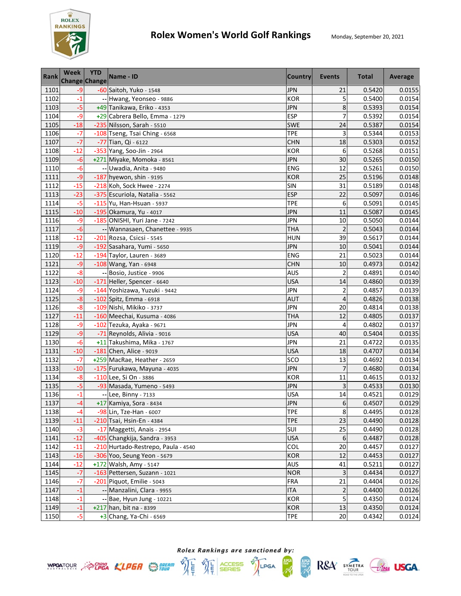

| <b>Rank</b> | <b>Week</b><br><b>Change Change</b> | <b>YTD</b> | Name - ID                           | <b>Country</b> | Events                   | <b>Total</b> | Average |
|-------------|-------------------------------------|------------|-------------------------------------|----------------|--------------------------|--------------|---------|
| 1101        | $-9$                                |            | -60 Saitoh, Yuko - 1548             | <b>JPN</b>     | 21                       | 0.5420       | 0.0155  |
| 1102        | $-1$                                |            | -- Hwang, Yeonseo - 9886            | <b>KOR</b>     | 5                        | 0.5400       | 0.0154  |
| 1103        | $-5$                                |            | +49 Tanikawa, Eriko - 4353          | <b>JPN</b>     | 8                        | 0.5393       | 0.0154  |
| 1104        | $-9$                                |            | +29 Cabrera Bello, Emma - 1279      | <b>ESP</b>     | 7                        | 0.5392       | 0.0154  |
| 1105        | $-18$                               |            | -235 Nilsson, Sarah - 5510          | SWE            | 24                       | 0.5387       | 0.0154  |
| 1106        | $-7$                                |            | -108 Tseng, Tsai Ching - 6568       | <b>TPE</b>     | 3                        | 0.5344       | 0.0153  |
| 1107        | $-7$                                |            | -77 Tian, Qi - 6122                 | <b>CHN</b>     | 18                       | 0.5303       | 0.0152  |
| 1108        | $-12$                               |            | -353 Yang, Soo-Jin - 2964           | <b>KOR</b>     | 6                        | 0.5268       | 0.0151  |
| 1109        | $-6$                                |            | +271 Miyake, Momoka - 8561          | <b>JPN</b>     | 30                       | 0.5265       | 0.0150  |
| 1110        | $-6$                                |            | -- Uwadia, Anita - 9480             | ENG            | 12                       | 0.5261       | 0.0150  |
| 1111        | $-9$                                |            | $-187$ hyewon, shin - 9195          | <b>KOR</b>     | 25                       | 0.5196       | 0.0148  |
| 1112        | $-15$                               |            | -218 Koh, Sock Hwee - 2274          | <b>SIN</b>     | 31                       | 0.5189       | 0.0148  |
| 1113        | $-23$                               |            | -375 Escuriola, Natalia - 5562      | <b>ESP</b>     | 22                       | 0.5097       | 0.0146  |
| 1114        | $-5$                                |            | -115 Yu, Han-Hsuan - 5937           | <b>TPE</b>     | 6                        | 0.5091       | 0.0145  |
| 1115        | $-10$                               |            | -195 Okamura, Yu - 4017             | <b>JPN</b>     | 11                       | 0.5087       | 0.0145  |
| 1116        | $-9$                                |            | -185 ONISHI, Yuri Jane - 7242       | <b>JPN</b>     | 10                       | 0.5050       | 0.0144  |
| 1117        | $-6$                                |            | -- Wannasaen, Chanettee - 9935      | <b>THA</b>     | $\overline{c}$           | 0.5043       | 0.0144  |
| 1118        | $-12$                               |            | -201 Rozsa, Csicsi - 5545           | <b>HUN</b>     | 39                       | 0.5617       | 0.0144  |
| 1119        | $-9$                                |            | -192 Sasahara, Yumi - 5650          | <b>JPN</b>     | 10                       | 0.5041       | 0.0144  |
| 1120        | $-12$                               |            | -194 Taylor, Lauren - 3689          | <b>ENG</b>     | 21                       | 0.5023       | 0.0144  |
| 1121        | $-9$                                |            | $-108$ Wang, Yan - 6948             | <b>CHN</b>     | 10                       | 0.4973       | 0.0142  |
| 1122        | $-8$                                |            | -- Bosio, Justice - 9906            | <b>AUS</b>     | $\overline{2}$           | 0.4891       | 0.0140  |
| 1123        | $-10$                               |            | -171 Heller, Spencer - 6640         | <b>USA</b>     | 14                       | 0.4860       | 0.0139  |
| 1124        | $-9$                                |            | -144 Yoshizawa, Yuzuki - 9442       | <b>JPN</b>     | $\overline{c}$           | 0.4857       | 0.0139  |
| 1125        | $-8$                                |            | -102 Spitz, Emma - 6918             | <b>AUT</b>     | $\overline{\mathcal{L}}$ | 0.4826       | 0.0138  |
| 1126        | $-8$                                |            | -109 Nishi, Mikiko - 3737           | JPN            | 20                       | 0.4814       | 0.0138  |
| 1127        | $-11$                               |            | -160 Meechai, Kusuma - 4086         | <b>THA</b>     | 12                       | 0.4805       | 0.0137  |
| 1128        | $-9$                                |            | -102 Tezuka, Ayaka - 9671           | <b>JPN</b>     | 4                        | 0.4802       | 0.0137  |
| 1129        | $-9$                                |            | -71 Reynolds, Alivia - 9016         | <b>USA</b>     | 40                       | 0.5404       | 0.0135  |
| 1130        | $-6$                                |            | +11 Takushima, Mika - 1767          | <b>JPN</b>     | 21                       | 0.4722       | 0.0135  |
| 1131        | $-10$                               |            | $-181$ Chen, Alice - 9019           | <b>USA</b>     | 18                       | 0.4707       | 0.0134  |
| 1132        | $-7$                                |            | +259 MacRae, Heather - 2659         | sco            | 13                       | 0.4692       | 0.0134  |
| 1133        | $-10$                               |            | -175 Furukawa, Mayuna - 4035        | <b>JPN</b>     | 7                        | 0.4680       | 0.0134  |
| 1134        | $-8$                                |            | -110 Lee, Si On - 3886              | <b>KOR</b>     | 11                       | 0.4615       | 0.0132  |
| 1135        | $-5$                                |            | -93 Masada, Yumeno - 5493           | <b>JPN</b>     | 3                        | 0.4533       | 0.0130  |
| 1136        | $-1$                                |            | -- Lee, Binny - 7133                | <b>USA</b>     | 14                       | 0.4521       | 0.0129  |
| 1137        | $-4$                                |            | +17 Kamiya, Sora - 8434             | <b>JPN</b>     | 6                        | 0.4507       | 0.0129  |
| 1138        | $-4$                                |            | -98 Lin, Tze-Han - 6007             | TPE            | 8                        | 0.4495       | 0.0128  |
| 1139        | $-11$                               |            | -210 Tsai, Hsin-En - 4384           | <b>TPE</b>     | 23                       | 0.4490       | 0.0128  |
| 1140        | $-3$                                |            | -17 Maggetti, Anais - 2954          | SUI            | 25                       | 0.4490       | 0.0128  |
| 1141        | $-12$                               |            | -405 Changkija, Sandra - 3953       | <b>USA</b>     | $\boldsymbol{6}$         | 0.4487       | 0.0128  |
| 1142        | $-11$                               |            | -210 Hurtado-Restrepo, Paula - 4540 | COL            | 20                       | 0.4457       | 0.0127  |
| 1143        | $-16$                               |            | -306 Yoo, Seung Yeon - 5679         | <b>KOR</b>     | 12                       | 0.4453       | 0.0127  |
| 1144        | $-12$                               |            | +172 Walsh, Amy - 5147              | <b>AUS</b>     | 41                       | 0.5211       | 0.0127  |
| 1145        | $-7$                                |            | -163 Pettersen, Suzann - 1021       | <b>NOR</b>     | 3                        | 0.4434       | 0.0127  |
| 1146        | $-7$                                |            | -201 Piquot, Emilie - 5043          | <b>FRA</b>     | 21                       | 0.4404       | 0.0126  |
| 1147        | $-1$                                |            | -- Manzalini, Clara - 9955          | <b>ITA</b>     | $\overline{\mathbf{c}}$  | 0.4400       | 0.0126  |
| 1148        | $-1$                                |            | -- Bae, Hyun Jung - 10221           | <b>KOR</b>     | 5                        | 0.4350       | 0.0124  |
| 1149        | $-1$                                |            | $+217$ han, bit na - 8399           | <b>KOR</b>     | 13                       | 0.4350       | 0.0124  |
| 1150        | $-5$                                |            | +3 Chang, Ya-Chi - 6569             | <b>TPE</b>     | 20                       | 0.4342       | 0.0124  |





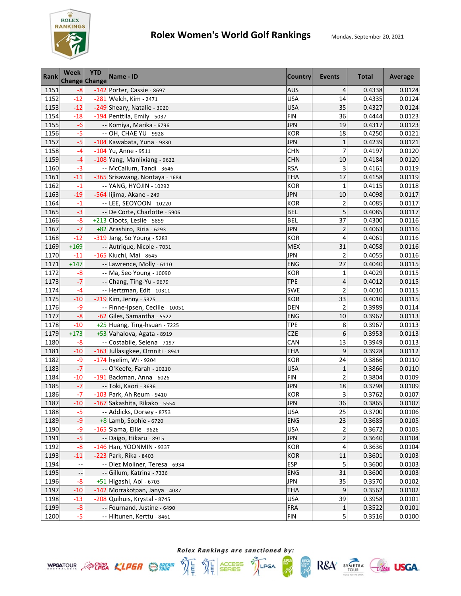

| <b>Rank</b> | <b>Week</b><br><b>Change Change</b> | <b>YTD</b> | Name - ID                        | <b>Country</b> | Events                  | <b>Total</b> | Average |
|-------------|-------------------------------------|------------|----------------------------------|----------------|-------------------------|--------------|---------|
| 1151        | $-8$                                |            | -142 Porter, Cassie - 8697       | <b>AUS</b>     | $\overline{4}$          | 0.4338       | 0.0124  |
| 1152        | $-12$                               |            | -281 Welch, Kim - 2471           | <b>USA</b>     | 14                      | 0.4335       | 0.0124  |
| 1153        | $-12$                               |            | -249 Sheary, Natalie - 3020      | <b>USA</b>     | 35                      | 0.4327       | 0.0124  |
| 1154        | $-18$                               |            | -194 Penttila, Emily - 5037      | <b>FIN</b>     | 36                      | 0.4444       | 0.0123  |
| 1155        | $-6$                                |            | -- Komiya, Marika - 6796         | <b>JPN</b>     | 19                      | 0.4317       | 0.0123  |
| 1156        | $-5$                                |            | -- OH, CHAE YU - 9928            | <b>KOR</b>     | 18                      | 0.4250       | 0.0121  |
| 1157        | $-5$                                |            | -104 Kawabata, Yuna - 9830       | <b>JPN</b>     | $\mathbf{1}$            | 0.4239       | 0.0121  |
| 1158        | $-4$                                |            | $-104$ Yu, Anne - 9511           | <b>CHN</b>     | 7                       | 0.4197       | 0.0120  |
| 1159        | -4                                  |            | -108 Yang, Manlixiang - 9622     | <b>CHN</b>     | 10                      | 0.4184       | 0.0120  |
| 1160        | $-3$                                |            | -- McCallum, Tandi - 3646        | <b>RSA</b>     | 3                       | 0.4161       | 0.0119  |
| 1161        | $-11$                               |            | -365 Srisawang, Nontaya - 1684   | <b>THA</b>     | 17                      | 0.4158       | 0.0119  |
| 1162        | $-1$                                |            | -- YANG, HYOJIN - 10292          | <b>KOR</b>     | $\mathbf{1}$            | 0.4115       | 0.0118  |
| 1163        | $-19$                               |            | -564 lijima, Akane - 249         | <b>JPN</b>     | 10                      | 0.4098       | 0.0117  |
| 1164        | $-1$                                |            | -- LEE, SEOYOON - 10220          | <b>KOR</b>     | 2                       | 0.4085       | 0.0117  |
| 1165        | $-3$                                |            | -- De Corte, Charlotte - 5906    | <b>BEL</b>     | 5                       | 0.4085       | 0.0117  |
| 1166        | $-8$                                |            | +213 Cloots, Leslie - 5859       | <b>BEL</b>     | 37                      | 0.4300       | 0.0116  |
| 1167        | $-7$                                |            | +82 Arashiro, Riria - 6293       | <b>JPN</b>     | $\overline{c}$          | 0.4063       | 0.0116  |
| 1168        | $-12$                               |            | -319 Jang, So Young - 5283       | <b>KOR</b>     | 4                       | 0.4061       | 0.0116  |
| 1169        | $+169$                              |            | -- Autrique, Nicole - 7031       | <b>MEX</b>     | 31                      | 0.4058       | 0.0116  |
| 1170        | $-11$                               |            | -165 Kiuchi, Mai - 8645          | <b>JPN</b>     | $\overline{2}$          | 0.4055       | 0.0116  |
| 1171        | $+147$                              |            | -- Lawrence, Molly - 6110        | <b>ENG</b>     | 27                      | 0.4040       | 0.0115  |
| 1172        | $-8$                                |            | -- Ma, Seo Young - 10090         | <b>KOR</b>     | $\mathbf{1}$            | 0.4029       | 0.0115  |
| 1173        | $-7$                                |            | -- Chang, Ting-Yu - 9679         | <b>TPE</b>     | 4                       | 0.4012       | 0.0115  |
| 1174        | $-4$                                |            | -- Hertzman, Edit - 10311        | SWE            | $\overline{\mathbf{c}}$ | 0.4010       | 0.0115  |
| 1175        | $-10$                               |            | $-219$ Kim, Jenny - 5325         | <b>KOR</b>     | 33                      | 0.4010       | 0.0115  |
| 1176        | -9                                  |            | -- Finne-Ipsen, Cecilie - 10051  | <b>DEN</b>     | $\overline{\mathbf{c}}$ | 0.3989       | 0.0114  |
| 1177        | $-8$                                |            | -62 Giles, Samantha - 5522       | <b>ENG</b>     | 10                      | 0.3967       | 0.0113  |
| 1178        | $-10$                               |            | +25 Huang, Ting-hsuan - 7225     | <b>TPE</b>     | 8                       | 0.3967       | 0.0113  |
| 1179        | $+173$                              |            | +53 Vahalova, Agata - 8919       | CZE            | 6                       | 0.3953       | 0.0113  |
| 1180        | $-8$                                |            | -- Costabile, Selena - 7197      | CAN            | 13                      | 0.3949       | 0.0113  |
| 1181        | $-10$                               |            | -163 Jullasigkee, Ornniti - 8941 | <b>THA</b>     | $\mathsf 9$             | 0.3928       | 0.0112  |
| 1182        | -9                                  |            | -174 hyelim, Wi - 9204           | <b>KOR</b>     | 24                      | 0.3866       | 0.0110  |
| 1183        | $-7$                                |            | -- O'Keefe, Farah - 10210        | <b>USA</b>     | $\mathbf{1}$            | 0.3866       | 0.0110  |
| 1184        | $-10$                               |            | -191 Backman, Anna - 6026        | <b>FIN</b>     | $\overline{\mathbf{c}}$ | 0.3804       | 0.0109  |
| 1185        | $-7$                                |            | -- Toki, Kaori - 3636            | <b>JPN</b>     | 18                      | 0.3798       | 0.0109  |
| 1186        | $-7$                                |            | -103 Park, Ah Reum - 9410        | <b>KOR</b>     | 3                       | 0.3762       | 0.0107  |
| 1187        | $-10$                               |            | -167 Sakashita, Rikako - 5554    | <b>JPN</b>     | 36                      | 0.3865       | 0.0107  |
| 1188        | $-5$                                |            | -- Addicks, Dorsey - 8753        | <b>USA</b>     | 25                      | 0.3700       | 0.0106  |
| 1189        | -9                                  |            | $+8$ Lamb, Sophie - 6720         | <b>ENG</b>     | 23                      | 0.3685       | 0.0105  |
| 1190        | -9                                  |            | -165 Slama, Ellie - 9626         | <b>USA</b>     | $\overline{\mathbf{c}}$ | 0.3672       | 0.0105  |
| 1191        | $-5$                                |            | -- Daigo, Hikaru - 8915          | <b>JPN</b>     | $\overline{\mathbf{c}}$ | 0.3640       | 0.0104  |
| 1192        | $-8$                                |            | $-146$ Han, YOONMIN - 9337       | KOR            | 4                       | 0.3636       | 0.0104  |
| 1193        | $-11$                               |            | -223 Park, Rika - 8403           | <b>KOR</b>     | 11                      | 0.3601       | 0.0103  |
| 1194        |                                     |            | -- Diez Moliner, Teresa - 6934   | <b>ESP</b>     | 5                       | 0.3600       | 0.0103  |
| 1195        |                                     |            | -- Gillum, Katrina - 7336        | <b>ENG</b>     | 31                      | 0.3600       | 0.0103  |
| 1196        | $-8$                                |            | +51 Higashi, Aoi - 6703          | <b>JPN</b>     | 35                      | 0.3570       | 0.0102  |
| 1197        | $-10$                               |            | -142 Morrakotpan, Janya - 4087   | <b>THA</b>     | 9                       | 0.3562       | 0.0102  |
| 1198        | $-13$                               |            | -208 Quihuis, Krystal - 8745     | <b>USA</b>     | 39                      | 0.3958       | 0.0101  |
| 1199        | $-8$                                |            | -- Fournand, Justine - 6490      | <b>FRA</b>     | $1\,$                   | 0.3522       | 0.0101  |
| 1200        | $-5$                                |            | -- Hiltunen, Kerttu - 8461       | <b>FIN</b>     | 5                       | 0.3516       | 0.0100  |





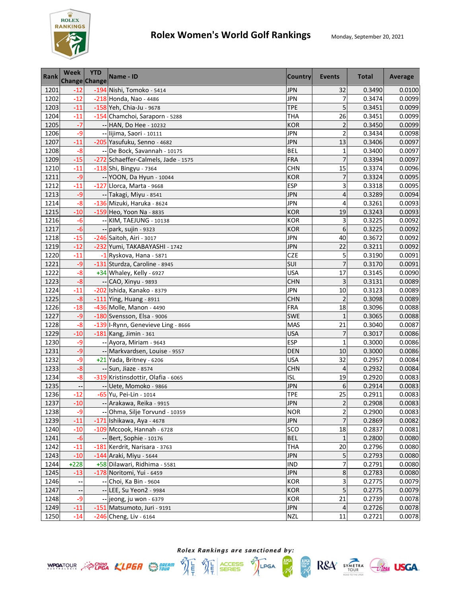

| <b>Rank</b> | Week<br><b>Change Change</b> | <b>YTD</b> | Name - ID                           | <b>Country</b> | Events                  | <b>Total</b> | Average |
|-------------|------------------------------|------------|-------------------------------------|----------------|-------------------------|--------------|---------|
| 1201        | $-12$                        |            | -194 Nishi, Tomoko - 5414           | <b>JPN</b>     | 32                      | 0.3490       | 0.0100  |
| 1202        | $-12$                        |            | -218 Honda, Nao - 4486              | <b>JPN</b>     | 7                       | 0.3474       | 0.0099  |
| 1203        | $-11$                        |            | -158 Yeh, Chia-Ju - 9678            | <b>TPE</b>     | 5                       | 0.3451       | 0.0099  |
| 1204        | $-11$                        |            | -154 Chamchoi, Saraporn - 5288      | <b>THA</b>     | 26                      | 0.3451       | 0.0099  |
| 1205        | $-7$                         |            | -- HAN, Do Hee - 10232              | <b>KOR</b>     | $\overline{\mathbf{c}}$ | 0.3450       | 0.0099  |
| 1206        | $-9$                         |            | -- lijima, Saori - 10111            | <b>JPN</b>     | $\overline{2}$          | 0.3434       | 0.0098  |
| 1207        | $-11$                        |            | -205 Yasufuku, Senno - 4682         | <b>JPN</b>     | 13                      | 0.3406       | 0.0097  |
| 1208        | $-8$                         |            | -- De Bock, Savannah - 10175        | <b>BEL</b>     | $\mathbf{1}$            | 0.3400       | 0.0097  |
| 1209        | $-15$                        |            | -272 Schaeffer-Calmels, Jade - 1575 | <b>FRA</b>     | $\overline{7}$          | 0.3394       | 0.0097  |
| 1210        | $-11$                        |            | -118 Shi, Bingyu - 7364             | <b>CHN</b>     | 15                      | 0.3374       | 0.0096  |
| 1211        | $-9$                         |            | -- YOON, Da Hyun - 10044            | <b>KOR</b>     | $\overline{7}$          | 0.3324       | 0.0095  |
| 1212        | $-11$                        |            | -127 Llorca, Marta - 9668           | <b>ESP</b>     | 3                       | 0.3318       | 0.0095  |
| 1213        | $-9$                         |            | -- Takagi, Miyu - 8541              | <b>JPN</b>     | 4                       | 0.3289       | 0.0094  |
| 1214        | $-8$                         |            | -136 Mizuki, Haruka - 8624          | <b>JPN</b>     | 4                       | 0.3261       | 0.0093  |
| 1215        | $-10$                        |            | -159 Heo, Yoon Na - 8835            | <b>KOR</b>     | 19                      | 0.3243       | 0.0093  |
| 1216        | -6                           |            | -- KIM, TAEJUNG - 10138             | <b>KOR</b>     | 3                       | 0.3225       | 0.0092  |
| 1217        | -6                           |            | -- park, sujin - 9323               | <b>KOR</b>     | 6                       | 0.3225       | 0.0092  |
| 1218        | $-15$                        |            | -246 Saitoh, Airi - 3017            | <b>JPN</b>     | 40                      | 0.3672       | 0.0092  |
| 1219        | $-12$                        |            | -232 Yumi, TAKABAYASHI - 1742       | <b>JPN</b>     | 22                      | 0.3211       | 0.0092  |
| 1220        | $-11$                        |            | -1 Ryskova, Hana - 5871             | <b>CZE</b>     | 5                       | 0.3190       | 0.0091  |
| 1221        | $-9$                         |            | -131 Sturdza, Caroline - 8945       | SUI            | $\overline{7}$          | 0.3170       | 0.0091  |
| 1222        | $-8$                         |            | +34 Whaley, Kelly - 6927            | <b>USA</b>     | 17                      | 0.3145       | 0.0090  |
| 1223        | $-8$                         |            | -- CAO, Xinyu - 9893                | <b>CHN</b>     | 3                       | 0.3131       | 0.0089  |
| 1224        | $-11$                        |            | -202 Ishida, Kanako - 8379          | JPN            | 10                      | 0.3123       | 0.0089  |
| 1225        | $-8$                         |            | $-111$ Ying, Huang - 8911           | <b>CHN</b>     | $\overline{c}$          | 0.3098       | 0.0089  |
| 1226        | $-18$                        |            | -436 Molle, Manon - 4490            | <b>FRA</b>     | 18                      | 0.3096       | 0.0088  |
| 1227        | $-9$                         |            | -180 Svensson, Elsa - 9006          | <b>SWE</b>     | $\mathbf{1}$            | 0.3065       | 0.0088  |
| 1228        | $-8$                         |            | -139 I-Rynn, Genevieve Ling - 8666  | <b>MAS</b>     | 21                      | 0.3040       | 0.0087  |
| 1229        | $-10$                        |            | -181 Kang, Jimin - 361              | <b>USA</b>     | $\overline{7}$          | 0.3017       | 0.0086  |
| 1230        | -9                           |            | -- Ayora, Miriam - 9643             | <b>ESP</b>     | $\overline{1}$          | 0.3000       | 0.0086  |
| 1231        | $-9$                         |            | -- Markvardsen, Louise - 9557       | <b>DEN</b>     | 10                      | 0.3000       | 0.0086  |
| 1232        | $-9$                         |            | +21 Yada, Britney - 6206            | <b>USA</b>     | 32                      | 0.2957       | 0.0084  |
| 1233        | $-8$                         |            | -- Sun, Jiaze - 8574                | <b>CHN</b>     | 4                       | 0.2932       | 0.0084  |
| 1234        | $-8$                         |            | -319 Kristinsdottir, Olafia - 6065  | <b>ISL</b>     | 19                      | 0.2920       | 0.0083  |
| 1235        |                              |            | -- Uete, Momoko - 9866              | <b>JPN</b>     | 6                       | 0.2914       | 0.0083  |
| 1236        | $-12$                        |            | -65 Yu, Pei-Lin - 1014              | TPE            | 25                      | 0.2911       | 0.0083  |
| 1237        | $-10$                        |            | -- Arakawa, Reika - 9915            | <b>JPN</b>     | $\overline{2}$          | 0.2908       | 0.0083  |
| 1238        | -9                           |            | -- Ohma, Silje Torvund - 10359      | <b>NOR</b>     | $\overline{2}$          | 0.2900       | 0.0083  |
| 1239        | $-11$                        |            | -171 Ishikawa, Aya - 4678           | JPN            | $\overline{7}$          | 0.2869       | 0.0082  |
| 1240        | $-10$                        |            | -109 Mccook, Hannah - 6728          | SCO            | 18                      | 0.2837       | 0.0081  |
| 1241        | $-6$                         |            | -- Bert, Sophie - 10176             | <b>BEL</b>     | $\mathbf{1}$            | 0.2800       | 0.0080  |
| 1242        | $-11$                        |            | -181 Kerdrit, Narisara - 3763       | <b>THA</b>     | 20                      | 0.2796       | 0.0080  |
| 1243        | $-10$                        |            | -144 Araki, Miyu - 5644             | <b>JPN</b>     | 5                       | 0.2793       | 0.0080  |
| 1244        | $+228$                       |            | +58 Dilawari, Ridhima - 5581        | <b>IND</b>     | 7                       | 0.2791       | 0.0080  |
| 1245        | $-13$                        |            | -178 Noritomi, Yui - 6459           | <b>JPN</b>     | 8                       | 0.2783       | 0.0080  |
| 1246        |                              |            | -- Choi, Ka Bin - 9604              | <b>KOR</b>     | 3                       | 0.2775       | 0.0079  |
| 1247        |                              |            | -- LEE, Su Yeon2 - 9984             | <b>KOR</b>     | 5                       | 0.2775       | 0.0079  |
| 1248        | $-9$                         |            | -- jeong, ju won - 6379             | <b>KOR</b>     | 21                      | 0.2739       | 0.0078  |
| 1249        | $-11$                        |            | -151 Matsumoto, Juri - 9191         | <b>JPN</b>     | 4                       | 0.2726       | 0.0078  |
| 1250        | $-14$                        |            | $-246$ Cheng, Liv - 6164            | <b>NZL</b>     | 11                      | 0.2721       | 0.0078  |



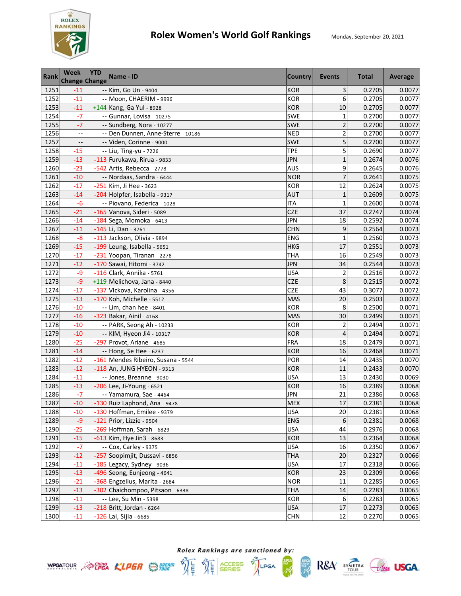

| <b>Rank</b>  | <b>Week</b><br><b>Change Change</b> | <b>YTD</b> | Name - ID                                                 | <b>Country</b>           | <b>Events</b>           | <b>Total</b>     | Average          |
|--------------|-------------------------------------|------------|-----------------------------------------------------------|--------------------------|-------------------------|------------------|------------------|
| 1251         | $-11$                               |            | -- Kim, Go Un - 9404                                      | <b>KOR</b>               | 3                       | 0.2705           | 0.0077           |
| 1252         | $-11$                               |            | -- Moon, CHAERIM - 9996                                   | <b>KOR</b>               | 6                       | 0.2705           | 0.0077           |
| 1253         | $-11$                               |            | +144 Kang, Ga Yul - 8928                                  | <b>KOR</b>               | 10                      | 0.2705           | 0.0077           |
| 1254         | $-7$                                |            | -- Gunnar, Lovisa - 10275                                 | SWE                      | $\mathbf{1}$            | 0.2700           | 0.0077           |
| 1255         | $-7$                                |            | -- Sundberg, Nora - 10277                                 | SWE                      | $\overline{\mathbf{c}}$ | 0.2700           | 0.0077           |
| 1256         | --                                  |            | -- Den Dunnen, Anne-Sterre - 10186                        | <b>NED</b>               | $\overline{\mathbf{c}}$ | 0.2700           | 0.0077           |
| 1257         | $\overline{\phantom{a}}$            |            | -- Viden, Corinne - 9000                                  | SWE                      | 5                       | 0.2700           | 0.0077           |
| 1258         | $-15$                               |            | -- Liu, Ting-yu - 7226                                    | <b>TPE</b>               | 5                       | 0.2690           | 0.0077           |
| 1259         | $-13$                               |            | -113 Furukawa, Rirua - 9833                               | <b>JPN</b>               | $\mathbf{1}$            | 0.2674           | 0.0076           |
| 1260         | $-23$                               |            | -542 Artis, Rebecca - 2778                                | <b>AUS</b>               | 9                       | 0.2645           | 0.0076           |
| 1261         | $-10$                               |            | -- Nordaas, Sandra - 6444                                 | <b>NOR</b>               | $\overline{7}$          | 0.2641           | 0.0075           |
| 1262         | $-17$                               |            | -251 Kim, Ji Hee - 3623                                   | <b>KOR</b>               | 12                      | 0.2624           | 0.0075           |
| 1263         | $-14$                               |            | -204 Holpfer, Isabella - 9317                             | <b>AUT</b>               | $\mathbf{1}$            | 0.2609           | 0.0075           |
| 1264         | -6                                  |            | -- Piovano, Federica - 1028                               | <b>ITA</b>               | $\mathbf{1}$            | 0.2600           | 0.0074           |
| 1265         | $-21$                               |            | -165 Vanova, Sideri - 5089                                | <b>CZE</b>               | 37                      | 0.2747           | 0.0074           |
| 1266         | $-14$                               |            | -184 Sega, Momoka - 6413                                  | <b>JPN</b>               | 18                      | 0.2592           | 0.0074           |
| 1267         | $-11$                               |            | $-145$ Li, Dan - 3761                                     | <b>CHN</b>               | 9                       | 0.2564           | 0.0073           |
| 1268         | $-8$                                |            | -113 Jackson, Olivia - 9894                               | ENG                      | $\mathbf{1}$            | 0.2560           | 0.0073           |
| 1269         | $-15$                               |            | -199 Leung, Isabella - 5651                               | <b>HKG</b>               | 17                      | 0.2551           | 0.0073           |
| 1270         | $-17$                               |            | -231 Yoopan, Tiranan - 2278                               | <b>THA</b>               | 16                      | 0.2549           | 0.0073           |
| 1271         | $-12$                               |            | -170 Sawai, Hitomi - 3742                                 | <b>JPN</b>               | 34                      | 0.2544           | 0.0073           |
| 1272         | -9                                  |            | -116 Clark, Annika - 5761                                 | <b>USA</b>               | $\overline{2}$          | 0.2516           | 0.0072           |
| 1273         | $-9$                                |            | +119 Melichova, Jana - 8440                               | <b>CZE</b>               | 8                       | 0.2515           | 0.0072           |
| 1274         | $-17$                               |            | -137 Vlckova, Karolina - 4356                             | <b>CZE</b>               | 43                      | 0.3077           | 0.0072           |
| 1275         | $-13$                               |            | -170 Koh, Michelle - 5512                                 | <b>MAS</b>               | 20                      | 0.2503           | 0.0072           |
| 1276         | $-10$                               |            | -- Lim, chan hee - 8401                                   | <b>KOR</b>               | 8                       | 0.2500           | 0.0071           |
| 1277         | $-16$                               |            | -323 Bakar, Ainil - 4168                                  | <b>MAS</b>               | 30                      | 0.2499           | 0.0071           |
| 1278         | $-10$                               |            | -- PARK, Seong Ah - 10233                                 | <b>KOR</b>               | $\overline{c}$          | 0.2494           | 0.0071           |
| 1279         | $-10$                               |            | -- KIM, Hyeon Ji4 - 10317                                 | <b>KOR</b>               | 4                       | 0.2494           | 0.0071           |
| 1280         | $-25$                               |            | -297 Provot, Ariane - 4685                                | <b>FRA</b>               | 18                      | 0.2479           | 0.0071           |
| 1281         | $-14$                               |            | -- Hong, Se Hee - 6237                                    | <b>KOR</b>               | 16                      | 0.2468           | 0.0071           |
| 1282         | $-12$                               |            | -161 Mendes Ribeiro, Susana - 5544                        | POR                      | 14                      | 0.2435           | 0.0070           |
| 1283         | $-12$                               |            | -118 An, JUNG HYEON - 9313                                | <b>KOR</b>               | 11                      | 0.2433           | 0.0070           |
| 1284         | $-11$                               |            | -- Jones, Breanne - 9030                                  | <b>USA</b>               | 13                      | 0.2430           | 0.0069           |
| 1285         | $-13$                               |            | $-206$ Lee, Ji-Young - 6521                               | <b>KOR</b>               | 16                      | 0.2389           | 0.0068           |
| 1286         | $-7$                                |            | -- Yamamura, Sae - 4464                                   | JPN                      | 21                      | 0.2386           | 0.0068           |
| 1287         | $-10$                               |            | -130 Ruiz Laphond, Ana - 9478                             | <b>MEX</b>               | 17                      | 0.2381           | 0.0068           |
| 1288         | $-10$                               |            | -130 Hoffman, Emilee - 9379                               | <b>USA</b>               | 20                      | 0.2381           | 0.0068           |
| 1289         | $-9$                                |            | -121 Prior, Lizzie - 9504                                 | <b>ENG</b>               | 6                       | 0.2381           | 0.0068           |
| 1290         | $-25$                               |            | -269 Hoffman, Sarah - 6829                                | <b>USA</b>               | 44                      | 0.2976           | 0.0068           |
| 1291         | $-15$                               |            | -613 Kim, Hye Jin3 - 8683                                 | <b>KOR</b>               | 13                      | 0.2364           | 0.0068           |
| 1292         | $-7$                                |            | -- Cox, Carley - 9375                                     | <b>USA</b>               | 16                      | 0.2350           | 0.0067           |
| 1293         | $-12$                               |            | -257 Soopimjit, Dussavi - 6856                            | <b>THA</b>               | 20                      | 0.2327           | 0.0066           |
| 1294         | $-11$                               |            | -185 Legacy, Sydney - 9036                                | <b>USA</b>               | 17                      | 0.2318           | 0.0066           |
| 1295         | $-13$                               |            | -496 Seong, Eunjeong - 4641                               | <b>KOR</b>               | 23                      | 0.2309           | 0.0066<br>0.0065 |
| 1296<br>1297 | $-21$<br>$-13$                      |            | -368 Engzelius, Marita - 2684                             | <b>NOR</b>               | 11                      | 0.2285<br>0.2283 |                  |
| 1298         | $-11$                               |            | -302 Chaichompoo, Pitsaon - 6338<br>-- Lee, Su Min - 5398 | <b>THA</b><br><b>KOR</b> | 14<br>6                 | 0.2283           | 0.0065<br>0.0065 |
| 1299         | $-13$                               |            | $-218$ Britt, Jordan - 6264                               | <b>USA</b>               | 17                      | 0.2273           | 0.0065           |
| 1300         | $-11$                               |            | -126 Lai, Sijia - 6685                                    | <b>CHN</b>               | 12                      | 0.2270           | 0.0065           |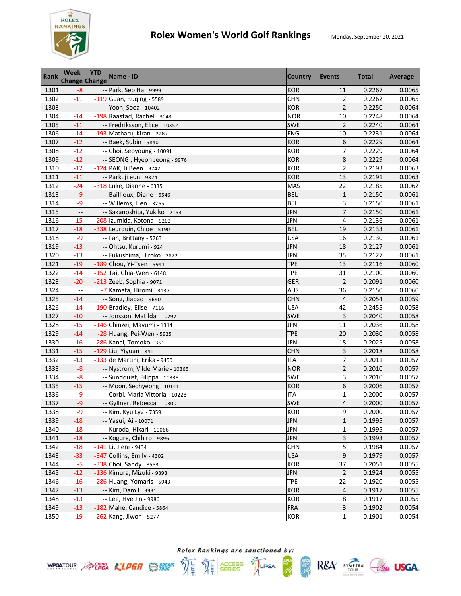

| <b>Rank</b> | <b>Week</b><br><b>Change Change</b> | <b>YTD</b> | Name - ID                        | <b>Country</b> | Events                  | <b>Total</b> | Average |
|-------------|-------------------------------------|------------|----------------------------------|----------------|-------------------------|--------------|---------|
| 1301        | $-8$                                |            | -- Park, Seo Ha - 9999           | <b>KOR</b>     | 11                      | 0.2267       | 0.0065  |
| 1302        | $-11$                               |            | -119 Guan, Ruqing - 5589         | <b>CHN</b>     | $\overline{\mathbf{c}}$ | 0.2262       | 0.0065  |
| 1303        |                                     |            | -- Yoon, Sooa - 10402            | <b>KOR</b>     | $\overline{2}$          | 0.2250       | 0.0064  |
| 1304        | $-14$                               |            | -198 Raastad, Rachel - 3043      | <b>NOR</b>     | 10                      | 0.2248       | 0.0064  |
| 1305        | $-11$                               |            | -- Fredriksson, Elice - 10352    | <b>SWE</b>     | $\overline{c}$          | 0.2240       | 0.0064  |
| 1306        | $-14$                               |            | -193 Matharu, Kiran - 2287       | <b>ENG</b>     | 10                      | 0.2231       | 0.0064  |
| 1307        | $-12$                               |            | -- Baek, Subin - 5840            | <b>KOR</b>     | 6                       | 0.2229       | 0.0064  |
| 1308        | $-12$                               |            | -- Choi, Seoyoung - 10091        | <b>KOR</b>     | 7                       | 0.2229       | 0.0064  |
| 1309        | $-12$                               |            | -- SEONG, Hyeon Jeong - 9976     | <b>KOR</b>     | 8                       | 0.2229       | 0.0064  |
| 1310        | $-12$                               |            | -124 PAK, Ji Been - 9742         | <b>KOR</b>     | $\overline{2}$          | 0.2193       | 0.0063  |
| 1311        | $-11$                               |            | -- Park, ji eun - 9324           | <b>KOR</b>     | 13                      | 0.2191       | 0.0063  |
| 1312        | $-24$                               |            | -318 Luke, Dianne - 6335         | <b>MAS</b>     | $\overline{22}$         | 0.2185       | 0.0062  |
| 1313        | $-9$                                |            | -- Baillieux, Diane - 6546       | <b>BEL</b>     | $\mathbf{1}$            | 0.2150       | 0.0061  |
| 1314        | -9                                  |            | -- Willems, Lien - 3265          | <b>BEL</b>     | 3                       | 0.2150       | 0.0061  |
| 1315        |                                     |            | -- Sakanoshita, Yukiko - 2153    | <b>JPN</b>     | $\overline{7}$          | 0.2150       | 0.0061  |
| 1316        | $-15$                               |            | -208 Izumida, Kotona - 9202      | <b>JPN</b>     | 4                       | 0.2136       | 0.0061  |
| 1317        | $-18$                               |            | -338 Leurquin, Chloe - 5190      | <b>BEL</b>     | 19                      | 0.2133       | 0.0061  |
| 1318        | $-9$                                |            | -- Fan, Brittany - 5763          | <b>USA</b>     | 16                      | 0.2130       | 0.0061  |
| 1319        | $-13$                               |            | -- Ohtsu, Kurumi - 924           | <b>JPN</b>     | 18                      | 0.2127       | 0.0061  |
| 1320        | $-13$                               |            | -- Fukushima, Hiroko - 2822      | <b>JPN</b>     | 35                      | 0.2127       | 0.0061  |
| 1321        | $-19$                               |            | -189 Chou, Yi-Tsen - 5941        | <b>TPE</b>     | 13                      | 0.2116       | 0.0060  |
| 1322        | $-14$                               |            | -152 Tai, Chia-Wen - 6148        | <b>TPE</b>     | 31                      | 0.2100       | 0.0060  |
| 1323        | $-20$                               |            | $-213$ Zeeb, Sophia - 9071       | GER            | $\overline{2}$          | 0.2091       | 0.0060  |
| 1324        | н,                                  |            | -7 Kamata, Hiromi - 3137         | <b>AUS</b>     | 36                      | 0.2150       | 0.0060  |
| 1325        | $-14$                               |            | -- Song, Jiabao - 9690           | <b>CHN</b>     | 4                       | 0.2054       | 0.0059  |
| 1326        | $-14$                               |            | -190 Bradley, Elise - 7116       | <b>USA</b>     | 42                      | 0.2455       | 0.0058  |
| 1327        | $-10$                               |            | -- Jonsson, Matilda - 10297      | <b>SWE</b>     | 3                       | 0.2040       | 0.0058  |
| 1328        | $-15$                               |            | -146 Chinzei, Mayumi - 1314      | <b>JPN</b>     | 11                      | 0.2036       | 0.0058  |
| 1329        | $-14$                               |            | -28 Huang, Pei-Wen - 5925        | <b>TPE</b>     | 20                      | 0.2030       | 0.0058  |
| 1330        | $-16$                               |            | -286 Kanai, Tomoko - 351         | <b>JPN</b>     | 18                      | 0.2025       | 0.0058  |
| 1331        | $-15$                               |            | $-129$ Liu, Yiyuan - 8411        | <b>CHN</b>     | 3                       | 0.2018       | 0.0058  |
| 1332        | $-13$                               |            | -133 de Martini, Erika - 9450    | <b>ITA</b>     | $\overline{7}$          | 0.2011       | 0.0057  |
| 1333        | $-8$                                |            | -- Nystrom, Vilde Marie - 10365  | <b>NOR</b>     | $\overline{\mathbf{c}}$ | 0.2010       | 0.0057  |
| 1334        | $-8$                                |            | -- Sundquist, Filippa - 10338    | SWE            | 3                       | 0.2010       | 0.0057  |
| 1335        | $-15$                               |            | -- Moon, Seohyeong - 10141       | <b>KOR</b>     | 6                       | 0.2006       | 0.0057  |
| 1336        | -9                                  |            | -- Corbi, Maria Vittoria - 10228 | <b>ITA</b>     | $\mathbf{1}$            | 0.2000       | 0.0057  |
| 1337        | $-9$                                |            | -- Gyllner, Rebecca - 10300      | <b>SWE</b>     | 4                       | 0.2000       | 0.0057  |
| 1338        | -9                                  |            | -- Kim, Kyu Ly2 - 7359           | KOR            | 9                       | 0.2000       | 0.0057  |
| 1339        | $-18$                               |            | -- Yasui, Ai - 10071             | <b>JPN</b>     | $\mathbf{1}$            | 0.1995       | 0.0057  |
| 1340        | $-18$                               |            | -- Kuroda, Hikari - 10066        | <b>JPN</b>     | $\mathbf 1$             | 0.1995       | 0.0057  |
| 1341        | $-18$                               |            | -- Kogure, Chihiro - 9896        | <b>JPN</b>     | 3                       | 0.1993       | 0.0057  |
| 1342        | $-18$                               |            | -141 Li, Jieni - 9434            | <b>CHN</b>     | 5                       | 0.1984       | 0.0057  |
| 1343        | $-33$                               |            | -347 Collins, Emily - 4302       | <b>USA</b>     | 9                       | 0.1979       | 0.0057  |
| 1344        | $-5$                                |            | -338 Choi, Sandy - 8553          | <b>KOR</b>     | 37                      | 0.2051       | 0.0055  |
| 1345        | $-12$                               |            | -136 Kimura, Mizuki - 9393       | <b>JPN</b>     | $\overline{2}$          | 0.1924       | 0.0055  |
| 1346        | $-16$                               |            | -286 Huang, Yomaris - 5943       | <b>TPE</b>     | 22                      | 0.1920       | 0.0055  |
| 1347        | $-13$                               |            | -- Kim, Dam I - 9991             | <b>KOR</b>     | 4                       | 0.1917       | 0.0055  |
| 1348        | $-13$                               |            | -- Lee, Hye Jin - 9986           | <b>KOR</b>     | 8                       | 0.1917       | 0.0055  |
| 1349        | $-13$                               |            | $-182$ Mahe, Candice - 5864      | <b>FRA</b>     | 3                       | 0.1902       | 0.0054  |
| 1350        | $-19$                               |            | $-262$ Kang, Jiwon - 5277        | <b>KOR</b>     | $\mathbf{1}$            | 0.1901       | 0.0054  |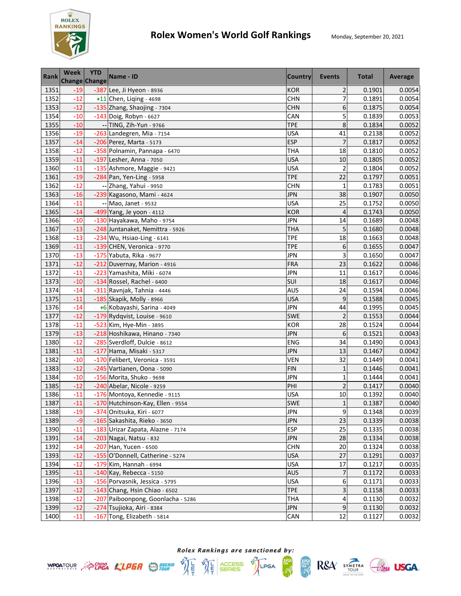

| <b>Rank</b> | <b>Week</b> | <b>YTD</b><br>Change Change | Name - ID                          | <b>Country</b> | <b>Events</b>  | <b>Total</b> | Average |
|-------------|-------------|-----------------------------|------------------------------------|----------------|----------------|--------------|---------|
| 1351        | $-19$       |                             | -387 Lee, Ji Hyeon - 8936          | <b>KOR</b>     | $\overline{2}$ | 0.1901       | 0.0054  |
| 1352        | $-12$       |                             | $+11$ Chen, Liqing - 4698          | <b>CHN</b>     | $\overline{7}$ | 0.1891       | 0.0054  |
| 1353        | $-12$       |                             | -135 Zhang, Shaojing - 7304        | <b>CHN</b>     | 6              | 0.1875       | 0.0054  |
| 1354        | $-10$       |                             | -143 Doig, Robyn - 6627            | CAN            | 5              | 0.1839       | 0.0053  |
| 1355        | $-10$       |                             | -- TING, Zih-Yun - 9766            | <b>TPE</b>     | 8              | 0.1834       | 0.0052  |
| 1356        | $-19$       |                             | -263 Landegren, Mia - 7154         | <b>USA</b>     | 41             | 0.2138       | 0.0052  |
| 1357        | $-14$       |                             | -206 Perez, Marta - 5173           | <b>ESP</b>     | $\overline{7}$ | 0.1817       | 0.0052  |
| 1358        | $-12$       |                             | -358 Polnamin, Pannapa - 6470      | <b>THA</b>     | 18             | 0.1810       | 0.0052  |
| 1359        | $-11$       |                             | -197 Lesher, Anna - 7050           | <b>USA</b>     | 10             | 0.1805       | 0.0052  |
| 1360        | $-11$       |                             | -135 Ashmore, Maggie - 9421        | <b>USA</b>     | $\overline{c}$ | 0.1804       | 0.0052  |
| 1361        | $-19$       |                             | $-284$ Pan, Yen-Ling - 5958        | <b>TPE</b>     | 22             | 0.1797       | 0.0051  |
| 1362        | $-12$       |                             | -- Zhang, Yahui - 9950             | <b>CHN</b>     | 1              | 0.1783       | 0.0051  |
| 1363        | $-16$       |                             | -239 Kagasono, Mami - 4624         | <b>JPN</b>     | 38             | 0.1907       | 0.0050  |
| 1364        | $-11$       |                             | -- Mao, Janet - 9532               | <b>USA</b>     | 25             | 0.1752       | 0.0050  |
| 1365        | $-14$       |                             | -499 Yang, Je yoon - 4112          | <b>KOR</b>     | 4              | 0.1743       | 0.0050  |
| 1366        | $-10$       |                             | -130 Hayakawa, Maho - 9754         | <b>JPN</b>     | 14             | 0.1689       | 0.0048  |
| 1367        | $-13$       |                             | -248 Juntanaket, Nemittra - 5926   | <b>THA</b>     | 5              | 0.1680       | 0.0048  |
| 1368        | $-13$       |                             | -234 Wu, Hsiao-Ling - 6141         | <b>TPE</b>     | 18             | 0.1663       | 0.0048  |
| 1369        | $-11$       |                             | -139 CHEN, Veronica - 9770         | <b>TPE</b>     | 6              | 0.1655       | 0.0047  |
| 1370        | $-13$       |                             | -175 Yabuta, Rika - 9677           | <b>JPN</b>     | 3              | 0.1650       | 0.0047  |
| 1371        | $-12$       |                             | -212 Duvernay, Marion - 4916       | <b>FRA</b>     | 23             | 0.1622       | 0.0046  |
| 1372        | $-11$       |                             | -223 Yamashita, Miki - 6074        | <b>JPN</b>     | 11             | 0.1617       | 0.0046  |
| 1373        | $-10$       |                             | -134 Rossel, Rachel - 6400         | SUI            | 18             | 0.1617       | 0.0046  |
| 1374        | $-14$       |                             | -311 Ravnjak, Tahnia - 4446        | <b>AUS</b>     | 24             | 0.1594       | 0.0046  |
| 1375        | $-11$       |                             | -185 Skapik, Molly - 8966          | <b>USA</b>     | 9              | 0.1588       | 0.0045  |
| 1376        | $-14$       |                             | +6 Kobayashi, Sarina - 4049        | <b>JPN</b>     | 44             | 0.1995       | 0.0045  |
| 1377        | $-12$       |                             | -179 Rydqvist, Louise - 9610       | <b>SWE</b>     | $\overline{c}$ | 0.1553       | 0.0044  |
| 1378        | $-11$       |                             | -523 Kim, Hye-Min - 3895           | <b>KOR</b>     | 28             | 0.1524       | 0.0044  |
| 1379        | $-13$       |                             | -218 Hoshikawa, Hinano - 7340      | <b>JPN</b>     | 6              | 0.1521       | 0.0043  |
| 1380        | $-12$       |                             | -285 Sverdloff, Dulcie - 8612      | ENG            | 34             | 0.1490       | 0.0043  |
| 1381        | $-11$       |                             | -177 Hama, Misaki - 5317           | <b>JPN</b>     | 13             | 0.1467       | 0.0042  |
| 1382        | $-10$       |                             | -170 Felibert, Veronica - 3591     | VEN            | 32             | 0.1449       | 0.0041  |
| 1383        | $-12$       |                             | -245 Vartianen, Oona - 5090        | <b>FIN</b>     | $\mathbf{1}$   | 0.1446       | 0.0041  |
| 1384        | $-10$       |                             | -156 Morita, Shuko - 9698          | <b>JPN</b>     | $\mathbf 1$    | 0.1444       | 0.0041  |
| 1385        | $-12$       |                             | -240 Abelar, Nicole - 9259         | PHI            | $\overline{2}$ | 0.1417       | 0.0040  |
| 1386        | $-11$       |                             | -176 Montoya, Kennedie - 9115      | <b>USA</b>     | 10             | 0.1392       | 0.0040  |
| 1387        | $-11$       |                             | -170 Hutchinson-Kay, Ellen - 9554  | <b>SWE</b>     | $\mathbf 1$    | 0.1387       | 0.0040  |
| 1388        | $-19$       |                             | -374 Onitsuka, Kiri - 6077         | <b>JPN</b>     | 9              | 0.1348       | 0.0039  |
| 1389        | $-9$        |                             | -165 Sakashita, Rieko - 3650       | <b>JPN</b>     | 23             | 0.1339       | 0.0038  |
| 1390        | $-11$       |                             | -183 Urizar Zapata, Alazne - 7174  | <b>ESP</b>     | 25             | 0.1335       | 0.0038  |
| 1391        | $-14$       |                             | -203 Nagai, Natsu - 832            | <b>JPN</b>     | 28             | 0.1334       | 0.0038  |
| 1392        | $-14$       |                             | -207 Han, Yucen - 6500             | <b>CHN</b>     | 20             | 0.1324       | 0.0038  |
| 1393        | $-12$       |                             | -155 O'Donnell, Catherine - 5274   | <b>USA</b>     | 27             | 0.1291       | 0.0037  |
| 1394        | $-12$       |                             | -179 Kim, Hannah - 6994            | <b>USA</b>     | 17             | 0.1217       | 0.0035  |
| 1395        | $-11$       |                             | $-140$ Kay, Rebecca - 5150         | <b>AUS</b>     | 7              | 0.1172       | 0.0033  |
| 1396        | $-13$       |                             | -156 Porvasnik, Jessica - 5795     | <b>USA</b>     | 6              | 0.1171       | 0.0033  |
| 1397        | $-12$       |                             | -143 Chang, Hsin Chiao - 6502      | <b>TPE</b>     | 3              | 0.1158       | 0.0033  |
| 1398        | $-12$       |                             | -207 Paiboonpong, Goonlacha - 5286 | <b>THA</b>     | 4              | 0.1130       | 0.0032  |
| 1399        | $-12$       |                             | -274 Tsujioka, Airi - 8384         | <b>JPN</b>     | 9              | 0.1130       | 0.0032  |
| 1400        | $-11$       |                             | -167 Tong, Elizabeth - 5814        | CAN            | $12\,$         | 0.1127       | 0.0032  |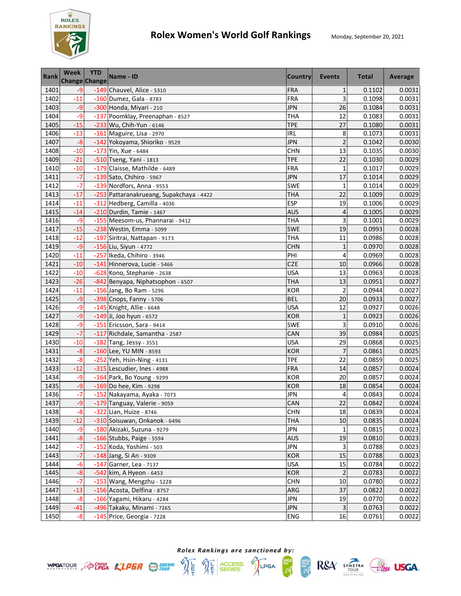

| <b>Rank</b> | <b>Week</b><br><b>Change Change</b> | <b>YTD</b> | Name - ID                                | <b>Country</b> | Events         | <b>Total</b> | Average |
|-------------|-------------------------------------|------------|------------------------------------------|----------------|----------------|--------------|---------|
| 1401        | $-9$                                |            | -149 Chauvel, Alice - 5310               | <b>FRA</b>     | $\mathbf{1}$   | 0.1102       | 0.0031  |
| 1402        | $-11$                               |            | -160 Dumez, Gala - 8783                  | <b>FRA</b>     | 3              | 0.1098       | 0.0031  |
| 1403        | $-9$                                |            | -300 Honda, Miyari - 210                 | <b>JPN</b>     | 26             | 0.1084       | 0.0031  |
| 1404        | $-9$                                |            | -137 Poomklay, Preenaphan - 8527         | <b>THA</b>     | 12             | 0.1083       | 0.0031  |
| 1405        | $-15$                               |            | -233 Wu, Chih-Yun - 6146                 | <b>TPE</b>     | 27             | 0.1080       | 0.0031  |
| 1406        | $-13$                               |            | -161 Maguire, Lisa - 2970                | IRL            | 8              | 0.1073       | 0.0031  |
| 1407        | $-8$                                |            | -142 Yokoyama, Shioriko - 9529           | <b>JPN</b>     | $\overline{a}$ | 0.1042       | 0.0030  |
| 1408        | $-10$                               |            | -173 Yin, Xue - 6484                     | <b>CHN</b>     | 13             | 0.1035       | 0.0030  |
| 1409        | $-21$                               |            | -510 Tseng, Yani - 1813                  | <b>TPE</b>     | 22             | 0.1030       | 0.0029  |
| 1410        | $-10$                               |            | -179 Claisse, Mathilde - 6489            | <b>FRA</b>     | $\mathbf{1}$   | 0.1017       | 0.0029  |
| 1411        | $-7$                                |            | -139 Sato, Chihiro - 5967                | <b>JPN</b>     | 17             | 0.1014       | 0.0029  |
| 1412        | $-7$                                |            | -139 Nordfors, Anna - 9553               | <b>SWE</b>     | $\mathbf{1}$   | 0.1014       | 0.0029  |
| 1413        | $-17$                               |            | -253 Pattaranakrueang, Supakchaya - 4422 | <b>THA</b>     | 22             | 0.1009       | 0.0029  |
| 1414        | $-11$                               |            | -312 Hedberg, Camilla - 4036             | <b>ESP</b>     | 19             | 0.1006       | 0.0029  |
| 1415        | $-14$                               |            | -210 Durdin, Tamie - 1467                | <b>AUS</b>     | 4              | 0.1005       | 0.0029  |
| 1416        | $-9$                                |            | -155 Meesom-us, Phannarai - 9412         | <b>THA</b>     | 3              | 0.1001       | 0.0029  |
| 1417        | $-15$                               |            | -238 Westin, Emma - 5099                 | <b>SWE</b>     | 19             | 0.0993       | 0.0028  |
| 1418        | $-12$                               |            | -197 Siritrai, Nattapan - 9173           | <b>THA</b>     | 11             | 0.0986       | 0.0028  |
| 1419        | $-9$                                |            | -156 Liu, Siyun - 4772                   | <b>CHN</b>     | $\mathbf{1}$   | 0.0970       | 0.0028  |
| 1420        | $-11$                               |            | -257 Ikeda, Chihiro - 3946               | PHI            | $\overline{4}$ | 0.0969       | 0.0028  |
| 1421        | $-10$                               |            | -141 Hinnerova, Lucie - 5466             | CZE            | 10             | 0.0966       | 0.0028  |
| 1422        | $-10$                               |            | -628 Kono, Stephanie - 2638              | <b>USA</b>     | 13             | 0.0963       | 0.0028  |
| 1423        | $-26$                               |            | -842 Benyapa, Niphatsophon - 6507        | <b>THA</b>     | 13             | 0.0951       | 0.0027  |
| 1424        | $-11$                               |            | -156 Jang, Bo Ram - 5296                 | <b>KOR</b>     | $\overline{2}$ | 0.0944       | 0.0027  |
| 1425        | $-9$                                |            | -398 Cnops, Fanny - 5706                 | <b>BEL</b>     | 20             | 0.0933       | 0.0027  |
| 1426        | -9                                  |            | -145 Knight, Allie - 6648                | <b>USA</b>     | 12             | 0.0927       | 0.0026  |
| 1427        | $-9$                                |            | -149 Ji, Joo hyun - 6572                 | <b>KOR</b>     | $\mathbf 1$    | 0.0923       | 0.0026  |
| 1428        | -9                                  |            | -151 Ericsson, Sara - 9414               | <b>SWE</b>     | 3              | 0.0910       | 0.0026  |
| 1429        | $-7$                                |            | -117 Richdale, Samantha - 2587           | CAN            | 39             | 0.0984       | 0.0025  |
| 1430        | $-10$                               |            | -182 Tang, Jessy - 3551                  | <b>USA</b>     | 29             | 0.0868       | 0.0025  |
| 1431        | $-8$                                |            | -160 Lee, YU MIN - 8593                  | <b>KOR</b>     | $\overline{7}$ | 0.0861       | 0.0025  |
| 1432        | $-8$                                |            | -252 Yeh, Hsin-Ning - 4131               | <b>TPE</b>     | 22             | 0.0859       | 0.0025  |
| 1433        | $-12$                               |            | -315 Lescudier, Ines - 4988              | <b>FRA</b>     | 14             | 0.0857       | 0.0024  |
| 1434        | $-9$                                |            | -164 Park, Bo Young - 9299               | <b>KOR</b>     | 20             | 0.0857       | 0.0024  |
| 1435        | $-9$                                |            | -169 Do hee, Kim - 9298                  | <b>KOR</b>     | 18             | 0.0854       | 0.0024  |
| 1436        | $-7$                                |            | -152 Nakayama, Ayaka - 7073              | <b>JPN</b>     | 4              | 0.0843       | 0.0024  |
| 1437        | $-9$                                |            | -179 Tanguay, Valerie - 9059             | CAN            | 22             | 0.0842       | 0.0024  |
| 1438        | $-8$                                |            | -322 Lian, Huize - 8746                  | <b>CHN</b>     | 18             | 0.0839       | 0.0024  |
| 1439        | $-12$                               |            | -310 Soisuwan, Onkanok - 6496            | THA            | 10             | 0.0835       | 0.0024  |
| 1440        | -9                                  |            | -180 Akizaki, Suzuna - 9279              | <b>JPN</b>     | 1              | 0.0815       | 0.0023  |
| 1441        | $-8$                                |            | -166 Stubbs, Paige - 5594                | <b>AUS</b>     | 19             | 0.0810       | 0.0023  |
| 1442        | $-7$                                |            | -152 Koda, Yoshimi - 503                 | <b>JPN</b>     | 3              | 0.0788       | 0.0023  |
| 1443        | $-7$                                |            | -148 Jang, Si An - 9309                  | <b>KOR</b>     | 15             | 0.0788       | 0.0023  |
| 1444        | $-6$                                |            | $-147$ Garner, Lea - 7137                | <b>USA</b>     | 15             | 0.0784       | 0.0022  |
| 1445        | $-8$                                |            | -542 kim, A Hyeon - 6453                 | <b>KOR</b>     | $\overline{2}$ | 0.0783       | 0.0022  |
| 1446        | $-7$                                |            | -153 Wang, Mengzhu - 5228                | <b>CHN</b>     | 10             | 0.0780       | 0.0022  |
| 1447        | $-13$                               |            | -156 Acosta, Delfina - 8757              | ARG            | 37             | 0.0822       | 0.0022  |
| 1448        | $-8$                                |            | -166 Yagami, Hikaru - 4284               | <b>JPN</b>     | 19             | 0.0770       | 0.0022  |
| 1449        | $-41$                               |            | -496 Takaku, Minami - 7265               | <b>JPN</b>     | 3              | 0.0763       | 0.0022  |
| 1450        | $-8$                                |            | -145 Price, Georgia - 7228               | <b>ENG</b>     | 16             | 0.0761       | 0.0022  |